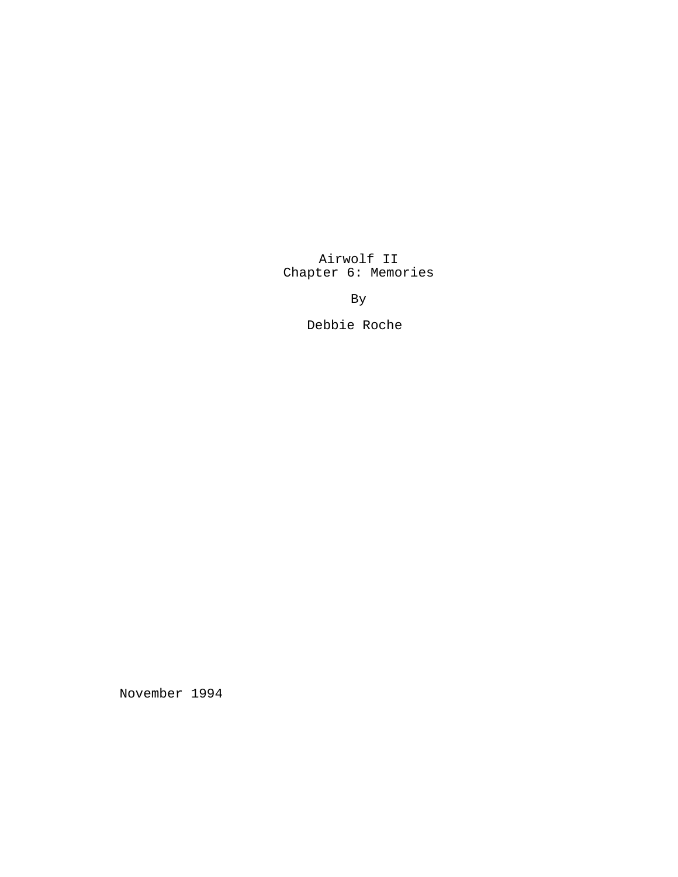Airwolf II Chapter 6: Memories

By

Debbie Roche

November 1994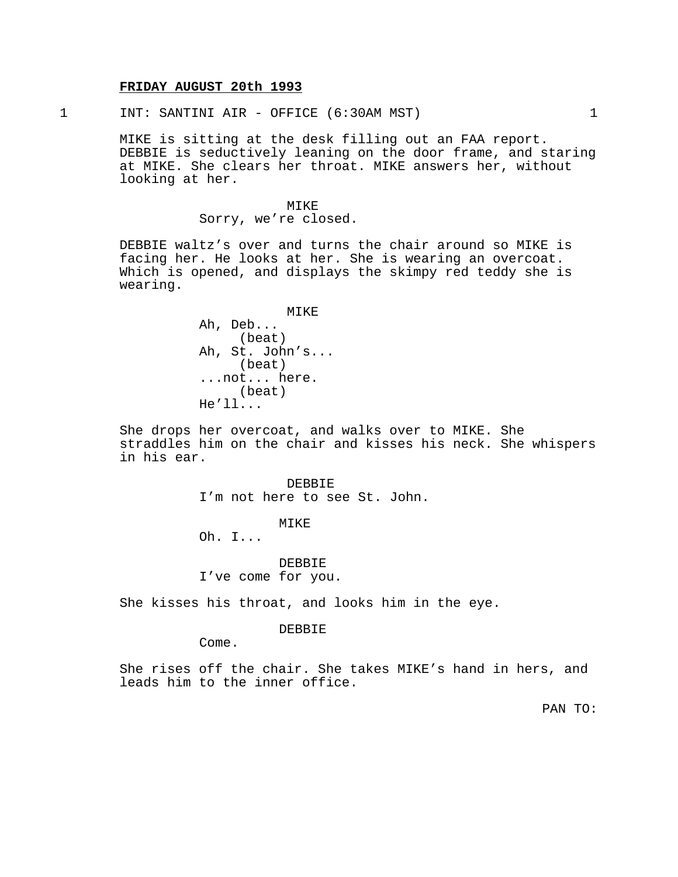## **FRIDAY AUGUST 20th 1993**

1 INT: SANTINI AIR - OFFICE (6:30AM MST) 1

MIKE is sitting at the desk filling out an FAA report. DEBBIE is seductively leaning on the door frame, and staring at MIKE. She clears her throat. MIKE answers her, without looking at her.

> MIKE Sorry, we're closed.

DEBBIE waltz's over and turns the chair around so MIKE is facing her. He looks at her. She is wearing an overcoat. Which is opened, and displays the skimpy red teddy she is wearing.

> MIKE Ah, Deb... (beat) Ah, St. John's... (beat) ...not... here. (beat) He'll...

She drops her overcoat, and walks over to MIKE. She straddles him on the chair and kisses his neck. She whispers in his ear.

> DEBBIE I'm not here to see St. John.

### MIKE

Oh. I...

DEBBIE I've come for you.

She kisses his throat, and looks him in the eye.

#### DEBBIE

Come.

She rises off the chair. She takes MIKE's hand in hers, and leads him to the inner office.

PAN TO: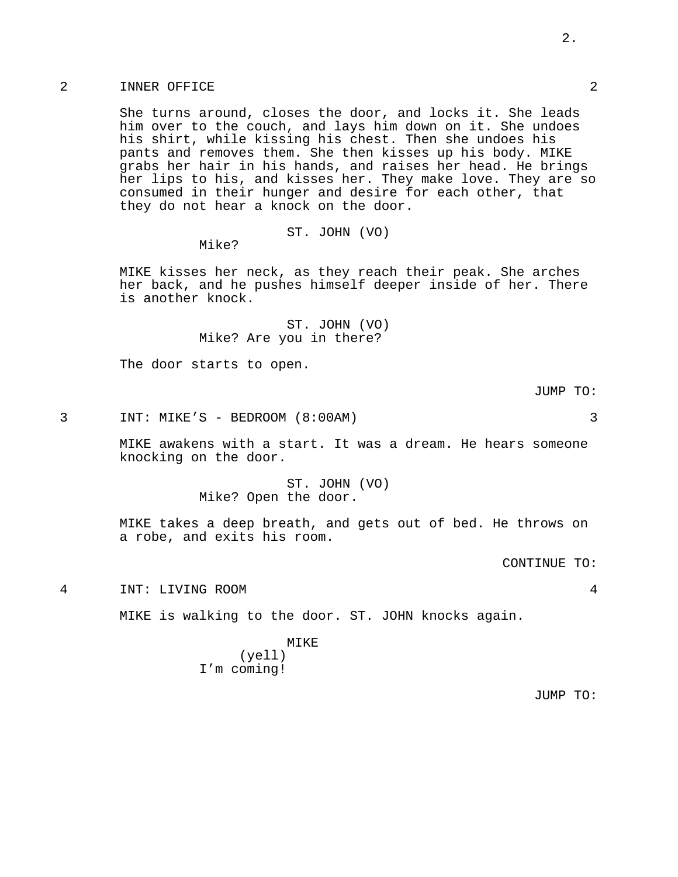### 2 INNER OFFICE 2

She turns around, closes the door, and locks it. She leads him over to the couch, and lays him down on it. She undoes his shirt, while kissing his chest. Then she undoes his pants and removes them. She then kisses up his body. MIKE grabs her hair in his hands, and raises her head. He brings her lips to his, and kisses her. They make love. They are so consumed in their hunger and desire for each other, that they do not hear a knock on the door.

ST. JOHN (VO)

Mike?

MIKE kisses her neck, as they reach their peak. She arches her back, and he pushes himself deeper inside of her. There is another knock.

> ST. JOHN (VO) Mike? Are you in there?

The door starts to open.

JUMP TO:

3 INT: MIKE'S - BEDROOM (8:00AM) 3

MIKE awakens with a start. It was a dream. He hears someone knocking on the door.

> ST. JOHN (VO) Mike? Open the door.

MIKE takes a deep breath, and gets out of bed. He throws on a robe, and exits his room.

CONTINUE TO:

4 INT: LIVING ROOM 4

MIKE is walking to the door. ST. JOHN knocks again.

#### MIKE

(yell) I'm coming!

JUMP TO: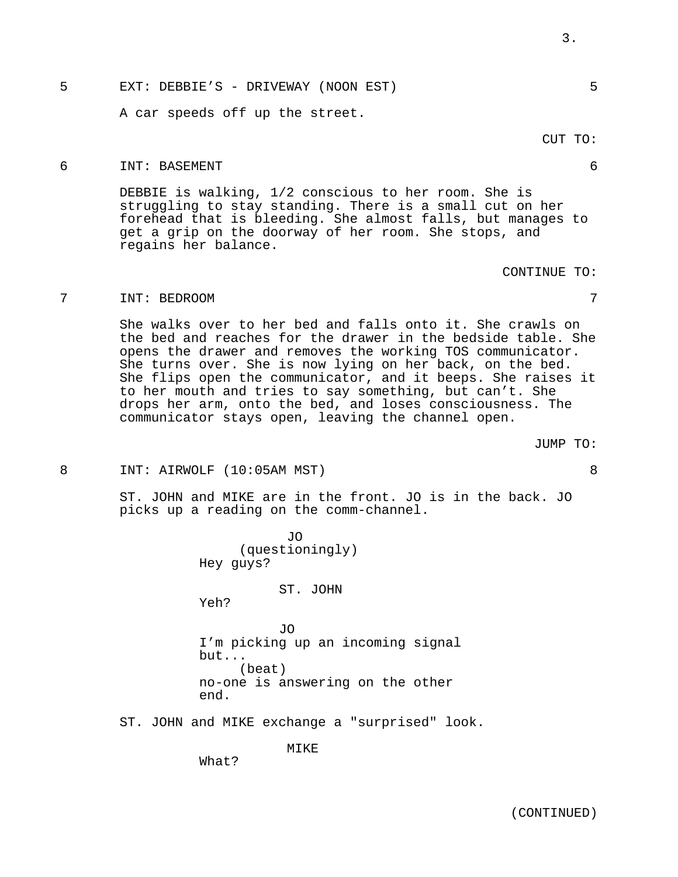# 5 EXT: DEBBIE'S - DRIVEWAY (NOON EST) 5

A car speeds off up the street.

#### 6 INT: BASEMENT 6

DEBBIE is walking, 1/2 conscious to her room. She is struggling to stay standing. There is a small cut on her forehead that is bleeding. She almost falls, but manages to get a grip on the doorway of her room. She stops, and regains her balance.

#### 7 INT: BEDROOM 7

She walks over to her bed and falls onto it. She crawls on the bed and reaches for the drawer in the bedside table. She opens the drawer and removes the working TOS communicator. She turns over. She is now lying on her back, on the bed. She flips open the communicator, and it beeps. She raises it to her mouth and tries to say something, but can't. She drops her arm, onto the bed, and loses consciousness. The communicator stays open, leaving the channel open.

JUMP TO:

#### 8 INT: AIRWOLF (10:05AM MST) 8

ST. JOHN and MIKE are in the front. JO is in the back. JO picks up a reading on the comm-channel.

> ST. JOHN Yeh? JO I'm picking up an incoming signal but... (beat) no-one is answering on the other end.

JO (questioningly)

ST. JOHN and MIKE exchange a "surprised" look.

MIKE

What?

Hey guys?

CUT TO:

CONTINUE TO: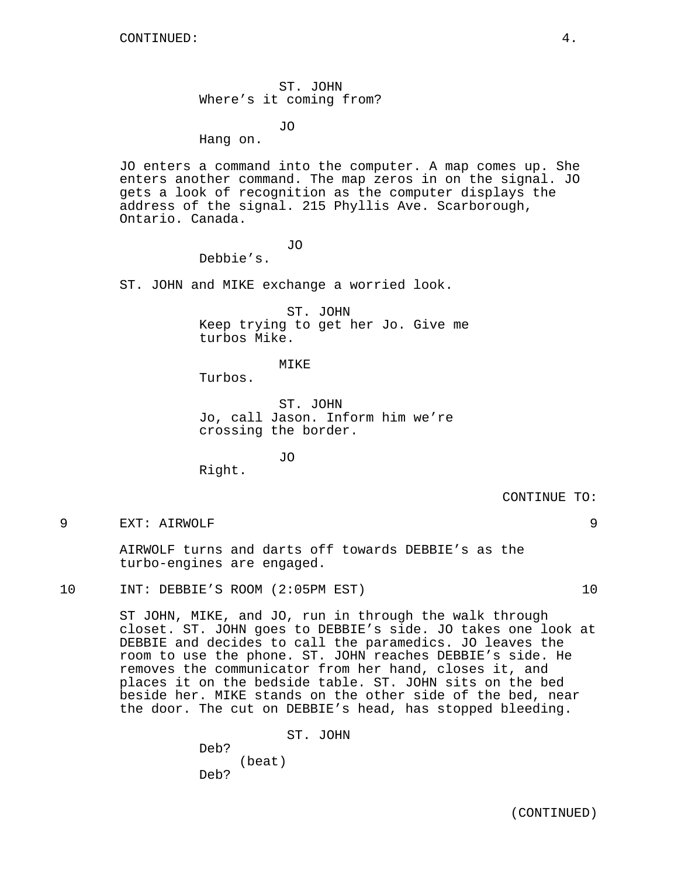ST. JOHN Where's it coming from?

JO

Hang on.

JO enters a command into the computer. A map comes up. She enters another command. The map zeros in on the signal. JO gets a look of recognition as the computer displays the address of the signal. 215 Phyllis Ave. Scarborough, Ontario. Canada.

JO

Debbie's.

ST. JOHN and MIKE exchange a worried look.

ST. JOHN Keep trying to get her Jo. Give me turbos Mike.

MIKE

Turbos.

ST. JOHN Jo, call Jason. Inform him we're crossing the border.

JO Right.

CONTINUE TO:

9 EXT: AIRWOLF 9

AIRWOLF turns and darts off towards DEBBIE's as the turbo-engines are engaged.

10 INT: DEBBIE'S ROOM (2:05PM EST) 10

ST JOHN, MIKE, and JO, run in through the walk through closet. ST. JOHN goes to DEBBIE's side. JO takes one look at DEBBIE and decides to call the paramedics. JO leaves the room to use the phone. ST. JOHN reaches DEBBIE's side. He removes the communicator from her hand, closes it, and places it on the bedside table. ST. JOHN sits on the bed beside her. MIKE stands on the other side of the bed, near the door. The cut on DEBBIE's head, has stopped bleeding.

> ST. JOHN Deb? (beat) Deb?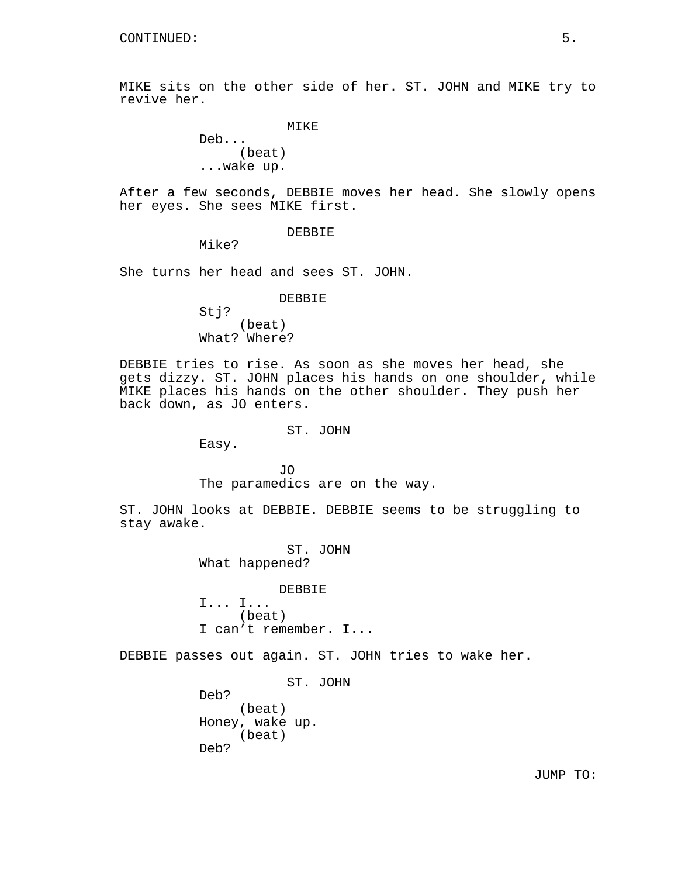MIKE sits on the other side of her. ST. JOHN and MIKE try to revive her.

```
MIKE
```
Deb... (beat) ...wake up.

After a few seconds, DEBBIE moves her head. She slowly opens her eyes. She sees MIKE first.

DEBBIE

Mike?

She turns her head and sees ST. JOHN.

#### DEBBIE

Stj? (beat) What? Where?

DEBBIE tries to rise. As soon as she moves her head, she gets dizzy. ST. JOHN places his hands on one shoulder, while MIKE places his hands on the other shoulder. They push her back down, as JO enters.

ST. JOHN

Easy.

JO The paramedics are on the way.

ST. JOHN looks at DEBBIE. DEBBIE seems to be struggling to stay awake.

> ST. JOHN What happened?

DEBBIE I... I... (beat) I can't remember. I...

DEBBIE passes out again. ST. JOHN tries to wake her.

ST. JOHN Deb? (beat) Honey, wake up. (beat) Deb?

JUMP TO: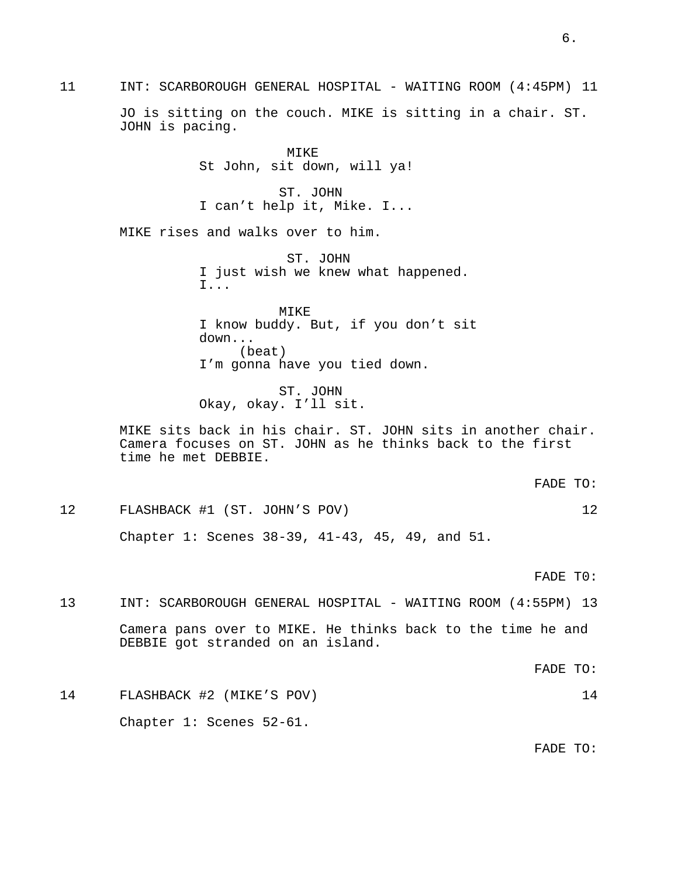MIKE St John, sit down, will ya! ST. JOHN I can't help it, Mike. I... MIKE rises and walks over to him. ST. JOHN I just wish we knew what happened. I... MIKE I know buddy. But, if you don't sit down... (beat) I'm gonna have you tied down. ST. JOHN Okay, okay. I'll sit. MIKE sits back in his chair. ST. JOHN sits in another chair. Camera focuses on ST. JOHN as he thinks back to the first time he met DEBBIE. FADE TO: 12 FLASHBACK #1 (ST. JOHN'S POV) 12 Chapter 1: Scenes 38-39, 41-43, 45, 49, and 51. FADE T0: 13 INT: SCARBOROUGH GENERAL HOSPITAL - WAITING ROOM (4:55PM) 13 Camera pans over to MIKE. He thinks back to the time he and DEBBIE got stranded on an island. FADE TO: 14 FLASHBACK #2 (MIKE'S POV) 14 Chapter 1: Scenes 52-61. FADE TO:

11 INT: SCARBOROUGH GENERAL HOSPITAL - WAITING ROOM (4:45PM) 11

JOHN is pacing.

JO is sitting on the couch. MIKE is sitting in a chair. ST.

6.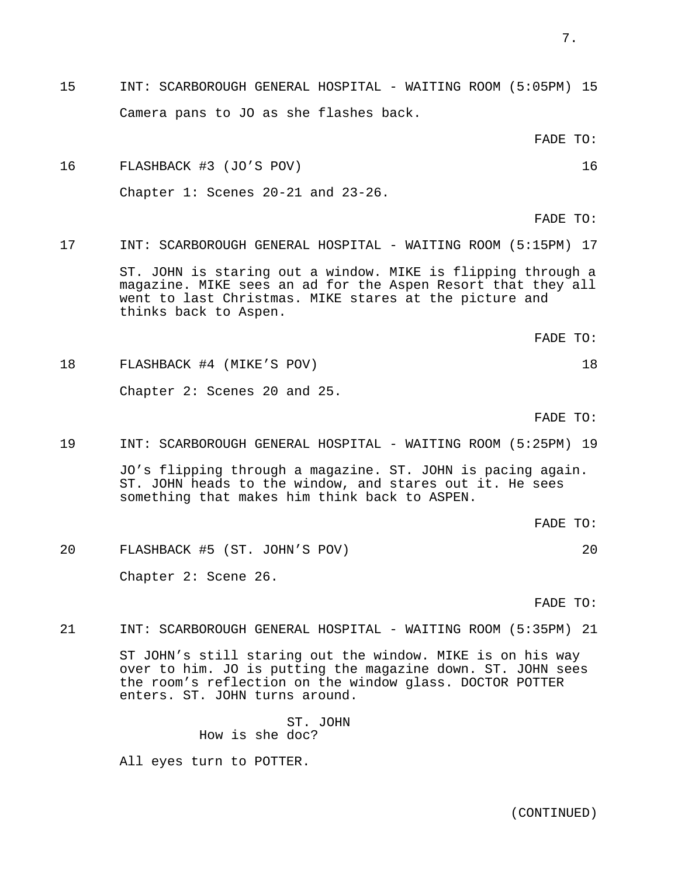- 7.
- 15 INT: SCARBOROUGH GENERAL HOSPITAL WAITING ROOM (5:05PM) 15 Camera pans to JO as she flashes back.

FADE TO:

16 FLASHBACK #3 (JO'S POV) 16 Chapter 1: Scenes 20-21 and 23-26.

FADE TO:

17 INT: SCARBOROUGH GENERAL HOSPITAL - WAITING ROOM (5:15PM) 17

ST. JOHN is staring out a window. MIKE is flipping through a magazine. MIKE sees an ad for the Aspen Resort that they all went to last Christmas. MIKE stares at the picture and thinks back to Aspen.

FADE TO:

18 FLASHBACK #4 (MIKE'S POV) 18 Chapter 2: Scenes 20 and 25.

FADE TO:

19 INT: SCARBOROUGH GENERAL HOSPITAL - WAITING ROOM (5:25PM) 19

JO's flipping through a magazine. ST. JOHN is pacing again. ST. JOHN heads to the window, and stares out it. He sees something that makes him think back to ASPEN.

FADE TO:

20 FLASHBACK #5 (ST. JOHN'S POV) 20 Chapter 2: Scene 26.

FADE TO:

21 INT: SCARBOROUGH GENERAL HOSPITAL - WAITING ROOM (5:35PM) 21

ST JOHN's still staring out the window. MIKE is on his way over to him. JO is putting the magazine down. ST. JOHN sees the room's reflection on the window glass. DOCTOR POTTER enters. ST. JOHN turns around.

> ST. JOHN How is she doc?

All eyes turn to POTTER.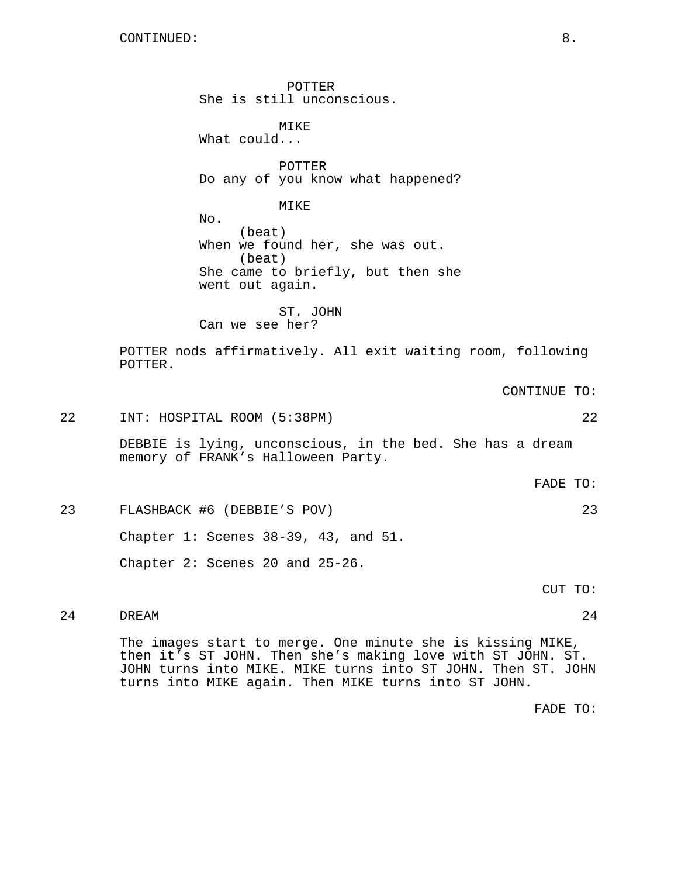POTTER She is still unconscious. MIKE What could... POTTER Do any of you know what happened? MIKE No. (beat) When we found her, she was out. (beat) She came to briefly, but then she went out again. ST. JOHN Can we see her? POTTER nods affirmatively. All exit waiting room, following POTTER. CONTINUE TO: 22 INT: HOSPITAL ROOM (5:38PM) 22 DEBBIE is lying, unconscious, in the bed. She has a dream memory of FRANK's Halloween Party. FADE TO: 23 FLASHBACK #6 (DEBBIE'S POV) 23 Chapter 1: Scenes 38-39, 43, and 51. Chapter 2: Scenes 20 and 25-26. CUT TO: 24 DREAM 24

The images start to merge. One minute she is kissing MIKE, then it's ST JOHN. Then she's making love with ST JOHN. ST. JOHN turns into MIKE. MIKE turns into ST JOHN. Then ST. JOHN turns into MIKE again. Then MIKE turns into ST JOHN.

FADE TO: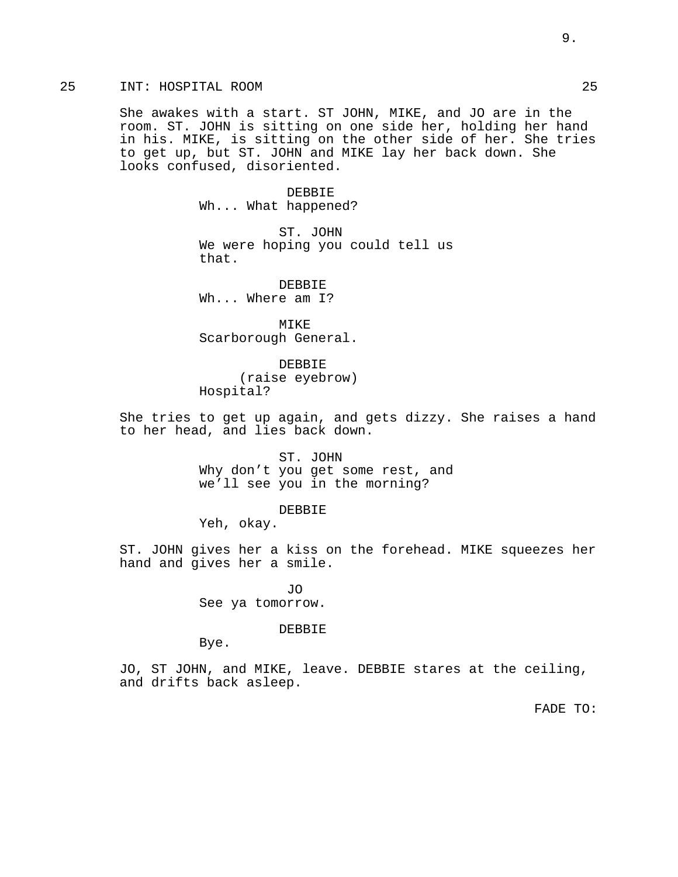# 25 INT: HOSPITAL ROOM 25

She awakes with a start. ST JOHN, MIKE, and JO are in the room. ST. JOHN is sitting on one side her, holding her hand in his. MIKE, is sitting on the other side of her. She tries to get up, but ST. JOHN and MIKE lay her back down. She looks confused, disoriented.

> DEBBIE Wh... What happened?

ST. JOHN We were hoping you could tell us that.

DEBBIE Wh... Where am I?

MIKE Scarborough General.

DEBBIE (raise eyebrow) Hospital?

She tries to get up again, and gets dizzy. She raises a hand to her head, and lies back down.

> ST. JOHN Why don't you get some rest, and we'll see you in the morning?

> > DEBBIE

Yeh, okay.

ST. JOHN gives her a kiss on the forehead. MIKE squeezes her hand and gives her a smile.

> JO See ya tomorrow.

#### DEBBIE

Bye.

JO, ST JOHN, and MIKE, leave. DEBBIE stares at the ceiling, and drifts back asleep.

FADE TO: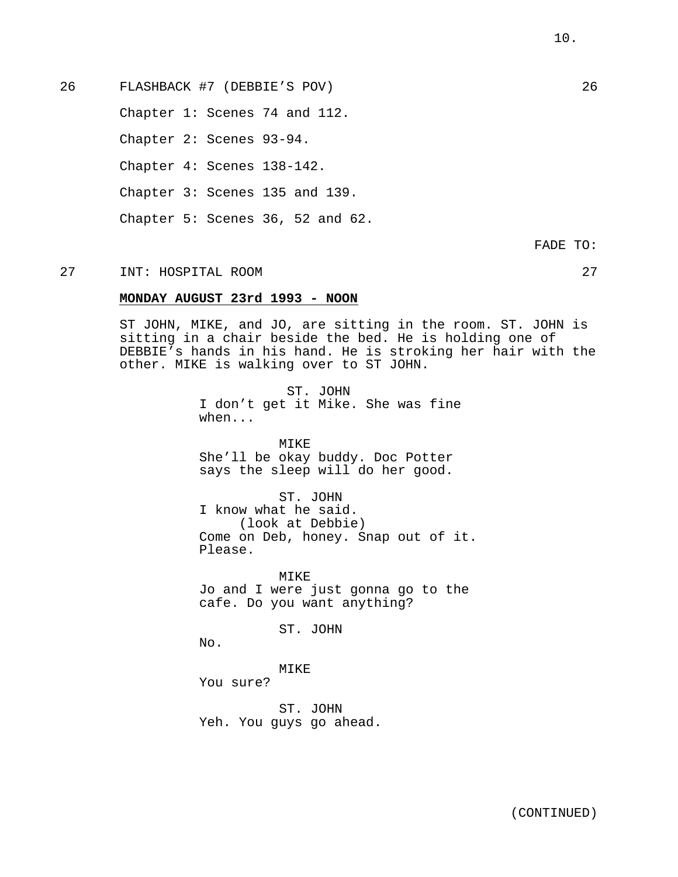Chapter 1: Scenes 74 and 112.

Chapter 2: Scenes 93-94.

Chapter 4: Scenes 138-142.

Chapter 3: Scenes 135 and 139.

Chapter 5: Scenes 36, 52 and 62.

FADE TO:

# 27 INT: HOSPITAL ROOM 27

### **MONDAY AUGUST 23rd 1993 - NOON**

ST JOHN, MIKE, and JO, are sitting in the room. ST. JOHN is sitting in a chair beside the bed. He is holding one of DEBBIE's hands in his hand. He is stroking her hair with the other. MIKE is walking over to ST JOHN.

> ST. JOHN I don't get it Mike. She was fine when...

MIKE She'll be okay buddy. Doc Potter says the sleep will do her good.

ST. JOHN I know what he said. (look at Debbie) Come on Deb, honey. Snap out of it. Please.

MIKE Jo and I were just gonna go to the cafe. Do you want anything?

ST. JOHN

No.

MIKE

You sure?

ST. JOHN Yeh. You guys go ahead.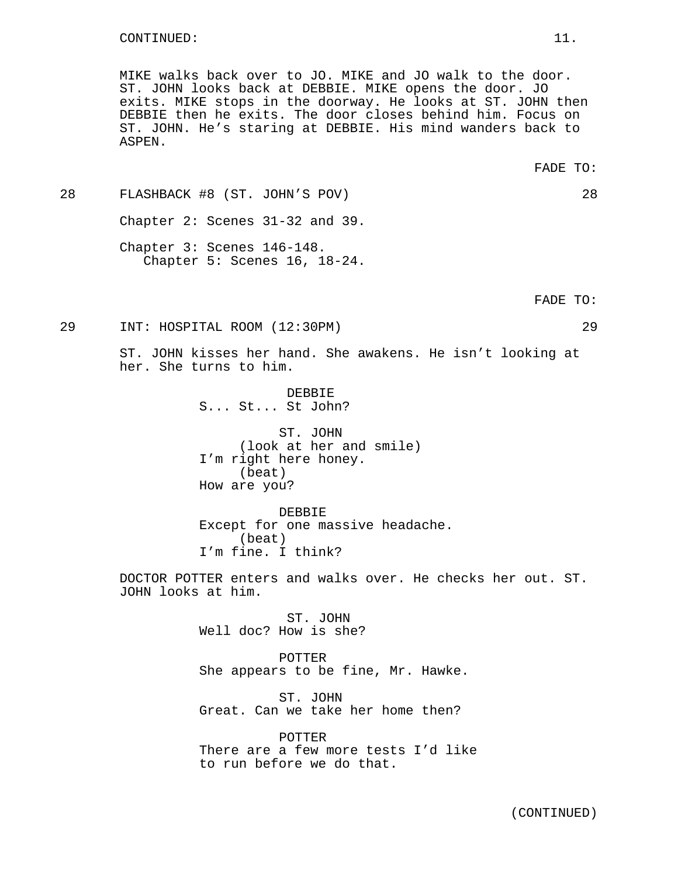MIKE walks back over to JO. MIKE and JO walk to the door. ST. JOHN looks back at DEBBIE. MIKE opens the door. JO exits. MIKE stops in the doorway. He looks at ST. JOHN then DEBBIE then he exits. The door closes behind him. Focus on ST. JOHN. He's staring at DEBBIE. His mind wanders back to ASPEN.

28 FLASHBACK #8 (ST. JOHN'S POV) 28 Chapter 2: Scenes 31-32 and 39. Chapter 3: Scenes 146-148.

Chapter 5: Scenes 16, 18-24.

FADE TO:

29 INT: HOSPITAL ROOM (12:30PM) 29

ST. JOHN kisses her hand. She awakens. He isn't looking at her. She turns to him.

> DEBBIE S... St... St John?

ST. JOHN (look at her and smile) I'm right here honey. (beat) How are you?

DEBBIE Except for one massive headache. (beat) I'm fine. I think?

DOCTOR POTTER enters and walks over. He checks her out. ST. JOHN looks at him.

> ST. JOHN Well doc? How is she?

POTTER She appears to be fine, Mr. Hawke.

ST. JOHN Great. Can we take her home then?

POTTER There are a few more tests I'd like to run before we do that.

FADE TO: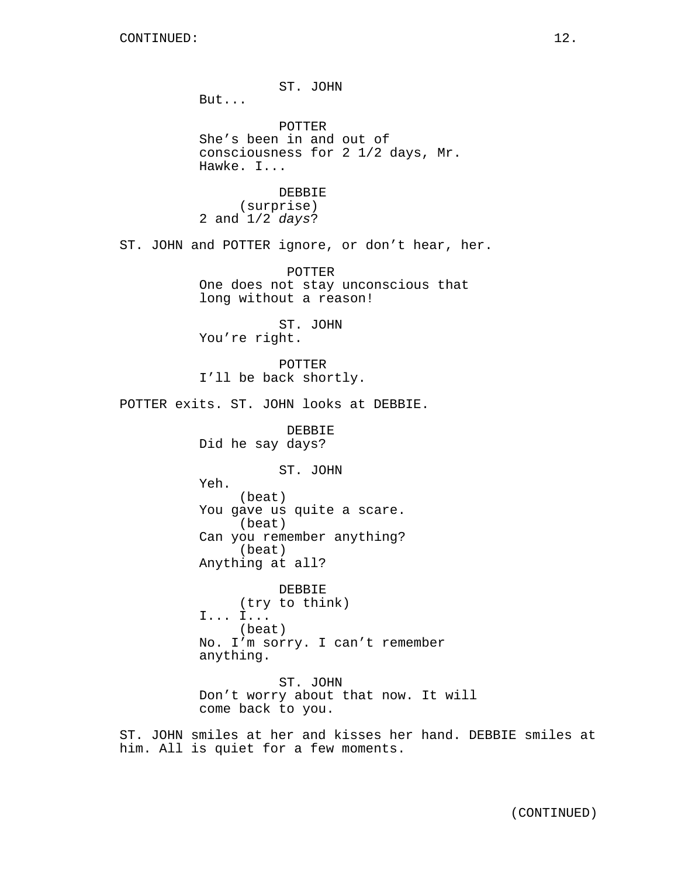ST. JOHN But... POTTER She's been in and out of consciousness for 2 1/2 days, Mr. Hawke. I... DEBBIE (surprise) 2 and 1/2 days? ST. JOHN and POTTER ignore, or don't hear, her. POTTER One does not stay unconscious that long without a reason! ST. JOHN You're right. POTTER I'll be back shortly. POTTER exits. ST. JOHN looks at DEBBIE. DEBBIE Did he say days? ST. JOHN Yeh. (beat) You gave us quite a scare. (beat) Can you remember anything? (beat) Anything at all? DEBBIE (try to think) I... I... (beat) No. I'm sorry. I can't remember anything. ST. JOHN Don't worry about that now. It will come back to you.

ST. JOHN smiles at her and kisses her hand. DEBBIE smiles at him. All is quiet for a few moments.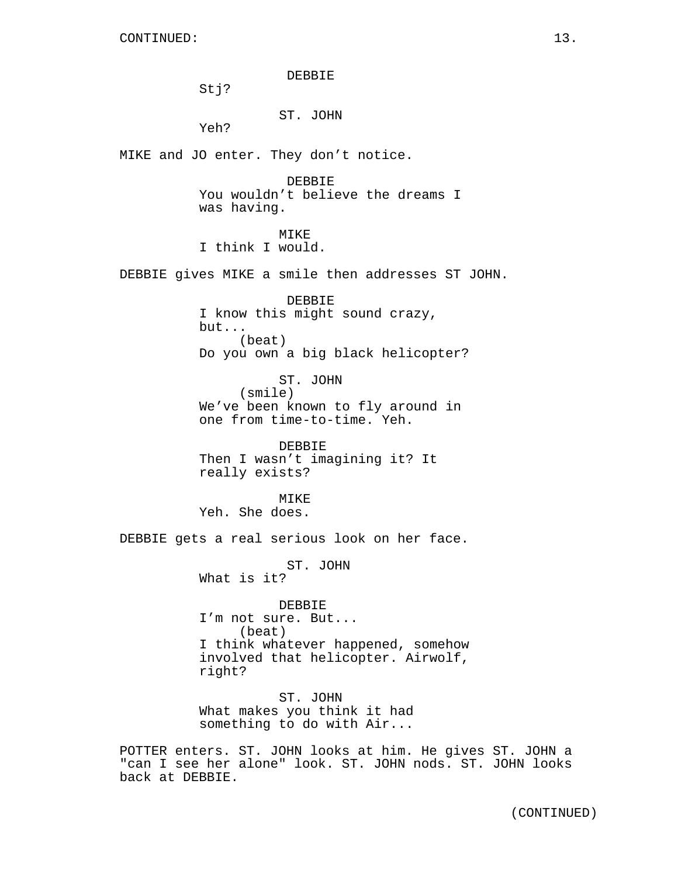DEBBIE

Stj?

## ST. JOHN

Yeh?

MIKE and JO enter. They don't notice.

DEBBIE You wouldn't believe the dreams I was having.

MTK<sub>E</sub>

I think I would.

DEBBIE gives MIKE a smile then addresses ST JOHN.

DEBBIE I know this might sound crazy, but... (beat) Do you own a big black helicopter?

ST. JOHN (smile) We've been known to fly around in one from time-to-time. Yeh.

DEBBIE Then I wasn't imagining it? It really exists?

MIKE Yeh. She does.

DEBBIE gets a real serious look on her face.

ST. JOHN

What is it?

DEBBIE I'm not sure. But... (beat) I think whatever happened, somehow involved that helicopter. Airwolf, right?

ST. JOHN What makes you think it had something to do with Air...

POTTER enters. ST. JOHN looks at him. He gives ST. JOHN a "can I see her alone" look. ST. JOHN nods. ST. JOHN looks back at DEBBIE.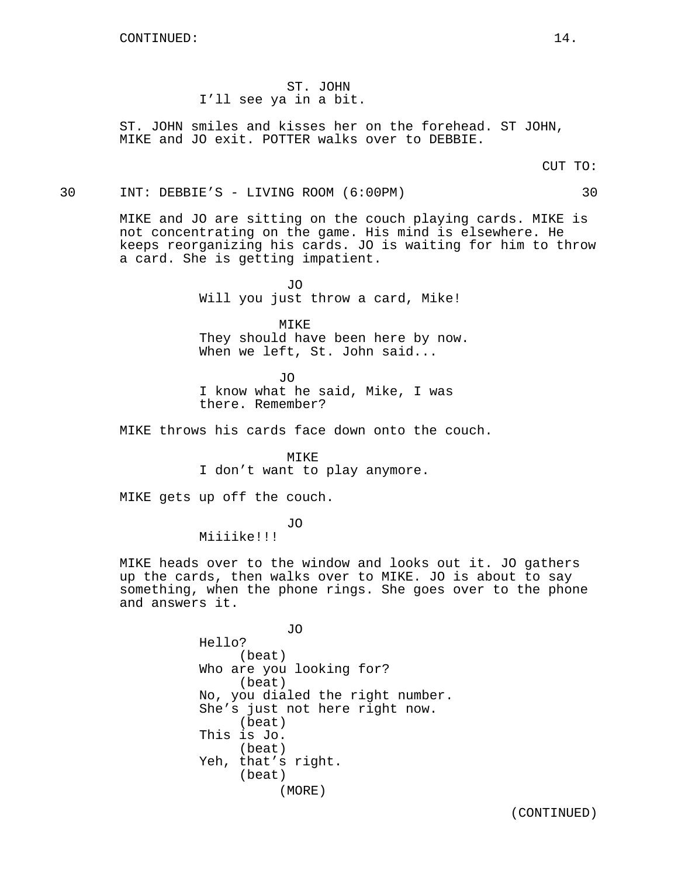ST. JOHN I'll see ya in a bit.

ST. JOHN smiles and kisses her on the forehead. ST JOHN, MIKE and JO exit. POTTER walks over to DEBBIE.

CUT TO:

30 INT: DEBBIE'S - LIVING ROOM (6:00PM) 30

MIKE and JO are sitting on the couch playing cards. MIKE is not concentrating on the game. His mind is elsewhere. He keeps reorganizing his cards. JO is waiting for him to throw a card. She is getting impatient.

> JO Will you just throw a card, Mike!

> > MIKE

They should have been here by now. When we left, St. John said...

JO I know what he said, Mike, I was there. Remember?

MIKE throws his cards face down onto the couch.

MIKE I don't want to play anymore.

MIKE gets up off the couch.

JO

Miiiike!!!

MIKE heads over to the window and looks out it. JO gathers up the cards, then walks over to MIKE. JO is about to say something, when the phone rings. She goes over to the phone and answers it.

> JO Hello? (beat) Who are you looking for? (beat) No, you dialed the right number. She's just not here right now. (beat) This is Jo. (beat) Yeh, that's right. (beat) (MORE)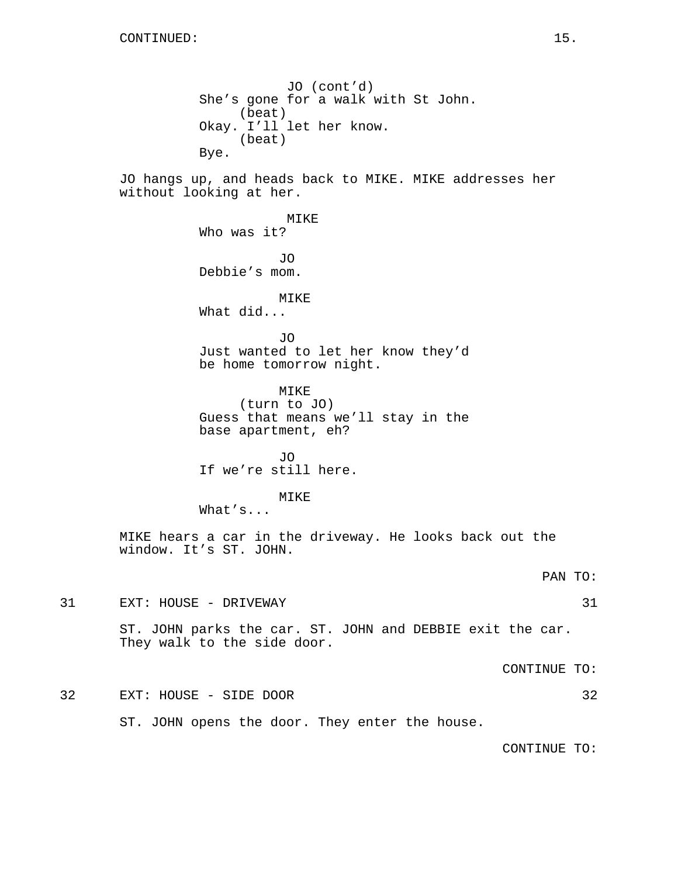JO (cont'd) She's gone for a walk with St John. (beat) Okay. I'll let her know. (beat) Bye.

JO hangs up, and heads back to MIKE. MIKE addresses her without looking at her.

> MIKE Who was it? JO Debbie's mom. MIKE What did... JO Just wanted to let her know they'd be home tomorrow night.

MIKE (turn to JO) Guess that means we'll stay in the base apartment, eh?

JO If we're still here.

MIKE

What's...

MIKE hears a car in the driveway. He looks back out the window. It's ST. JOHN.

PAN TO:

31 EXT: HOUSE - DRIVEWAY 31

ST. JOHN parks the car. ST. JOHN and DEBBIE exit the car. They walk to the side door.

CONTINUE TO:

32 EXT: HOUSE - SIDE DOOR 32

ST. JOHN opens the door. They enter the house.

CONTINUE TO: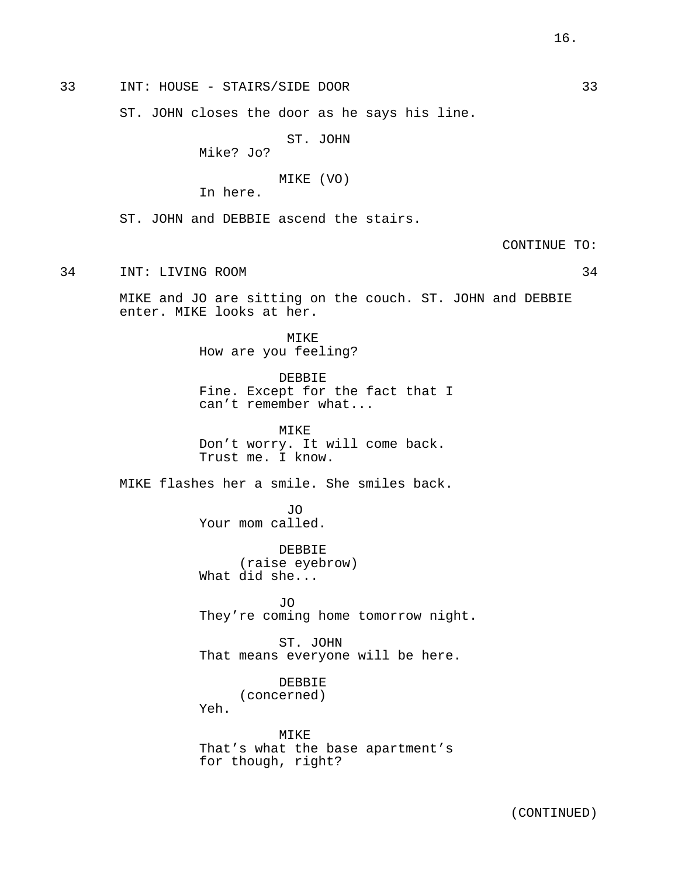33 INT: HOUSE - STAIRS/SIDE DOOR 33

ST. JOHN closes the door as he says his line.

ST. JOHN

Mike? Jo?

MIKE (VO)

In here.

ST. JOHN and DEBBIE ascend the stairs.

CONTINUE TO:

34 INT: LIVING ROOM 34

MIKE and JO are sitting on the couch. ST. JOHN and DEBBIE enter. MIKE looks at her.

> MIKE How are you feeling?

DEBBIE Fine. Except for the fact that I can't remember what...

MIKE Don't worry. It will come back. Trust me. I know.

MIKE flashes her a smile. She smiles back.

JO Your mom called.

DEBBIE (raise eyebrow) What did she...

JO They're coming home tomorrow night.

ST. JOHN That means everyone will be here.

# DEBBIE (concerned)

Yeh.

MIKE That's what the base apartment's for though, right?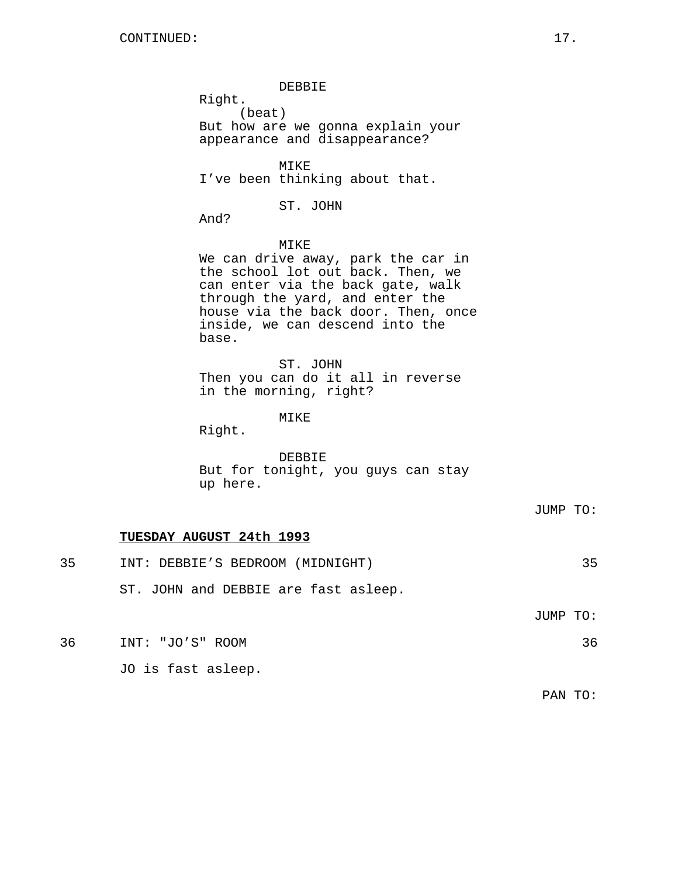DEBBIE

Right.

(beat)

But how are we gonna explain your appearance and disappearance?

MIKE I've been thinking about that.

ST. JOHN

And?

# MIKE

We can drive away, park the car in the school lot out back. Then, we can enter via the back gate, walk through the yard, and enter the house via the back door. Then, once inside, we can descend into the base.

ST. JOHN Then you can do it all in reverse in the morning, right?

MIKE

Right.

DEBBIE But for tonight, you guys can stay up here.

# **TUESDAY AUGUST 24th 1993**

| 35 | INT: DEBBIE'S BEDROOM (MIDNIGHT)     | 35       |
|----|--------------------------------------|----------|
|    | ST. JOHN and DEBBIE are fast asleep. |          |
|    |                                      | JUMP TO: |
|    |                                      |          |

36 INT: "JO'S" ROOM 36

JO is fast asleep.

PAN TO: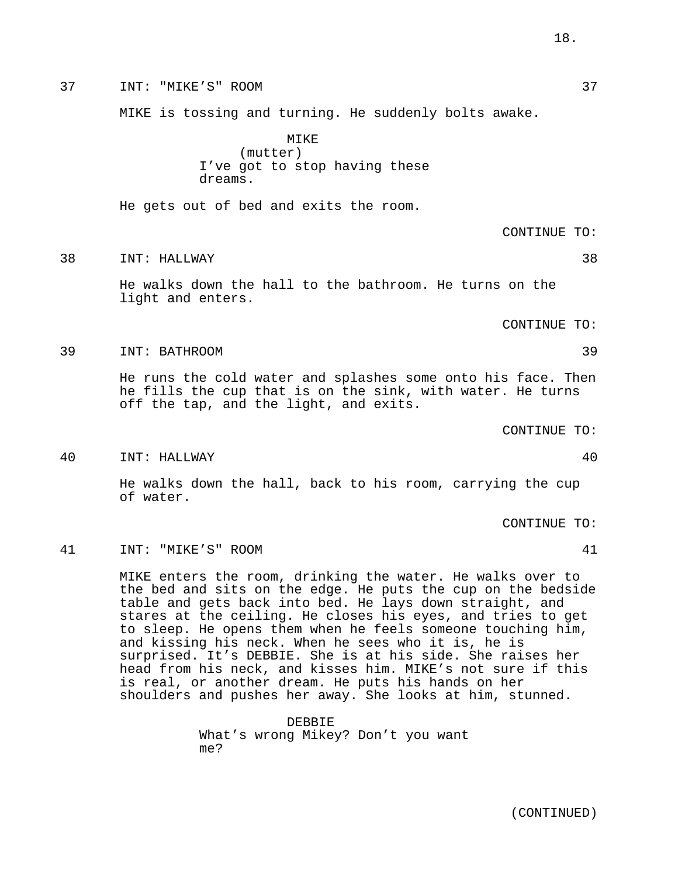37 INT: "MIKE'S" ROOM 37

MIKE is tossing and turning. He suddenly bolts awake.

MIKE (mutter) I've got to stop having these dreams.

He gets out of bed and exits the room.

CONTINUE TO:

#### 38 INT: HALLWAY 38

He walks down the hall to the bathroom. He turns on the light and enters.

CONTINUE TO:

39 INT: BATHROOM 39

He runs the cold water and splashes some onto his face. Then he fills the cup that is on the sink, with water. He turns off the tap, and the light, and exits.

CONTINUE TO:

40 INT: HALLWAY 40

He walks down the hall, back to his room, carrying the cup of water.

CONTINUE TO:

41 INT: "MIKE'S" ROOM 41

MIKE enters the room, drinking the water. He walks over to the bed and sits on the edge. He puts the cup on the bedside table and gets back into bed. He lays down straight, and stares at the ceiling. He closes his eyes, and tries to get to sleep. He opens them when he feels someone touching him, and kissing his neck. When he sees who it is, he is surprised. It's DEBBIE. She is at his side. She raises her head from his neck, and kisses him. MIKE's not sure if this is real, or another dream. He puts his hands on her shoulders and pushes her away. She looks at him, stunned.

> DEBBIE What's wrong Mikey? Don't you want me?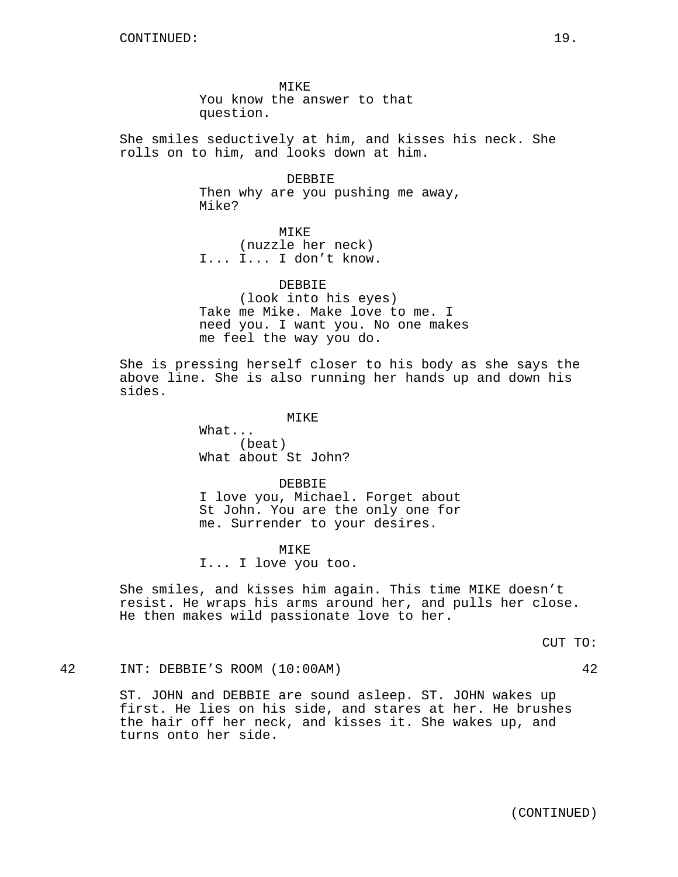MIKE You know the answer to that question.

She smiles seductively at him, and kisses his neck. She rolls on to him, and looks down at him.

> DEBBIE Then why are you pushing me away, Mike?

MIKE (nuzzle her neck) I... I... I don't know.

DEBBIE (look into his eyes) Take me Mike. Make love to me. I need you. I want you. No one makes me feel the way you do.

She is pressing herself closer to his body as she says the above line. She is also running her hands up and down his sides.

MIKE

What... (beat) What about St John?

DEBBIE I love you, Michael. Forget about St John. You are the only one for me. Surrender to your desires.

MIKE I... I love you too.

She smiles, and kisses him again. This time MIKE doesn't resist. He wraps his arms around her, and pulls her close. He then makes wild passionate love to her.

CUT TO:

42 INT: DEBBIE'S ROOM (10:00AM) 42

ST. JOHN and DEBBIE are sound asleep. ST. JOHN wakes up first. He lies on his side, and stares at her. He brushes the hair off her neck, and kisses it. She wakes up, and turns onto her side.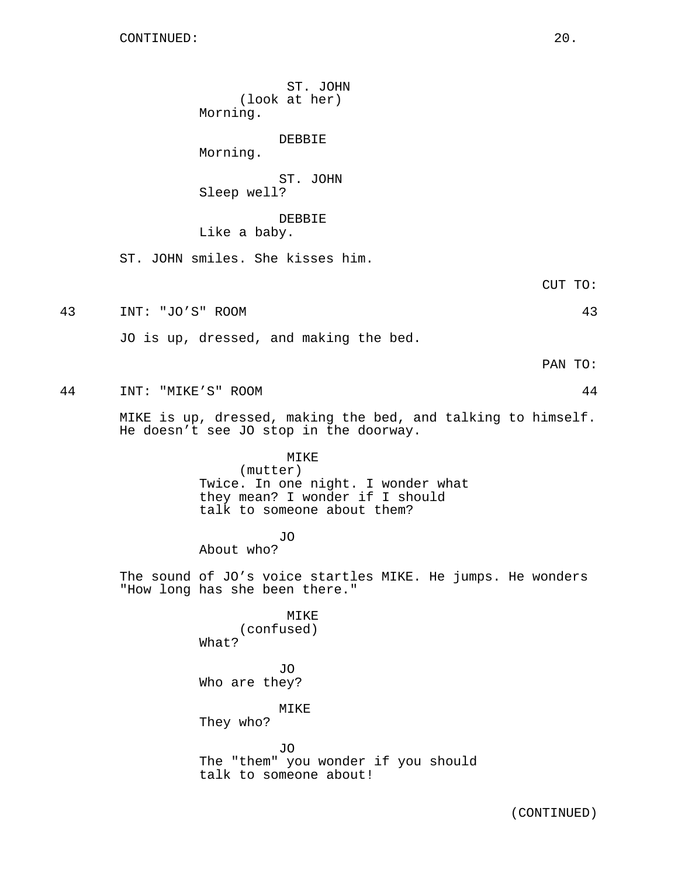ST. JOHN (look at her) Morning. DEBBIE Morning. ST. JOHN Sleep well? DEBBIE Like a baby. ST. JOHN smiles. She kisses him. CUT TO: 43 INT: "JO'S" ROOM 43 JO is up, dressed, and making the bed. PAN TO: 44 INT: "MIKE'S" ROOM 44 MIKE is up, dressed, making the bed, and talking to himself. He doesn't see JO stop in the doorway. MIKE (mutter) Twice. In one night. I wonder what they mean? I wonder if I should talk to someone about them? JO About who? The sound of JO's voice startles MIKE. He jumps. He wonders "How long has she been there." MIKE (confused) What? JO Who are they? MIKE They who? JO The "them" you wonder if you should talk to someone about!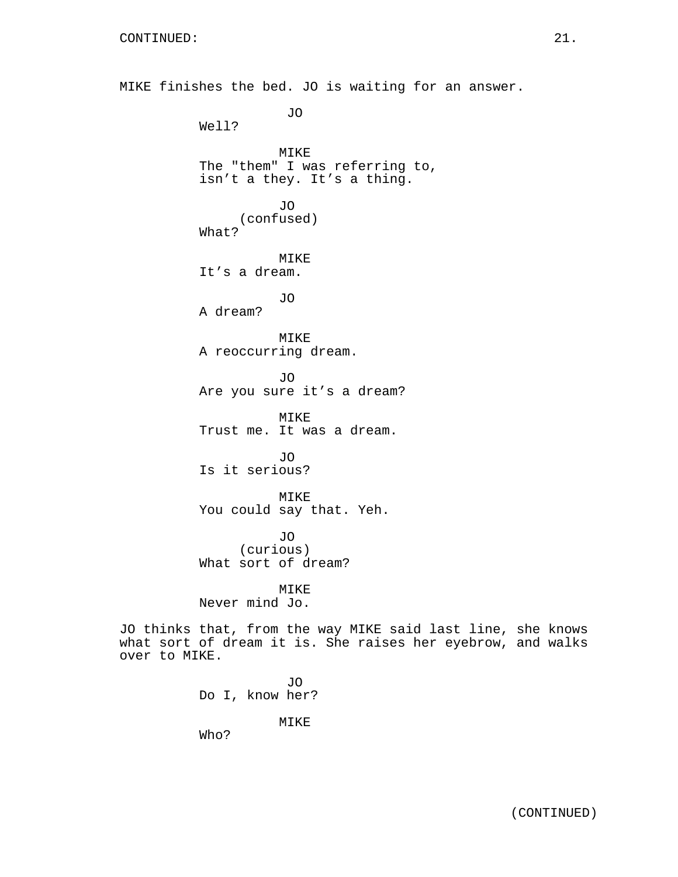MIKE finishes the bed. JO is waiting for an answer. JO Well? MIKE The "them" I was referring to, isn't a they. It's a thing. JO (confused) What? MIKE It's a dream. JO A dream?

> MIKE A reoccurring dream.

JO Are you sure it's a dream?

MIKE Trust me. It was a dream.

JO Is it serious?

MIKE You could say that. Yeh.

JO (curious) What sort of dream?

MIKE Never mind Jo.

JO thinks that, from the way MIKE said last line, she knows what sort of dream it is. She raises her eyebrow, and walks over to MIKE.

> JO Do I, know her? MIKE Who?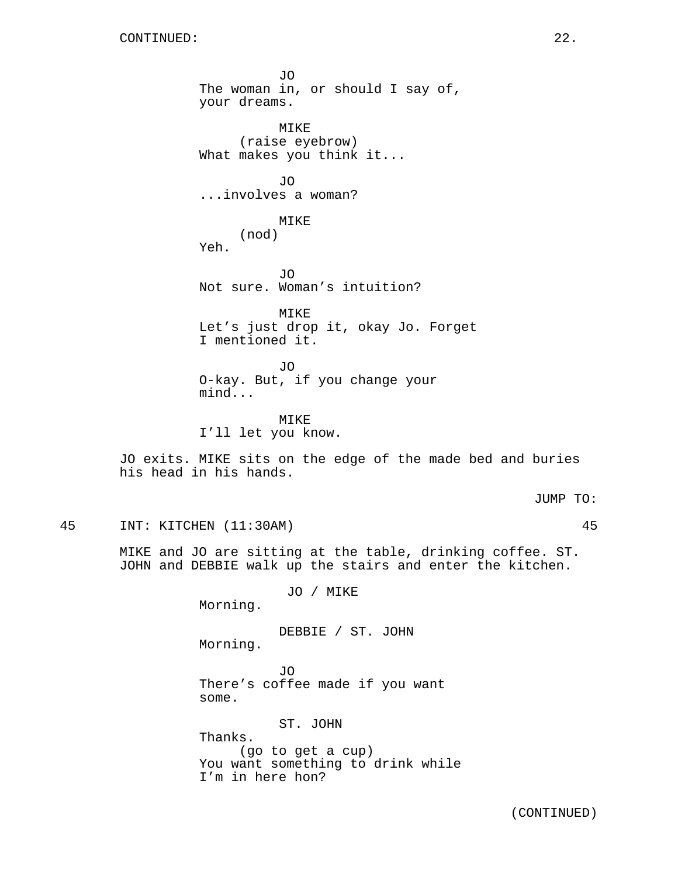JO The woman in, or should I say of, your dreams. MIKE (raise eyebrow) What makes you think it... JO ...involves a woman? MIKE (nod) Yeh. JO Not sure. Woman's intuition? MIKE Let's just drop it, okay Jo. Forget I mentioned it. JO O-kay. But, if you change your mind... MIKE I'll let you know. JO exits. MIKE sits on the edge of the made bed and buries his head in his hands. JUMP TO: 45 INT: KITCHEN (11:30AM) 45 MIKE and JO are sitting at the table, drinking coffee. ST. JOHN and DEBBIE walk up the stairs and enter the kitchen. JO / MIKE Morning. DEBBIE / ST. JOHN Morning. JO There's coffee made if you want some. ST. JOHN

Thanks. (go to get a cup) You want something to drink while I'm in here hon?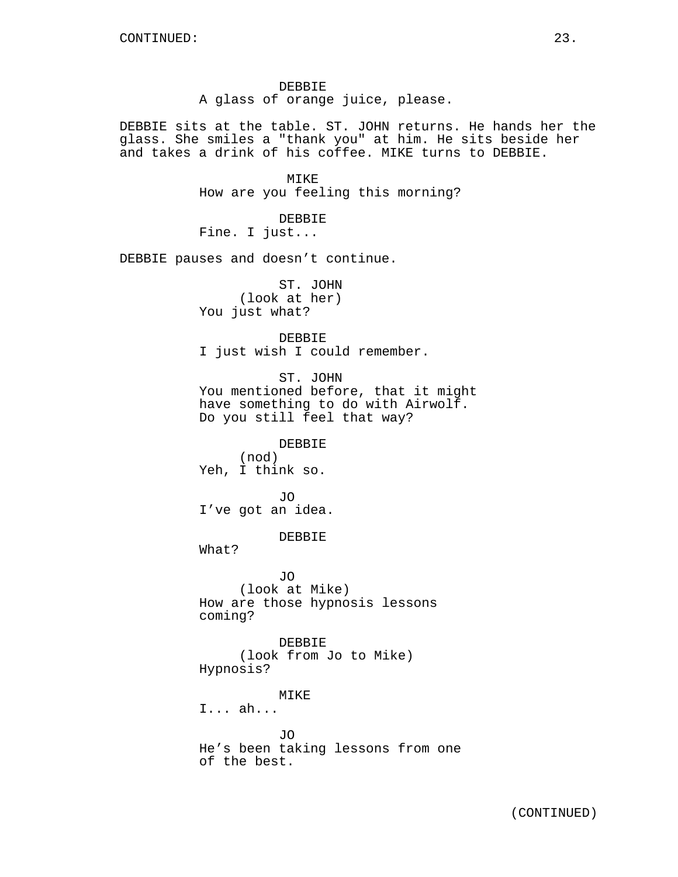DEBBIE A glass of orange juice, please.

DEBBIE sits at the table. ST. JOHN returns. He hands her the glass. She smiles a "thank you" at him. He sits beside her and takes a drink of his coffee. MIKE turns to DEBBIE.

> MTK<sub>E</sub> How are you feeling this morning?

DEBBIE Fine. I just...

DEBBIE pauses and doesn't continue.

ST. JOHN (look at her) You just what?

# DEBBIE

I just wish I could remember.

ST. JOHN You mentioned before, that it might have something to do with Airwolf. Do you still feel that way?

DEBBIE (nod) Yeh, I think so.

JO I've got an idea.

### DEBBIE

What?

JO (look at Mike) How are those hypnosis lessons coming?

DEBBIE (look from Jo to Mike) Hypnosis?

# MIKE

I... ah...

JO He's been taking lessons from one of the best.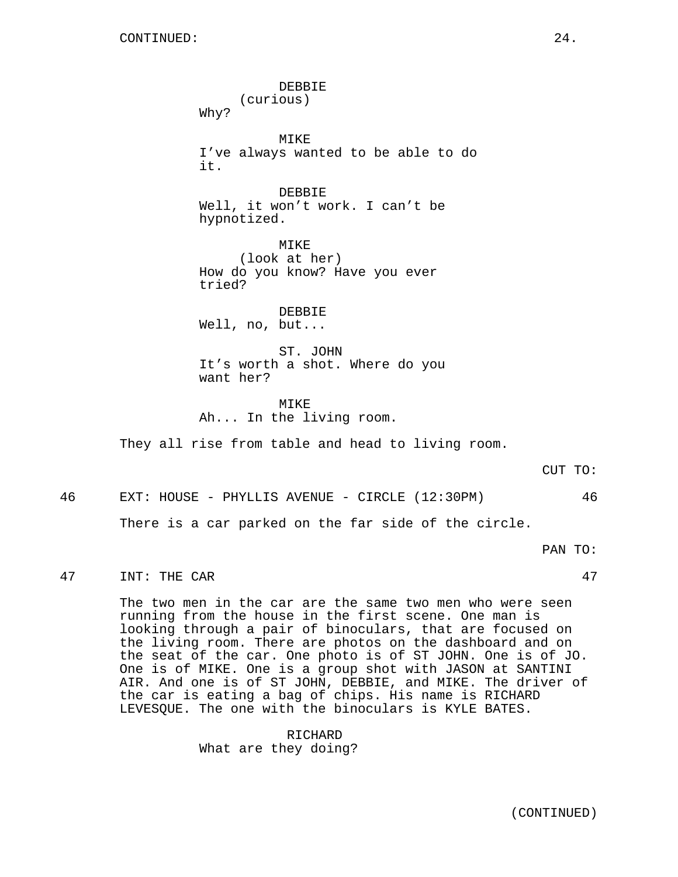DEBBIE (curious) Why? MIKE I've always wanted to be able to do it. DEBBIE Well, it won't work. I can't be hypnotized. MIKE (look at her) How do you know? Have you ever tried? DEBBIE Well, no, but... ST. JOHN It's worth a shot. Where do you want her? MTKF. Ah... In the living room. They all rise from table and head to living room.

CUT TO:

46 EXT: HOUSE - PHYLLIS AVENUE - CIRCLE (12:30PM) 46

There is a car parked on the far side of the circle.

PAN TO:

47 INT: THE CAR 47

The two men in the car are the same two men who were seen running from the house in the first scene. One man is looking through a pair of binoculars, that are focused on the living room. There are photos on the dashboard and on the seat of the car. One photo is of ST JOHN. One is of JO. One is of MIKE. One is a group shot with JASON at SANTINI AIR. And one is of ST JOHN, DEBBIE, and MIKE. The driver of the car is eating a bag of chips. His name is RICHARD LEVESQUE. The one with the binoculars is KYLE BATES.

> RICHARD What are they doing?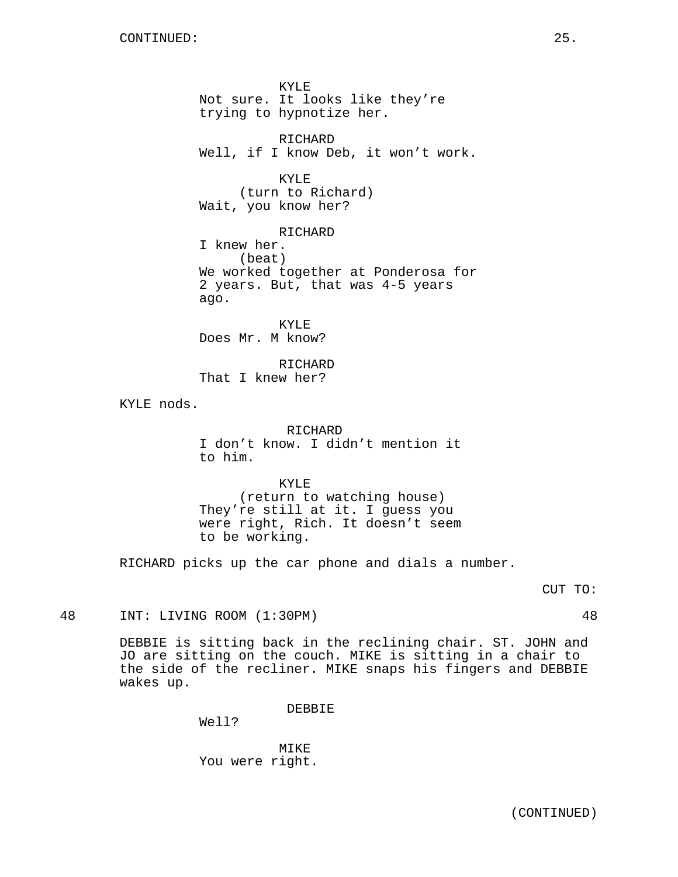KYLE Not sure. It looks like they're trying to hypnotize her. RICHARD Well, if I know Deb, it won't work. KYLE (turn to Richard) Wait, you know her? RICHARD I knew her. (beat) We worked together at Ponderosa for 2 years. But, that was 4-5 years ago. KYLE Does Mr. M know?

RICHARD That I knew her?

KYLE nods.

RICHARD I don't know. I didn't mention it to him.

KYLE (return to watching house) They're still at it. I guess you were right, Rich. It doesn't seem to be working.

RICHARD picks up the car phone and dials a number.

CUT TO:

48 INT: LIVING ROOM (1:30PM) 48

DEBBIE is sitting back in the reclining chair. ST. JOHN and JO are sitting on the couch. MIKE is sitting in a chair to the side of the recliner. MIKE snaps his fingers and DEBBIE wakes up.

DEBBIE

Well?

MIKE You were right.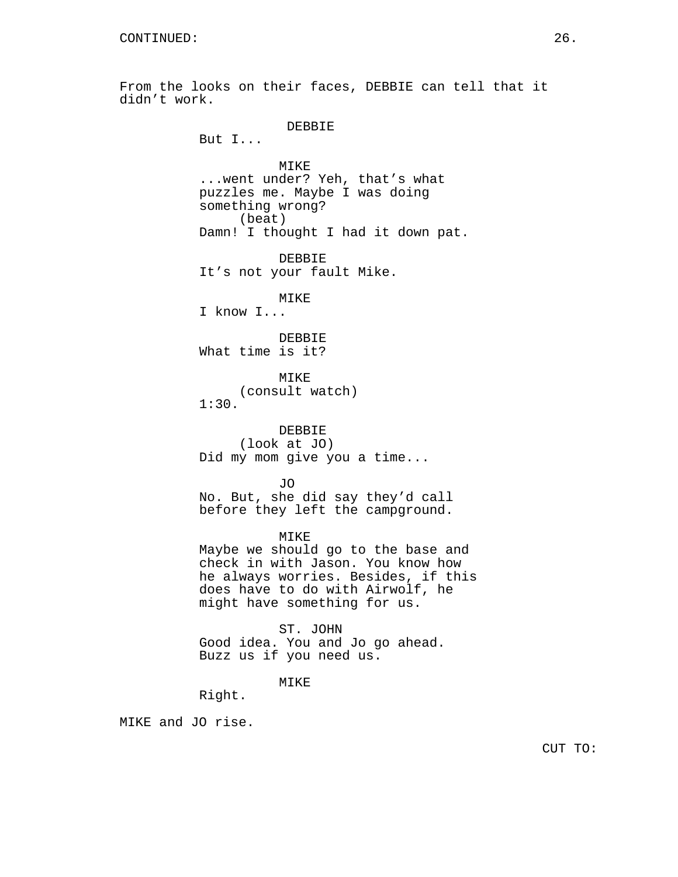From the looks on their faces, DEBBIE can tell that it didn't work. DEBBIE But I... MIKE

...went under? Yeh, that's what puzzles me. Maybe I was doing something wrong? (beat) Damn! I thought I had it down pat.

DEBBIE It's not your fault Mike.

MIKE

I know I...

DEBBIE What time is it?

MIKE (consult watch) 1:30.

DEBBIE (look at JO) Did my mom give you a time...

JO No. But, she did say they'd call before they left the campground.

MIKE

Maybe we should go to the base and check in with Jason. You know how he always worries. Besides, if this does have to do with Airwolf, he might have something for us.

ST. JOHN Good idea. You and Jo go ahead. Buzz us if you need us.

MIKE

Right.

MIKE and JO rise.

CUT TO: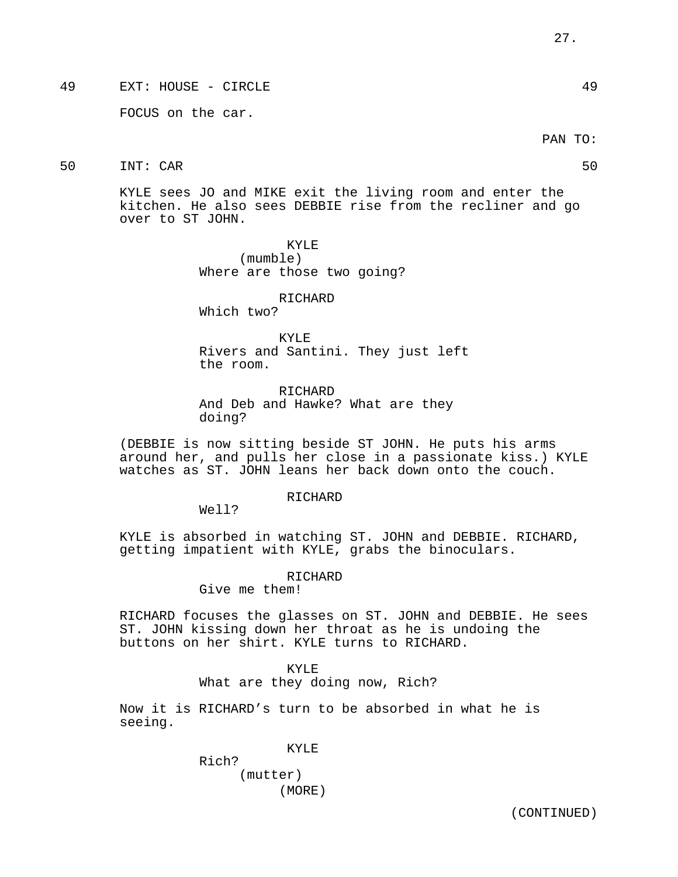49 EXT: HOUSE - CIRCLE 49

FOCUS on the car.

PAN TO:

50 INT: CAR 50

KYLE sees JO and MIKE exit the living room and enter the kitchen. He also sees DEBBIE rise from the recliner and go over to ST JOHN.

> KYLE (mumble) Where are those two going?

RICHARD Which two?

KYLE Rivers and Santini. They just left the room.

RICHARD And Deb and Hawke? What are they doing?

(DEBBIE is now sitting beside ST JOHN. He puts his arms around her, and pulls her close in a passionate kiss.) KYLE watches as ST. JOHN leans her back down onto the couch.

RICHARD

Well?

KYLE is absorbed in watching ST. JOHN and DEBBIE. RICHARD, getting impatient with KYLE, grabs the binoculars.

RICHARD

Give me them!

RICHARD focuses the glasses on ST. JOHN and DEBBIE. He sees ST. JOHN kissing down her throat as he is undoing the buttons on her shirt. KYLE turns to RICHARD.

KYLE

What are they doing now, Rich?

Now it is RICHARD's turn to be absorbed in what he is seeing.

KYLE

Rich? (mutter) (MORE)

(CONTINUED)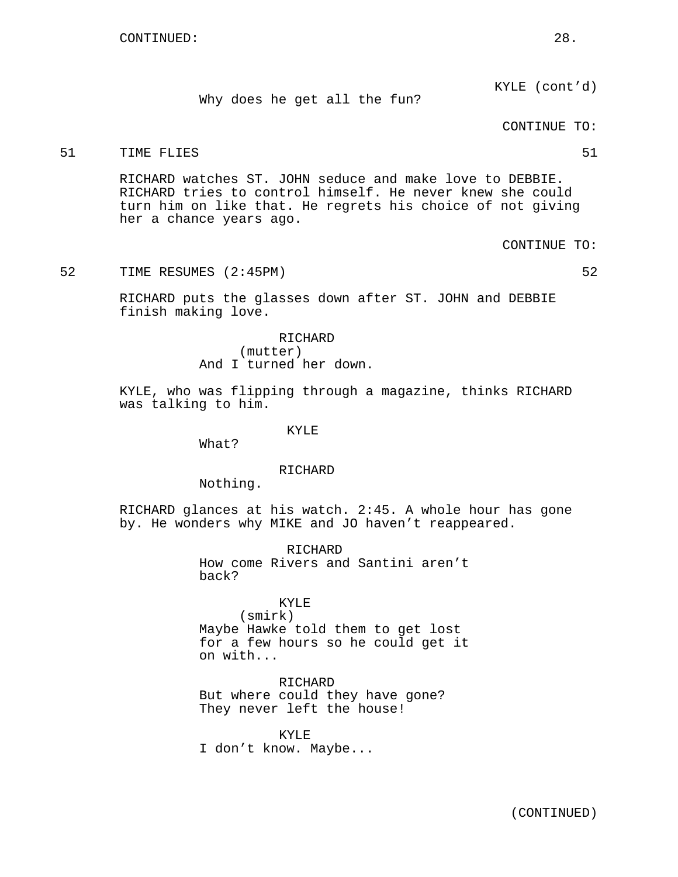KYLE (cont'd)

Why does he get all the fun?

CONTINUE TO:

# 51 TIME FLIES 51

RICHARD watches ST. JOHN seduce and make love to DEBBIE. RICHARD tries to control himself. He never knew she could turn him on like that. He regrets his choice of not giving her a chance years ago.

CONTINUE TO:

52 TIME RESUMES (2:45PM) 52

RICHARD puts the glasses down after ST. JOHN and DEBBIE finish making love.

> RICHARD (mutter) And I turned her down.

KYLE, who was flipping through a magazine, thinks RICHARD was talking to him.

KYLE

What?

#### RICHARD

Nothing.

RICHARD glances at his watch. 2:45. A whole hour has gone by. He wonders why MIKE and JO haven't reappeared.

> RICHARD How come Rivers and Santini aren't back?

# KYLE

(smirk) Maybe Hawke told them to get lost for a few hours so he could get it on with...

RICHARD But where could they have gone? They never left the house!

KYLE I don't know. Maybe...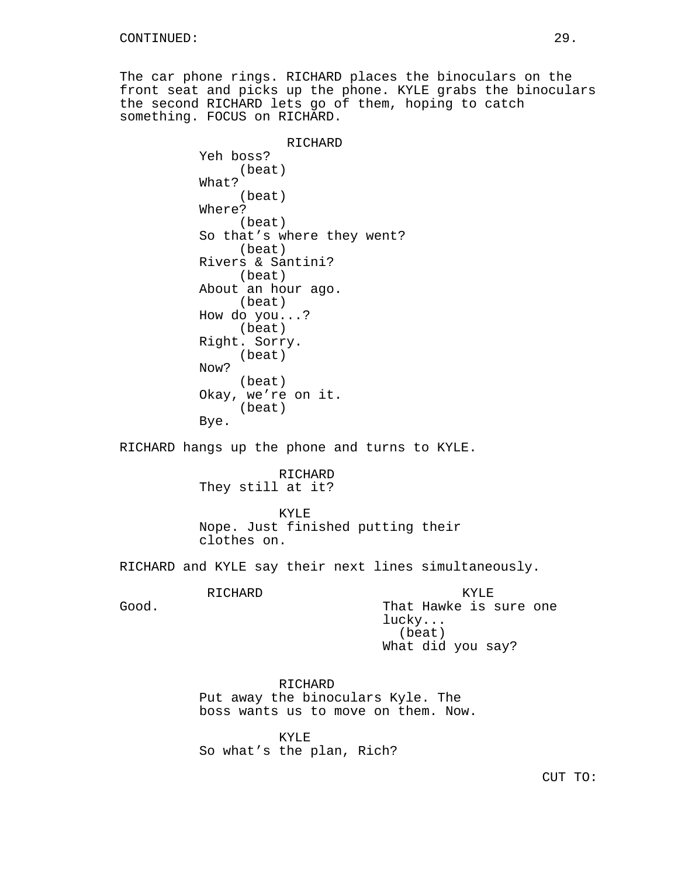The car phone rings. RICHARD places the binoculars on the front seat and picks up the phone. KYLE grabs the binoculars the second RICHARD lets go of them, hoping to catch something. FOCUS on RICHARD.

> RICHARD Yeh boss? (beat) What? (beat) Where? (beat) So that's where they went? (beat) Rivers & Santini? (beat) About an hour ago. (beat) How do you...? (beat) Right. Sorry. (beat) Now? (beat) Okay, we're on it. (beat) Bye.

RICHARD hangs up the phone and turns to KYLE.

RICHARD They still at it?

KYLE Nope. Just finished putting their clothes on.

RICHARD and KYLE say their next lines simultaneously.

RICHARD

Good.

KYLE That Hawke is sure one lucky... (beat) What did you say?

RICHARD Put away the binoculars Kyle. The boss wants us to move on them. Now.

KYLE So what's the plan, Rich?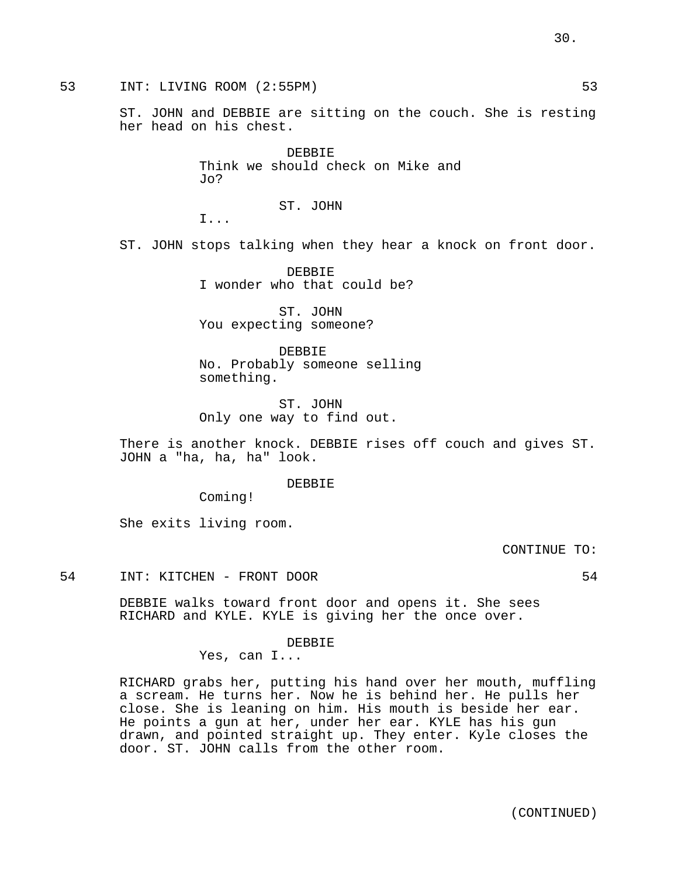53 INT: LIVING ROOM (2:55PM) 53

ST. JOHN and DEBBIE are sitting on the couch. She is resting her head on his chest.

> DEBBIE Think we should check on Mike and Jo?

> > ST. JOHN

I...

ST. JOHN stops talking when they hear a knock on front door.

DEBBIE I wonder who that could be?

ST. JOHN You expecting someone?

DEBBIE No. Probably someone selling something.

ST. JOHN Only one way to find out.

There is another knock. DEBBIE rises off couch and gives ST. JOHN a "ha, ha, ha" look.

DEBBIE

Coming!

She exits living room.

CONTINUE TO:

54 INT: KITCHEN - FRONT DOOR 54

DEBBIE walks toward front door and opens it. She sees RICHARD and KYLE. KYLE is giving her the once over.

DEBBIE

Yes, can I...

RICHARD grabs her, putting his hand over her mouth, muffling a scream. He turns her. Now he is behind her. He pulls her close. She is leaning on him. His mouth is beside her ear. He points a gun at her, under her ear. KYLE has his gun drawn, and pointed straight up. They enter. Kyle closes the door. ST. JOHN calls from the other room.

30.

(CONTINUED)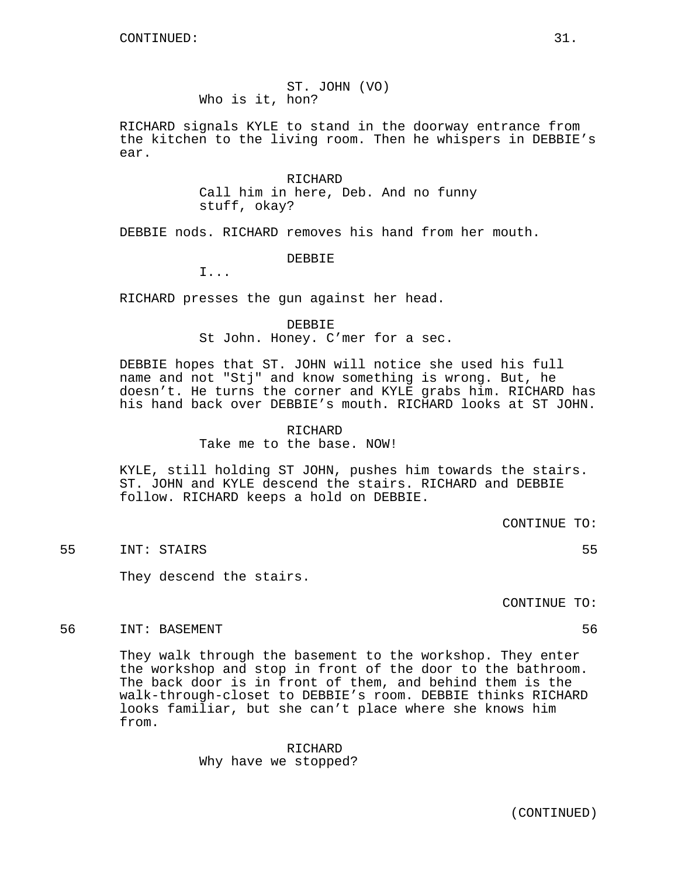ST. JOHN (VO) Who is it, hon?

RICHARD signals KYLE to stand in the doorway entrance from the kitchen to the living room. Then he whispers in DEBBIE's ear.

> RICHARD Call him in here, Deb. And no funny stuff, okay?

DEBBIE nods. RICHARD removes his hand from her mouth.

DEBBIE

I...

RICHARD presses the gun against her head.

# DEBBIE

St John. Honey. C'mer for a sec.

DEBBIE hopes that ST. JOHN will notice she used his full name and not "Stj" and know something is wrong. But, he doesn't. He turns the corner and KYLE grabs him. RICHARD has his hand back over DEBBIE's mouth. RICHARD looks at ST JOHN.

# RICHARD

Take me to the base. NOW!

KYLE, still holding ST JOHN, pushes him towards the stairs. ST. JOHN and KYLE descend the stairs. RICHARD and DEBBIE follow. RICHARD keeps a hold on DEBBIE.

CONTINUE TO:

55 INT: STAIRS 55

They descend the stairs.

CONTINUE TO:

# 56 INT: BASEMENT 56

They walk through the basement to the workshop. They enter the workshop and stop in front of the door to the bathroom. The back door is in front of them, and behind them is the walk-through-closet to DEBBIE's room. DEBBIE thinks RICHARD looks familiar, but she can't place where she knows him from.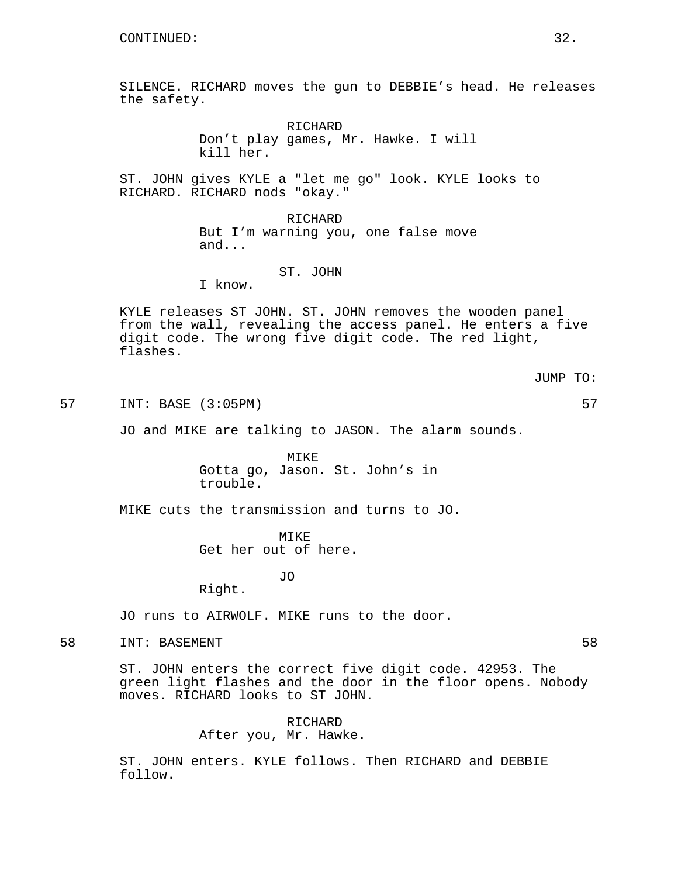SILENCE. RICHARD moves the gun to DEBBIE's head. He releases the safety.

> RICHARD Don't play games, Mr. Hawke. I will kill her.

ST. JOHN gives KYLE a "let me go" look. KYLE looks to RICHARD. RICHARD nods "okay."

> RICHARD But I'm warning you, one false move and...

#### ST. JOHN

I know.

KYLE releases ST JOHN. ST. JOHN removes the wooden panel from the wall, revealing the access panel. He enters a five digit code. The wrong five digit code. The red light, flashes.

JUMP TO:

57 INT: BASE (3:05PM) 57

JO and MIKE are talking to JASON. The alarm sounds.

MIKE Gotta go, Jason. St. John's in trouble.

MIKE cuts the transmission and turns to JO.

MIKE Get her out of here.

JO

Right.

JO runs to AIRWOLF. MIKE runs to the door.

58 INT: BASEMENT 58

ST. JOHN enters the correct five digit code. 42953. The green light flashes and the door in the floor opens. Nobody moves. RICHARD looks to ST JOHN.

> RICHARD After you, Mr. Hawke.

ST. JOHN enters. KYLE follows. Then RICHARD and DEBBIE follow.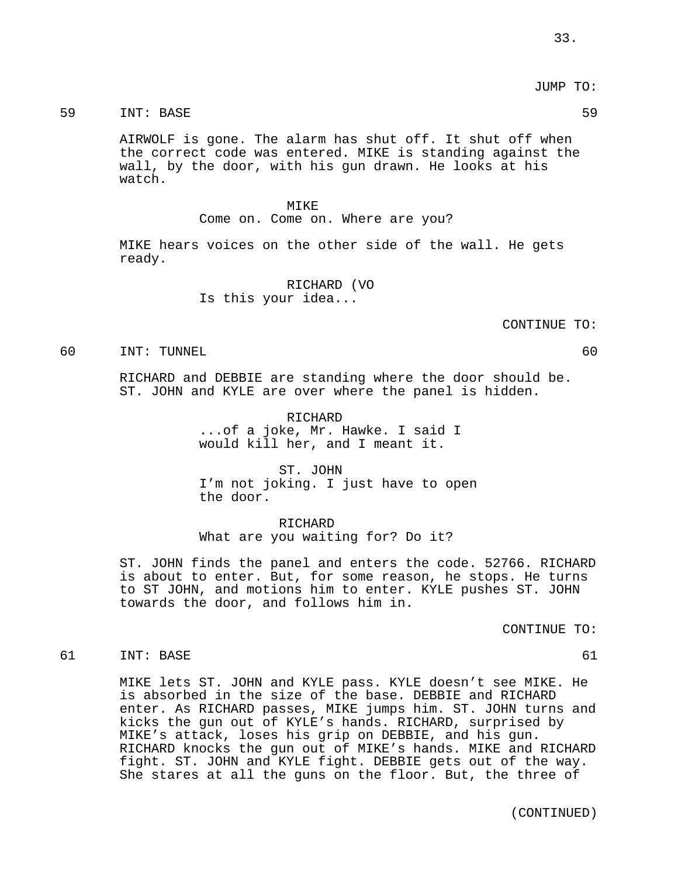JUMP TO:

# 59 INT: BASE 59

AIRWOLF is gone. The alarm has shut off. It shut off when the correct code was entered. MIKE is standing against the wall, by the door, with his gun drawn. He looks at his watch.

#### MIKE

Come on. Come on. Where are you?

MIKE hears voices on the other side of the wall. He gets ready.

> RICHARD (VO Is this your idea...

> > CONTINUE TO:

#### 60 INT: TUNNEL 60

RICHARD and DEBBIE are standing where the door should be. ST. JOHN and KYLE are over where the panel is hidden.

> RICHARD ...of a joke, Mr. Hawke. I said I would kill her, and I meant it.

ST. JOHN I'm not joking. I just have to open the door.

RICHARD What are you waiting for? Do it?

ST. JOHN finds the panel and enters the code. 52766. RICHARD is about to enter. But, for some reason, he stops. He turns to ST JOHN, and motions him to enter. KYLE pushes ST. JOHN towards the door, and follows him in.

CONTINUE TO:

#### 61 INT: BASE 61

MIKE lets ST. JOHN and KYLE pass. KYLE doesn't see MIKE. He is absorbed in the size of the base. DEBBIE and RICHARD enter. As RICHARD passes, MIKE jumps him. ST. JOHN turns and kicks the gun out of KYLE's hands. RICHARD, surprised by MIKE's attack, loses his grip on DEBBIE, and his gun. RICHARD knocks the gun out of MIKE's hands. MIKE and RICHARD fight. ST. JOHN and KYLE fight. DEBBIE gets out of the way. She stares at all the guns on the floor. But, the three of

(CONTINUED)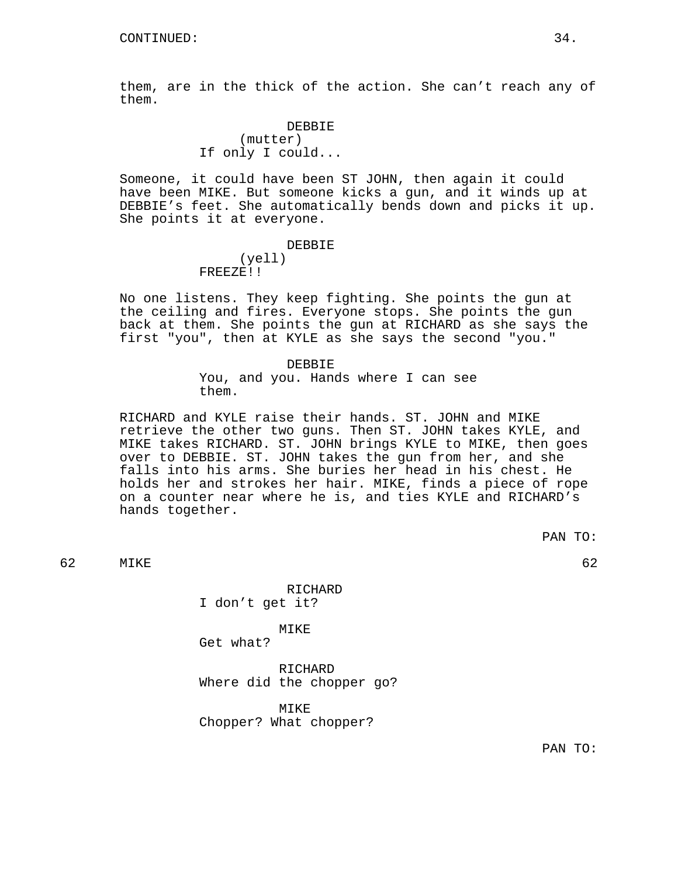them, are in the thick of the action. She can't reach any of them.

# DEBBIE (mutter) If only I could...

Someone, it could have been ST JOHN, then again it could have been MIKE. But someone kicks a gun, and it winds up at DEBBIE's feet. She automatically bends down and picks it up. She points it at everyone.

#### DEBBIE

#### (yell) FREEZE!!

No one listens. They keep fighting. She points the gun at the ceiling and fires. Everyone stops. She points the gun back at them. She points the gun at RICHARD as she says the first "you", then at KYLE as she says the second "you."

> DEBBIE You, and you. Hands where I can see them.

RICHARD and KYLE raise their hands. ST. JOHN and MIKE retrieve the other two guns. Then ST. JOHN takes KYLE, and MIKE takes RICHARD. ST. JOHN brings KYLE to MIKE, then goes over to DEBBIE. ST. JOHN takes the gun from her, and she falls into his arms. She buries her head in his chest. He holds her and strokes her hair. MIKE, finds a piece of rope on a counter near where he is, and ties KYLE and RICHARD's hands together.

PAN TO:

62 MIKE 62

RICHARD I don't get it?

MIKE

Get what?

RICHARD Where did the chopper go?

MIKE Chopper? What chopper?

PAN TO: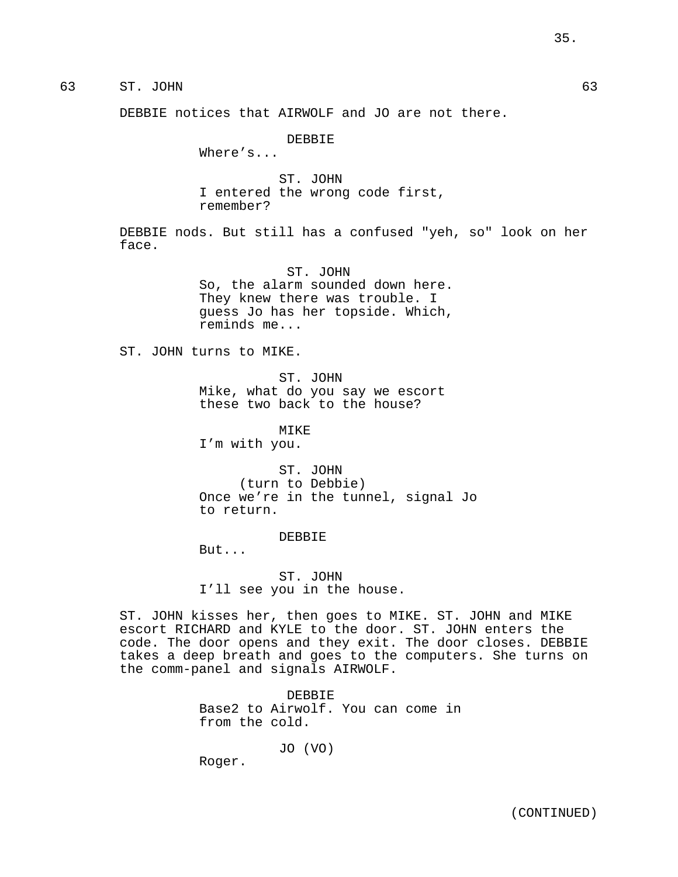# 63 ST. JOHN 63

DEBBIE notices that AIRWOLF and JO are not there.

DEBBIE

Where's...

ST. JOHN I entered the wrong code first, remember?

DEBBIE nods. But still has a confused "yeh, so" look on her face.

> ST. JOHN So, the alarm sounded down here. They knew there was trouble. I guess Jo has her topside. Which, reminds me...

ST. JOHN turns to MIKE.

ST. JOHN Mike, what do you say we escort these two back to the house?

MIKE

I'm with you.

ST. JOHN (turn to Debbie) Once we're in the tunnel, signal Jo to return.

#### DEBBIE

But...

ST. JOHN I'll see you in the house.

ST. JOHN kisses her, then goes to MIKE. ST. JOHN and MIKE escort RICHARD and KYLE to the door. ST. JOHN enters the code. The door opens and they exit. The door closes. DEBBIE takes a deep breath and goes to the computers. She turns on the comm-panel and signals AIRWOLF.

> DEBBIE Base2 to Airwolf. You can come in from the cold.

> > JO (VO)

Roger.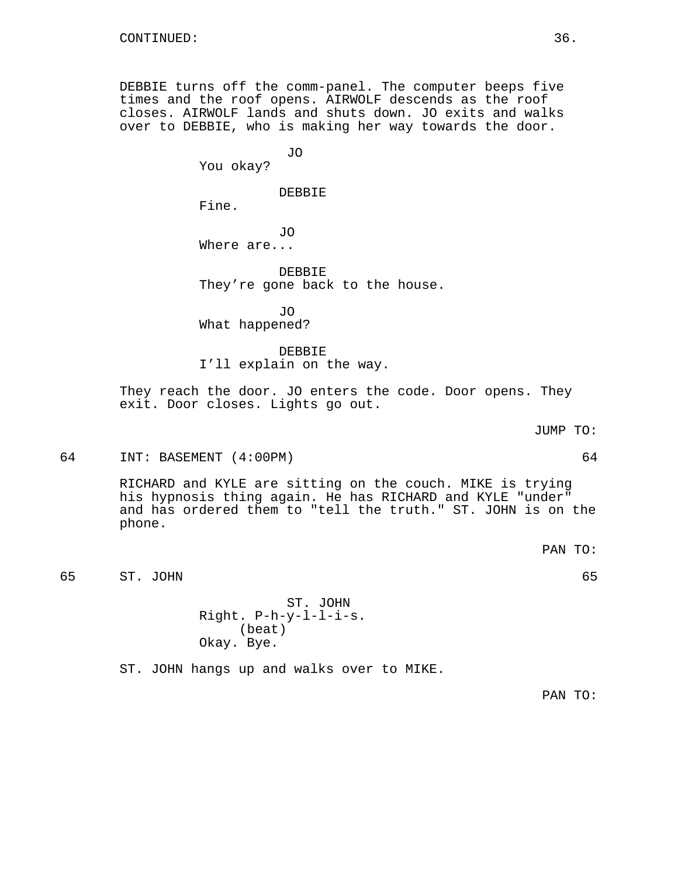DEBBIE turns off the comm-panel. The computer beeps five times and the roof opens. AIRWOLF descends as the roof closes. AIRWOLF lands and shuts down. JO exits and walks over to DEBBIE, who is making her way towards the door.

You okay?

DEBBIE

JO

Fine.

JO Where are...

DEBBIE They're gone back to the house.

JO What happened?

DEBBIE I'll explain on the way.

They reach the door. JO enters the code. Door opens. They exit. Door closes. Lights go out.

JUMP TO:

64 INT: BASEMENT (4:00PM) 64

RICHARD and KYLE are sitting on the couch. MIKE is trying his hypnosis thing again. He has RICHARD and KYLE "under" and has ordered them to "tell the truth." ST. JOHN is on the phone.

PAN TO:

65 ST. JOHN 65

ST. JOHN Right. P-h-y-l-l-i-s. (beat) Okay. Bye.

ST. JOHN hangs up and walks over to MIKE.

PAN TO: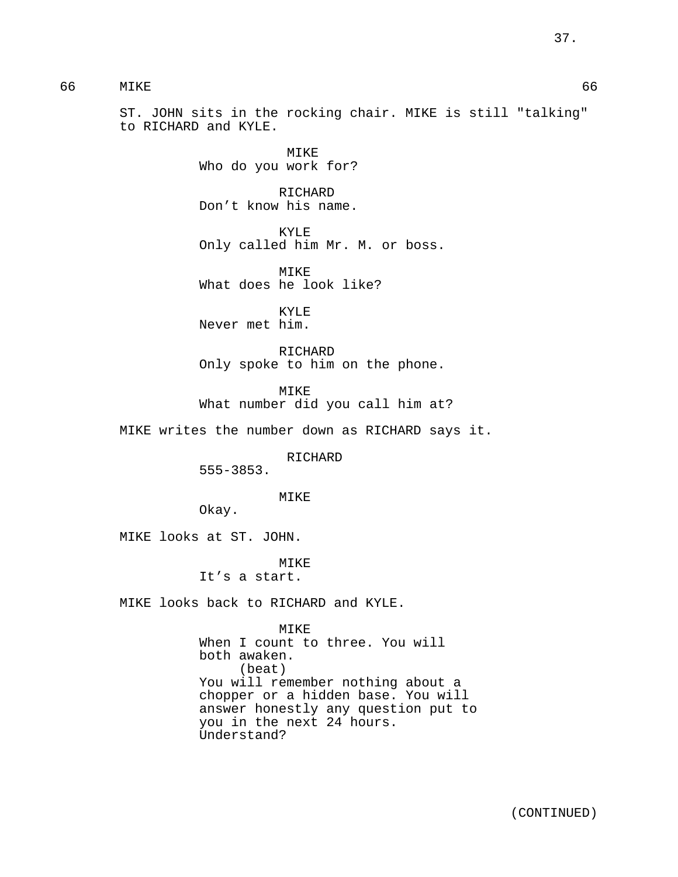# 66 MIKE 66

ST. JOHN sits in the rocking chair. MIKE is still "talking" to RICHARD and KYLE.

> MIKE Who do you work for?

RICHARD Don't know his name.

KYLE Only called him Mr. M. or boss.

MIKE What does he look like?

KYLE Never met him.

RICHARD Only spoke to him on the phone.

MIKE What number did you call him at?

MIKE writes the number down as RICHARD says it.

RICHARD

555-3853.

MIKE

Okay.

MIKE looks at ST. JOHN.

MIKE

It's a start.

MIKE looks back to RICHARD and KYLE.

MIKE When I count to three. You will both awaken. (beat) You will remember nothing about a chopper or a hidden base. You will answer honestly any question put to you in the next 24 hours. Understand?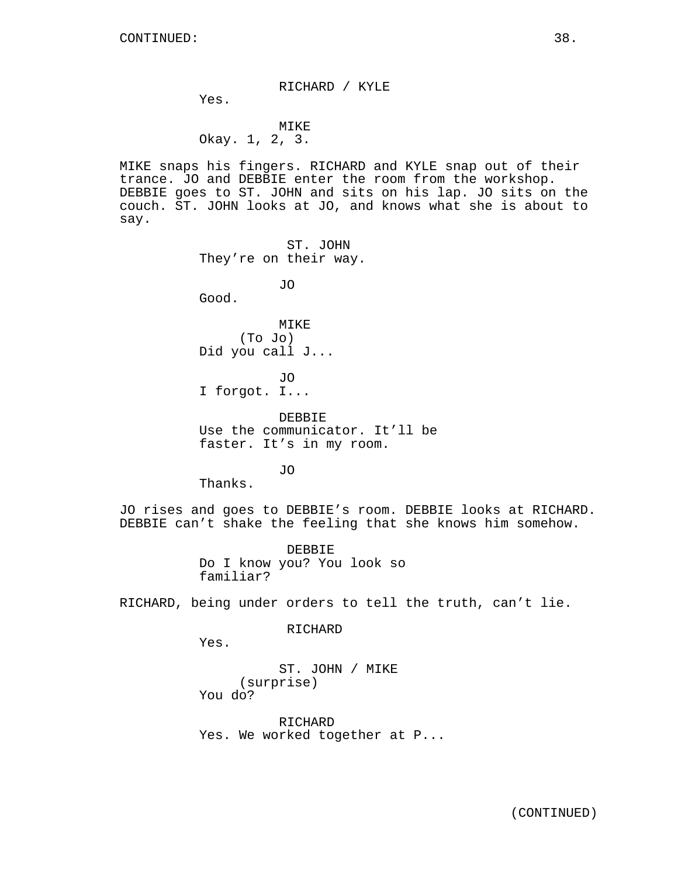RICHARD / KYLE

Yes.

# MIKE Okay. 1, 2, 3.

MIKE snaps his fingers. RICHARD and KYLE snap out of their trance. JO and DEBBIE enter the room from the workshop. DEBBIE goes to ST. JOHN and sits on his lap. JO sits on the couch. ST. JOHN looks at JO, and knows what she is about to say.

> ST. JOHN They're on their way.

> > JO

Good.

MIKE (To Jo) Did you call J...

JO I forgot. I...

DEBBIE Use the communicator. It'll be faster. It's in my room.

JO

Thanks.

JO rises and goes to DEBBIE's room. DEBBIE looks at RICHARD. DEBBIE can't shake the feeling that she knows him somehow.

> DEBBIE Do I know you? You look so familiar?

RICHARD, being under orders to tell the truth, can't lie.

RICHARD

Yes.

ST. JOHN / MIKE (surprise) You do?

RICHARD Yes. We worked together at P...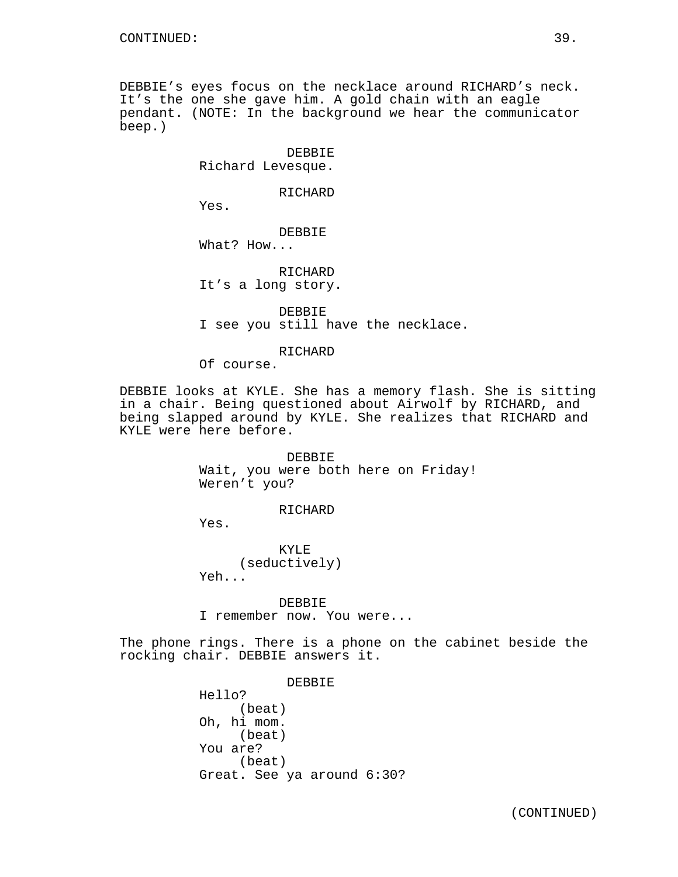DEBBIE's eyes focus on the necklace around RICHARD's neck. It's the one she gave him. A gold chain with an eagle pendant. (NOTE: In the background we hear the communicator beep.)

> DEBBIE Richard Levesque.

> > RICHARD

Yes.

DEBBIE

What? How...

RICHARD It's a long story.

DEBBIE I see you still have the necklace.

RICHARD

Of course.

DEBBIE looks at KYLE. She has a memory flash. She is sitting in a chair. Being questioned about Airwolf by RICHARD, and being slapped around by KYLE. She realizes that RICHARD and KYLE were here before.

> DEBBIE Wait, you were both here on Friday! Weren't you?

> > RICHARD

Yes.

KYLE (seductively) Yeh...

DEBBIE I remember now. You were...

The phone rings. There is a phone on the cabinet beside the rocking chair. DEBBIE answers it.

> DEBBIE Hello? (beat) Oh, hi mom. (beat) You are? (beat) Great. See ya around 6:30?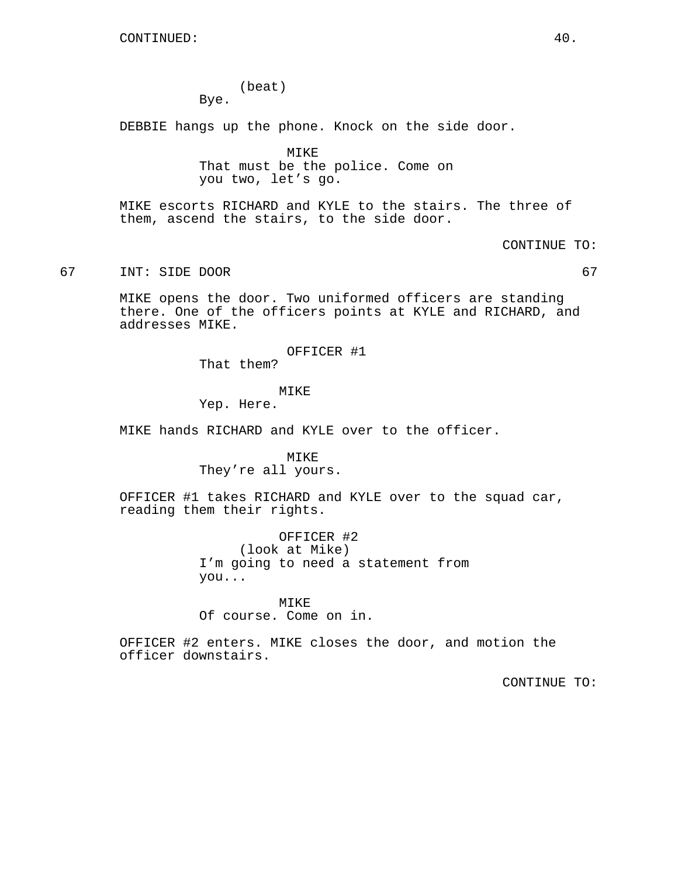(beat) Bye.

DEBBIE hangs up the phone. Knock on the side door.

MIKE That must be the police. Come on you two, let's go.

MIKE escorts RICHARD and KYLE to the stairs. The three of them, ascend the stairs, to the side door.

## CONTINUE TO:

# 67 INT: SIDE DOOR 67

MIKE opens the door. Two uniformed officers are standing there. One of the officers points at KYLE and RICHARD, and addresses MIKE.

OFFICER #1

That them?

## MIKE

Yep. Here.

MIKE hands RICHARD and KYLE over to the officer.

MIKE They're all yours.

OFFICER #1 takes RICHARD and KYLE over to the squad car, reading them their rights.

> OFFICER #2 (look at Mike) I'm going to need a statement from you...

MIKE Of course. Come on in.

OFFICER #2 enters. MIKE closes the door, and motion the officer downstairs.

CONTINUE TO: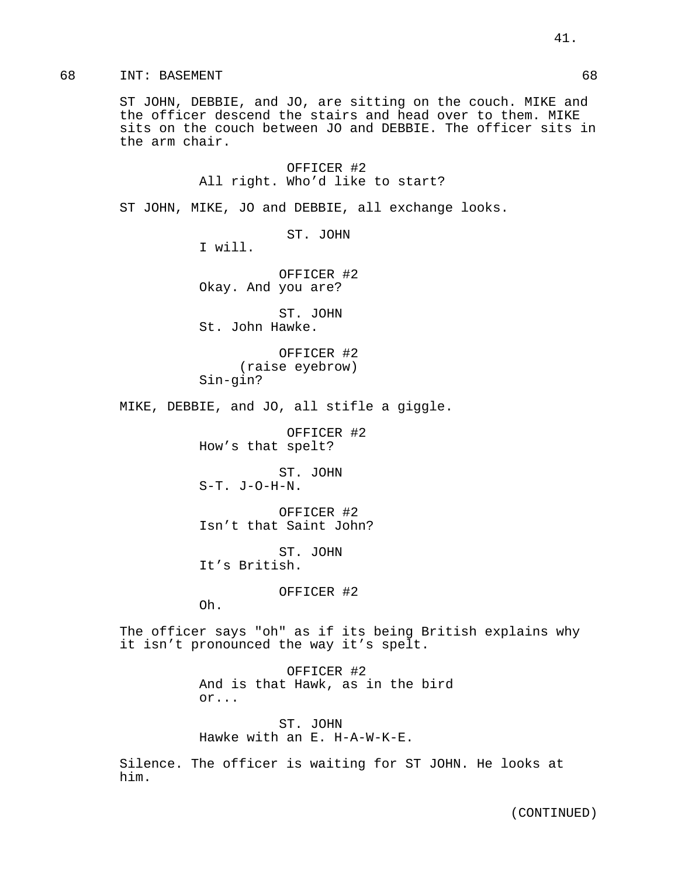# 68 INT: BASEMENT 68

ST JOHN, DEBBIE, and JO, are sitting on the couch. MIKE and the officer descend the stairs and head over to them. MIKE sits on the couch between JO and DEBBIE. The officer sits in the arm chair.

> OFFICER #2 All right. Who'd like to start?

ST JOHN, MIKE, JO and DEBBIE, all exchange looks.

ST. JOHN

I will.

OFFICER #2 Okay. And you are?

ST. JOHN St. John Hawke.

OFFICER #2 (raise eyebrow) Sin-gin?

MIKE, DEBBIE, and JO, all stifle a giggle.

OFFICER #2 How's that spelt?

ST. JOHN S-T. J-O-H-N.

OFFICER #2 Isn't that Saint John?

ST. JOHN It's British.

OFFICER #2

Oh.

The officer says "oh" as if its being British explains why it isn't pronounced the way it's spelt.

> OFFICER #2 And is that Hawk, as in the bird or...

ST. JOHN Hawke with an E. H-A-W-K-E.

Silence. The officer is waiting for ST JOHN. He looks at him.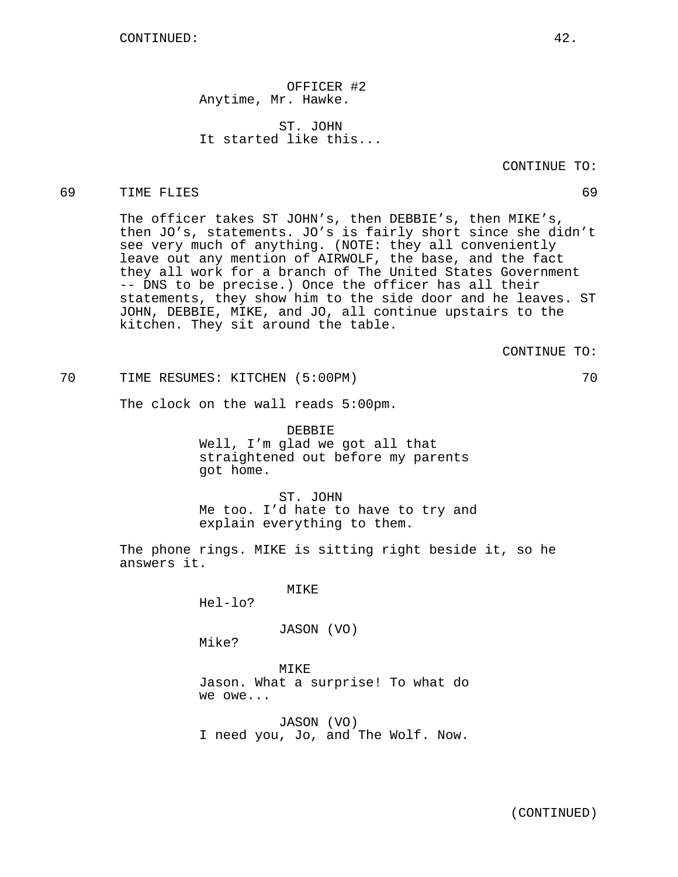OFFICER #2 Anytime, Mr. Hawke.

ST. JOHN It started like this...

## 69 TIME FLIES 69

The officer takes ST JOHN's, then DEBBIE's, then MIKE's, then JO's, statements. JO's is fairly short since she didn't see very much of anything. (NOTE: they all conveniently leave out any mention of AIRWOLF, the base, and the fact they all work for a branch of The United States Government -- DNS to be precise.) Once the officer has all their statements, they show him to the side door and he leaves. ST JOHN, DEBBIE, MIKE, and JO, all continue upstairs to the kitchen. They sit around the table.

CONTINUE TO:

70 TIME RESUMES: KITCHEN (5:00PM) 70

The clock on the wall reads 5:00pm.

DEBBIE Well, I'm glad we got all that straightened out before my parents got home.

ST. JOHN Me too. I'd hate to have to try and explain everything to them.

The phone rings. MIKE is sitting right beside it, so he answers it.

MIKE

Hel-lo?

JASON (VO)

Mike?

MIKE Jason. What a surprise! To what do we owe...

JASON (VO) I need you, Jo, and The Wolf. Now.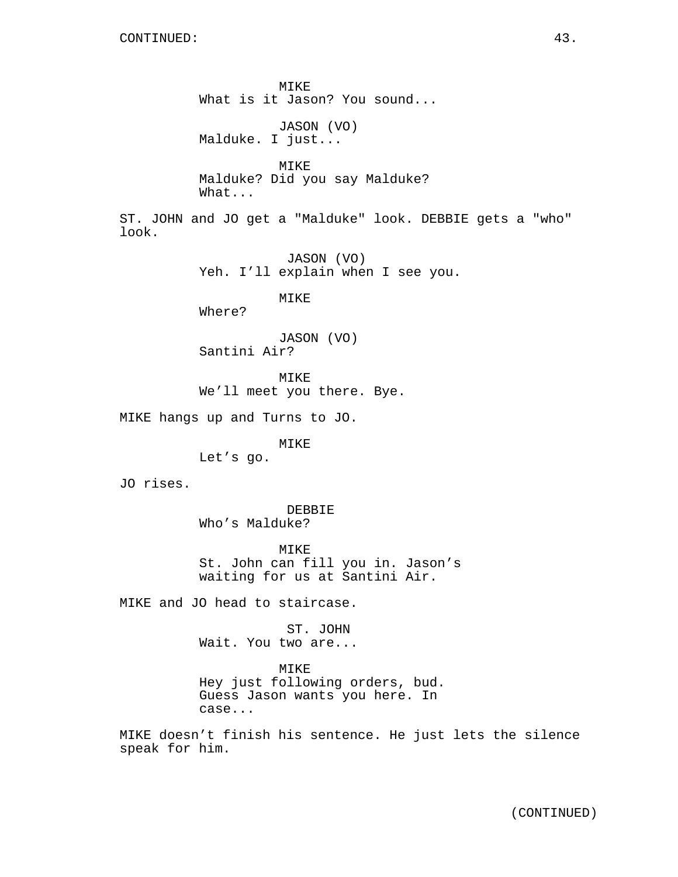MIKE What is it Jason? You sound...

JASON (VO) Malduke. I just...

MIKE Malduke? Did you say Malduke? What...

ST. JOHN and JO get a "Malduke" look. DEBBIE gets a "who" look.

> JASON (VO) Yeh. I'll explain when I see you.

> > MIKE

Where?

JASON (VO) Santini Air?

MIKE

We'll meet you there. Bye.

MIKE hangs up and Turns to JO.

MIKE

Let's go.

JO rises.

DEBBIE Who's Malduke?

MIKE St. John can fill you in. Jason's waiting for us at Santini Air.

MIKE and JO head to staircase.

ST. JOHN Wait. You two are...

MIKE

Hey just following orders, bud. Guess Jason wants you here. In case...

MIKE doesn't finish his sentence. He just lets the silence speak for him.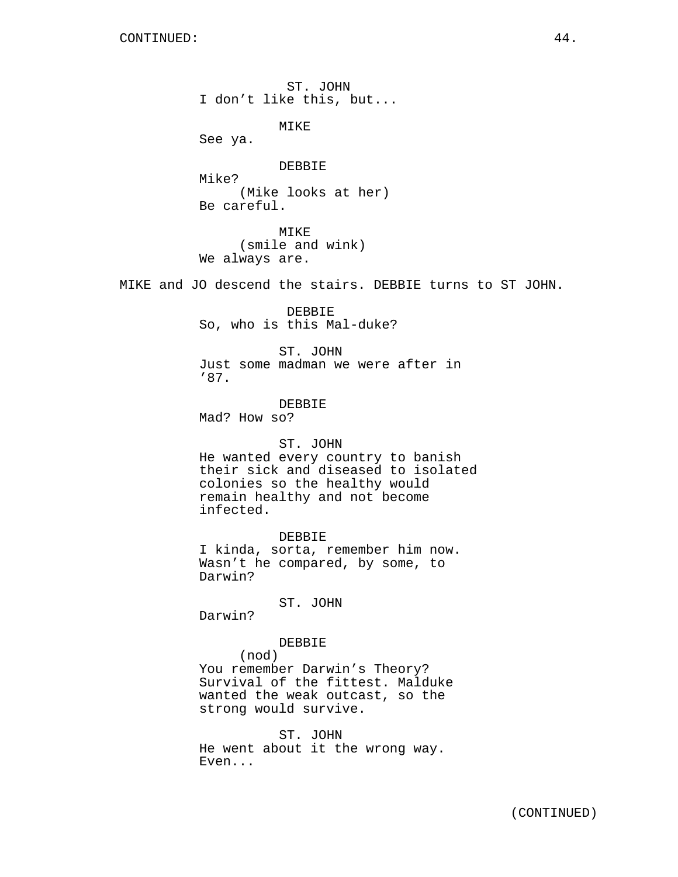ST. JOHN I don't like this, but...

MIKE

See ya.

DEBBIE Mike? (Mike looks at her) Be careful.

MIKE (smile and wink) We always are.

MIKE and JO descend the stairs. DEBBIE turns to ST JOHN.

DEBBIE So, who is this Mal-duke?

ST. JOHN Just some madman we were after in '87.

DEBBIE Mad? How so?

## ST. JOHN

He wanted every country to banish their sick and diseased to isolated colonies so the healthy would remain healthy and not become infected.

DEBBIE I kinda, sorta, remember him now. Wasn't he compared, by some, to Darwin?

ST. JOHN

Darwin?

## DEBBIE

(nod) You remember Darwin's Theory? Survival of the fittest. Malduke wanted the weak outcast, so the strong would survive.

ST. JOHN He went about it the wrong way. Even...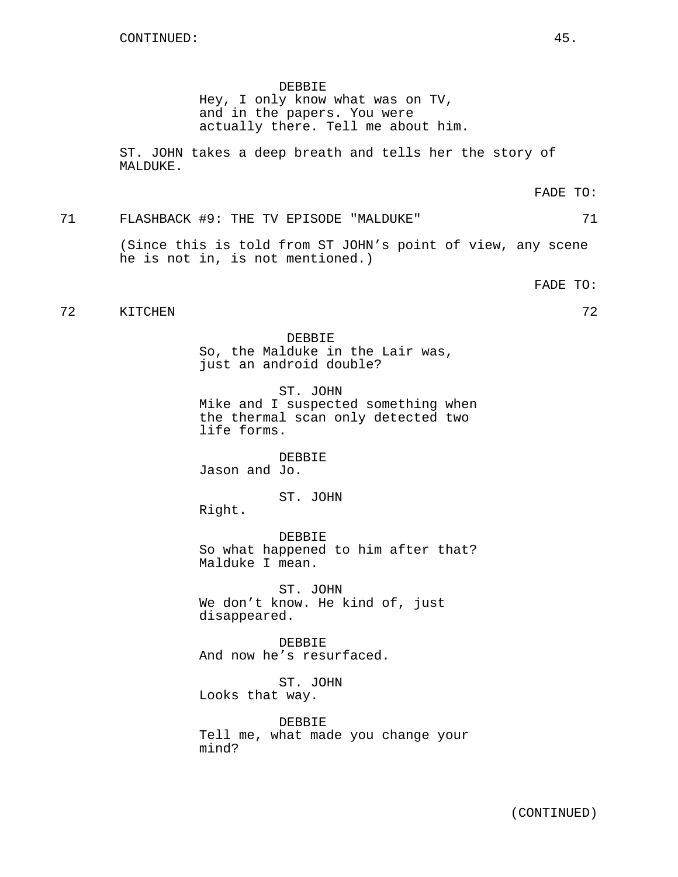DEBBIE

Hey, I only know what was on TV, and in the papers. You were actually there. Tell me about him.

ST. JOHN takes a deep breath and tells her the story of MALDUKE.

FADE TO:

# 71 FLASHBACK #9: THE TV EPISODE "MALDUKE" 71

(Since this is told from ST JOHN's point of view, any scene he is not in, is not mentioned.)

FADE TO:

# 72 KITCHEN 72

DEBBIE So, the Malduke in the Lair was, just an android double?

ST. JOHN Mike and I suspected something when the thermal scan only detected two life forms.

DEBBIE Jason and Jo.

ST. JOHN

Right.

DEBBIE So what happened to him after that? Malduke I mean.

ST. JOHN We don't know. He kind of, just disappeared.

DEBBIE And now he's resurfaced.

ST. JOHN Looks that way.

DEBBIE Tell me, what made you change your mind?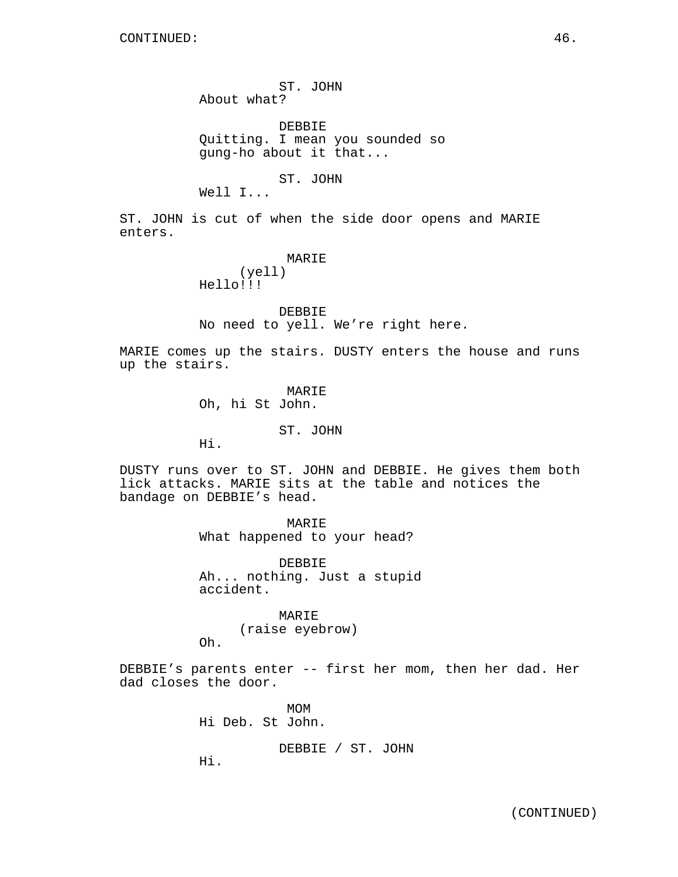ST. JOHN About what?

DEBBIE Quitting. I mean you sounded so gung-ho about it that...

ST. JOHN

Well I...

ST. JOHN is cut of when the side door opens and MARIE enters.

> MARIE (yell) Hello!!!

DEBBIE No need to yell. We're right here.

MARIE comes up the stairs. DUSTY enters the house and runs up the stairs.

> MARIE Oh, hi St John.

> > ST. JOHN

Hi.

DUSTY runs over to ST. JOHN and DEBBIE. He gives them both lick attacks. MARIE sits at the table and notices the bandage on DEBBIE's head.

> MARIE What happened to your head?

DEBBIE Ah... nothing. Just a stupid accident.

MARIE (raise eyebrow) Oh.

DEBBIE's parents enter -- first her mom, then her dad. Her dad closes the door.

> MOM Hi Deb. St John.

> > DEBBIE / ST. JOHN

Hi.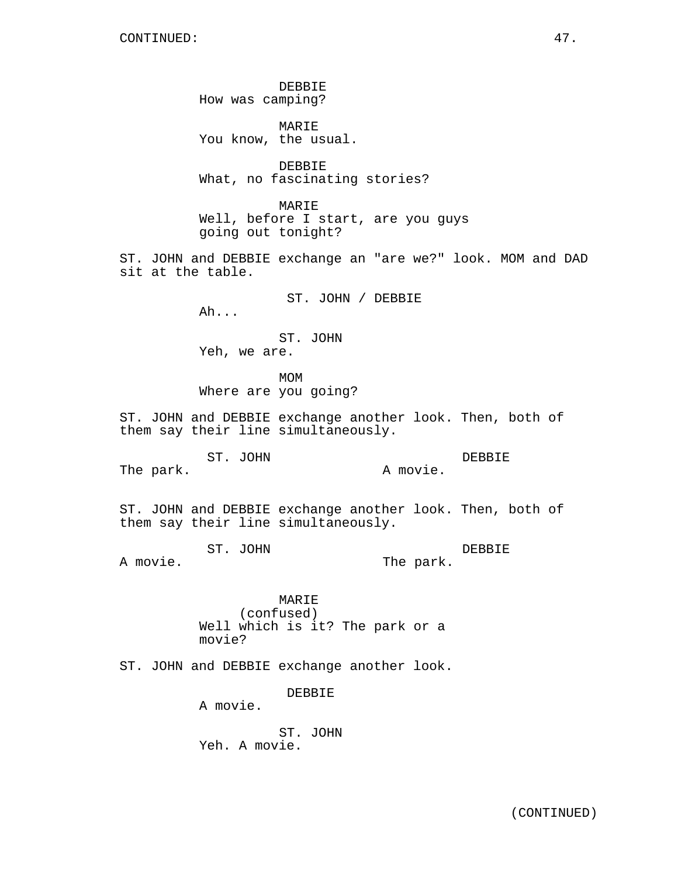DEBBIE How was camping?

MARIE You know, the usual.

DEBBIE What, no fascinating stories?

MARIE Well, before I start, are you guys going out tonight?

ST. JOHN and DEBBIE exchange an "are we?" look. MOM and DAD sit at the table.

> ST. JOHN / DEBBIE Ah...

ST. JOHN Yeh, we are.

MOM Where are you going?

ST. JOHN and DEBBIE exchange another look. Then, both of them say their line simultaneously.

ST. JOHN The park. DEBBIE A movie.

ST. JOHN and DEBBIE exchange another look. Then, both of them say their line simultaneously.

ST. JOHN A movie. DEBBIE The park.

> MARIE (confused) Well which is it? The park or a movie?

ST. JOHN and DEBBIE exchange another look.

DEBBIE

A movie.

ST. JOHN Yeh. A movie.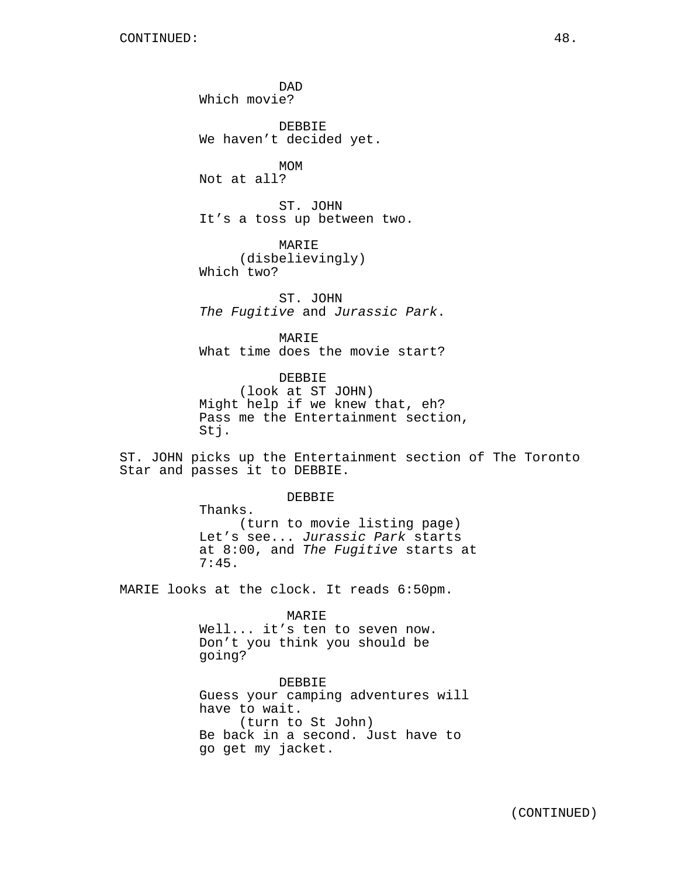DAD Which movie?

DEBBIE We haven't decided yet.

MOM Not at all?

ST. JOHN It's a toss up between two.

MARIE (disbelievingly) Which two?

ST. JOHN The Fugitive and Jurassic Park.

MARIE What time does the movie start?

DEBBIE (look at ST JOHN) Might help if we knew that, eh? Pass me the Entertainment section, Stj.

ST. JOHN picks up the Entertainment section of The Toronto Star and passes it to DEBBIE.

DEBBIE

Thanks. (turn to movie listing page) Let's see... Jurassic Park starts at 8:00, and The Fugitive starts at 7:45.

MARIE looks at the clock. It reads 6:50pm.

MARIE Well... it's ten to seven now. Don't you think you should be going?

DEBBIE Guess your camping adventures will have to wait. (turn to St John) Be back in a second. Just have to go get my jacket.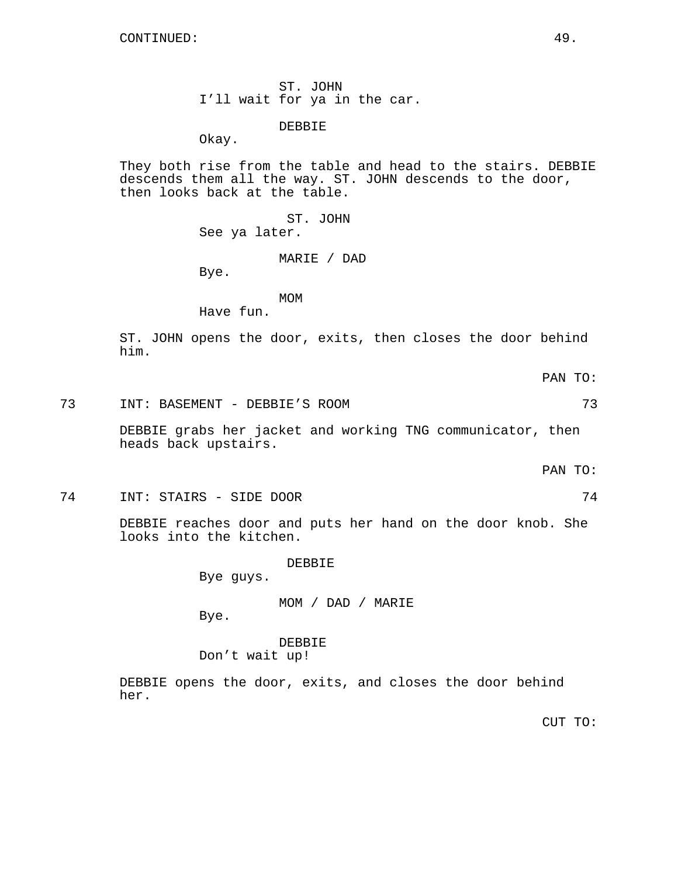ST. JOHN I'll wait for ya in the car.

DEBBIE

Okay.

They both rise from the table and head to the stairs. DEBBIE descends them all the way. ST. JOHN descends to the door, then looks back at the table.

> ST. JOHN See ya later.

#### MARIE / DAD

Bye.

MOM

Have fun.

ST. JOHN opens the door, exits, then closes the door behind him.

PAN TO:

## 73 INT: BASEMENT - DEBBIE'S ROOM 73

DEBBIE grabs her jacket and working TNG communicator, then heads back upstairs.

PAN TO:

74 INT: STAIRS - SIDE DOOR 74

DEBBIE reaches door and puts her hand on the door knob. She looks into the kitchen.

DEBBIE

Bye guys.

MOM / DAD / MARIE

Bye.

DEBBIE Don't wait up!

DEBBIE opens the door, exits, and closes the door behind her.

CUT TO: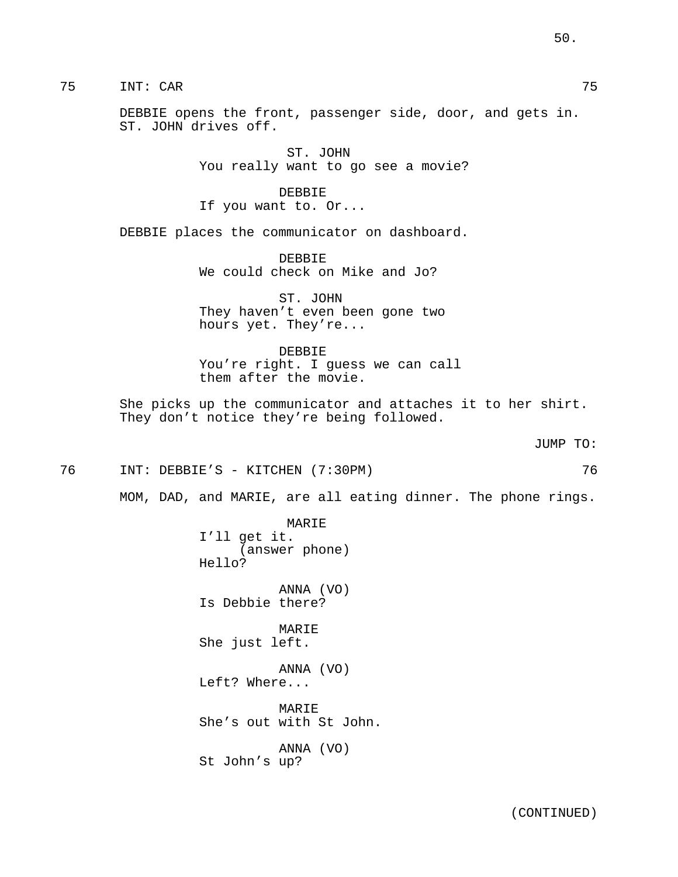75 INT: CAR 75

DEBBIE opens the front, passenger side, door, and gets in. ST. JOHN drives off.

> ST. JOHN You really want to go see a movie?

DEBBIE If you want to. Or...

DEBBIE places the communicator on dashboard.

DEBBIE We could check on Mike and Jo?

ST. JOHN They haven't even been gone two hours yet. They're...

DEBBIE You're right. I guess we can call them after the movie.

She picks up the communicator and attaches it to her shirt. They don't notice they're being followed.

JUMP TO:

76 INT: DEBBIE'S - KITCHEN (7:30PM) 76

MOM, DAD, and MARIE, are all eating dinner. The phone rings.

MARIE I'll get it. (answer phone) Hello?

ANNA (VO) Is Debbie there?

MARIE She just left.

ANNA (VO) Left? Where...

MARIE She's out with St John.

ANNA (VO) St John's up?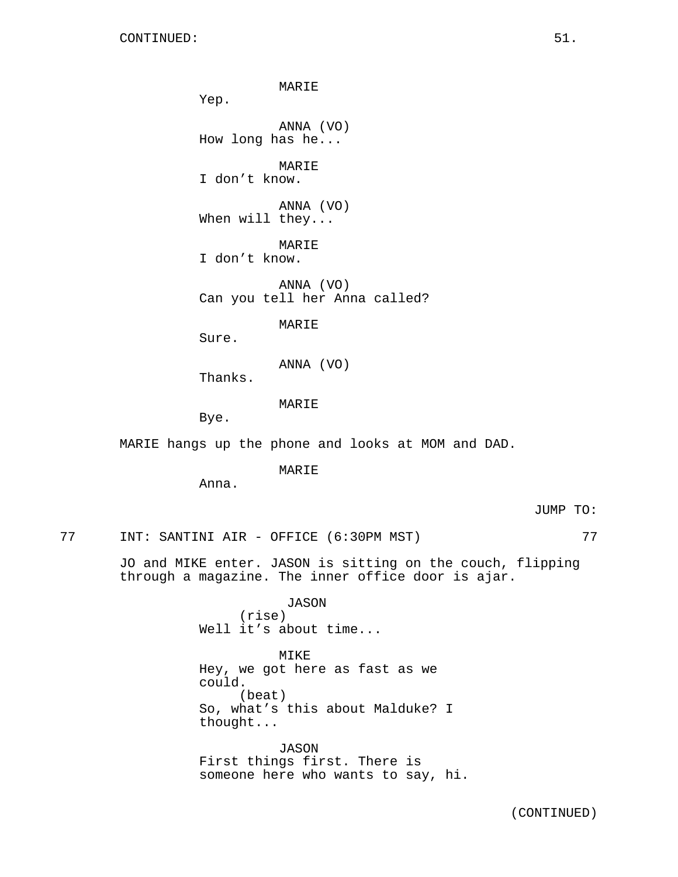MARIE Yep. ANNA (VO) How long has he... MARIE I don't know. ANNA (VO) When will they... MARIE I don't know. ANNA (VO) Can you tell her Anna called? MARIE Sure. ANNA (VO) Thanks. MARIE Bye. MARIE hangs up the phone and looks at MOM and DAD. MARIE Anna. 77 INT: SANTINI AIR - OFFICE (6:30PM MST) 77 JO and MIKE enter. JASON is sitting on the couch, flipping through a magazine. The inner office door is ajar.

> JASON (rise) Well it's about time...

MIKE Hey, we got here as fast as we could. (beat) So, what's this about Malduke? I thought...

JASON First things first. There is someone here who wants to say, hi. JUMP TO: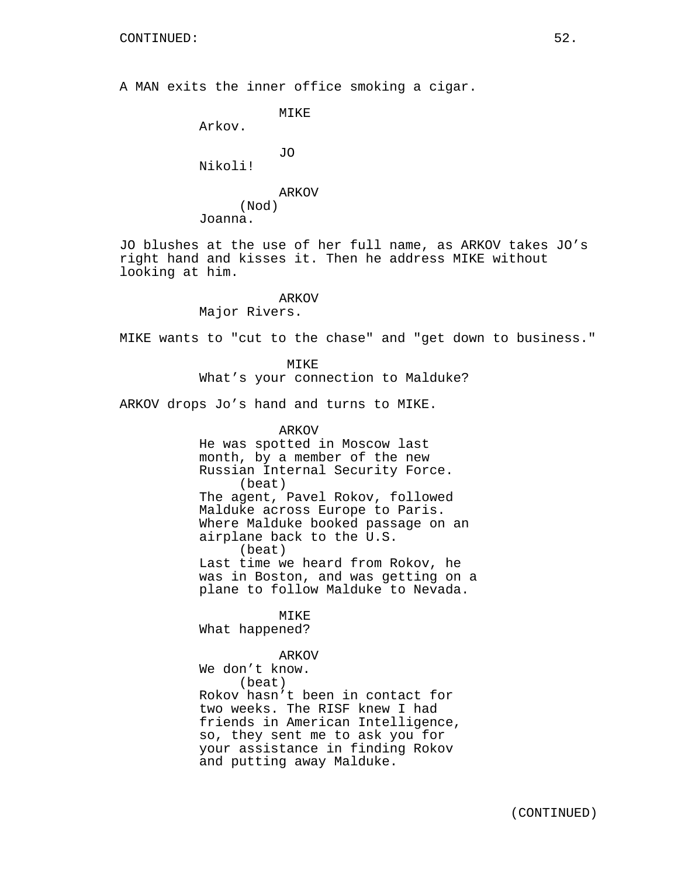A MAN exits the inner office smoking a cigar.

```
MIKE
```
Arkov.

JO

Nikoli!

# ARKOV (Nod)

Joanna.

JO blushes at the use of her full name, as ARKOV takes JO's right hand and kisses it. Then he address MIKE without looking at him.

# ARKOV

Major Rivers.

MIKE wants to "cut to the chase" and "get down to business."

MIKE What's your connection to Malduke?

ARKOV drops Jo's hand and turns to MIKE.

ARKOV He was spotted in Moscow last month, by a member of the new Russian Internal Security Force. (beat) The agent, Pavel Rokov, followed Malduke across Europe to Paris. Where Malduke booked passage on an airplane back to the U.S. (beat) Last time we heard from Rokov, he was in Boston, and was getting on a plane to follow Malduke to Nevada.

MIKE What happened?

ARKOV We don't know. (beat) Rokov hasn't been in contact for two weeks. The RISF knew I had friends in American Intelligence, so, they sent me to ask you for your assistance in finding Rokov and putting away Malduke.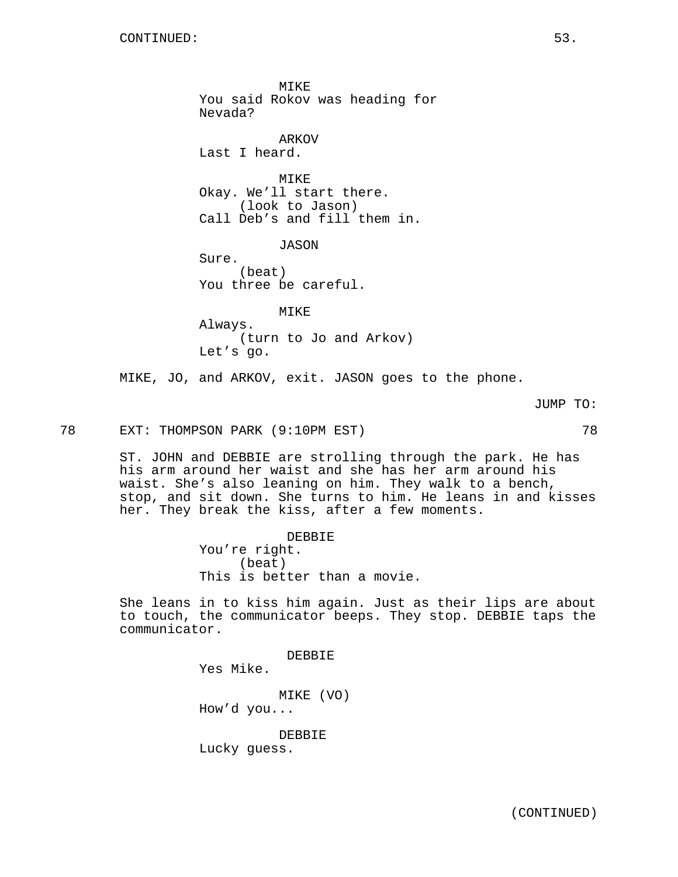MIKE You said Rokov was heading for Nevada? ARKOV Last I heard. **MTKE** Okay. We'll start there. (look to Jason) Call Deb's and fill them in. JASON Sure. (beat) You three be careful. MIKE Always. (turn to Jo and Arkov) Let's go.

MIKE, JO, and ARKOV, exit. JASON goes to the phone.

JUMP TO:

78 EXT: THOMPSON PARK (9:10PM EST) 78

ST. JOHN and DEBBIE are strolling through the park. He has his arm around her waist and she has her arm around his waist. She's also leaning on him. They walk to a bench, stop, and sit down. She turns to him. He leans in and kisses her. They break the kiss, after a few moments.

> DEBBIE You're right. (beat) This is better than a movie.

> > DEBBIE

She leans in to kiss him again. Just as their lips are about to touch, the communicator beeps. They stop. DEBBIE taps the communicator.

Yes Mike.

MIKE (VO) How'd you...

DEBBIE Lucky guess.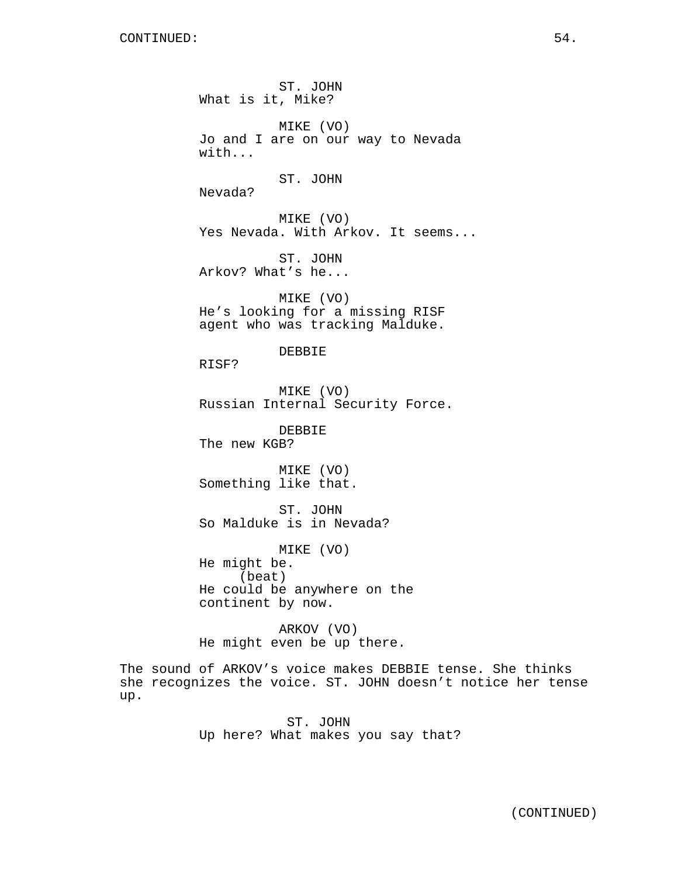ST. JOHN What is it, Mike? MIKE (VO) Jo and I are on our way to Nevada with... ST. JOHN Nevada? MIKE (VO) Yes Nevada. With Arkov. It seems... ST. JOHN Arkov? What's he... MIKE (VO) He's looking for a missing RISF agent who was tracking Malduke. DEBBIE RISF? MIKE (VO) Russian Internal Security Force. DEBBIE The new KGB? MIKE (VO) Something like that. ST. JOHN So Malduke is in Nevada? MIKE (VO) He might be. (beat) He could be anywhere on the continent by now. ARKOV (VO) He might even be up there.

The sound of ARKOV's voice makes DEBBIE tense. She thinks she recognizes the voice. ST. JOHN doesn't notice her tense up.

> ST. JOHN Up here? What makes you say that?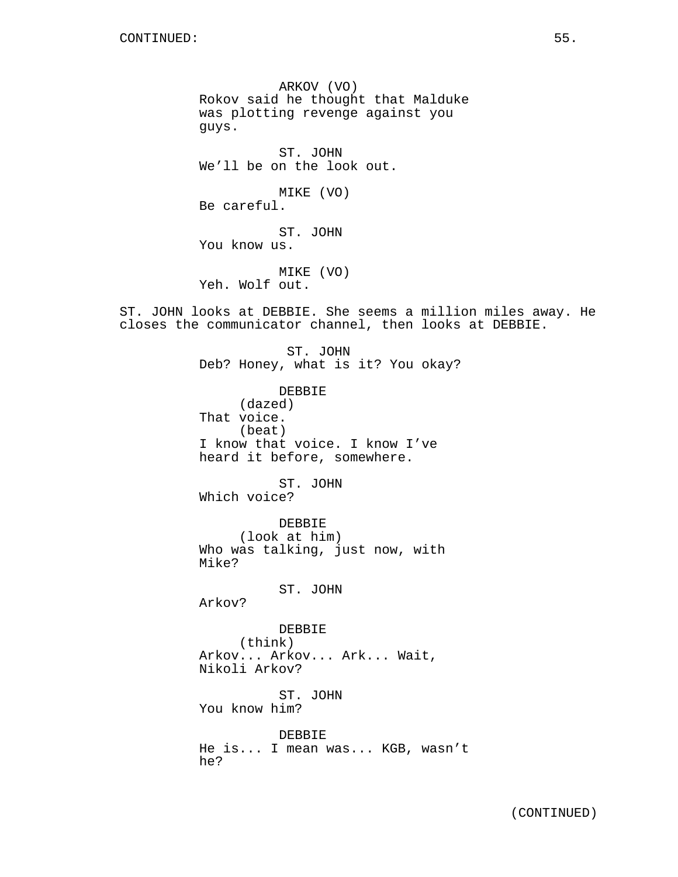ARKOV (VO) Rokov said he thought that Malduke was plotting revenge against you guys.

ST. JOHN We'll be on the look out.

MIKE (VO) Be careful.

ST. JOHN You know us.

MIKE (VO) Yeh. Wolf out.

ST. JOHN looks at DEBBIE. She seems a million miles away. He closes the communicator channel, then looks at DEBBIE.

> ST. JOHN Deb? Honey, what is it? You okay? DEBBIE (dazed) That voice. (beat) I know that voice. I know I've heard it before, somewhere. ST. JOHN Which voice? DEBBIE (look at him) Who was talking, just now, with Mike? ST. JOHN Arkov? DEBBIE (think) Arkov... Arkov... Ark... Wait, Nikoli Arkov? ST. JOHN You know him? DEBBIE He is... I mean was... KGB, wasn't he?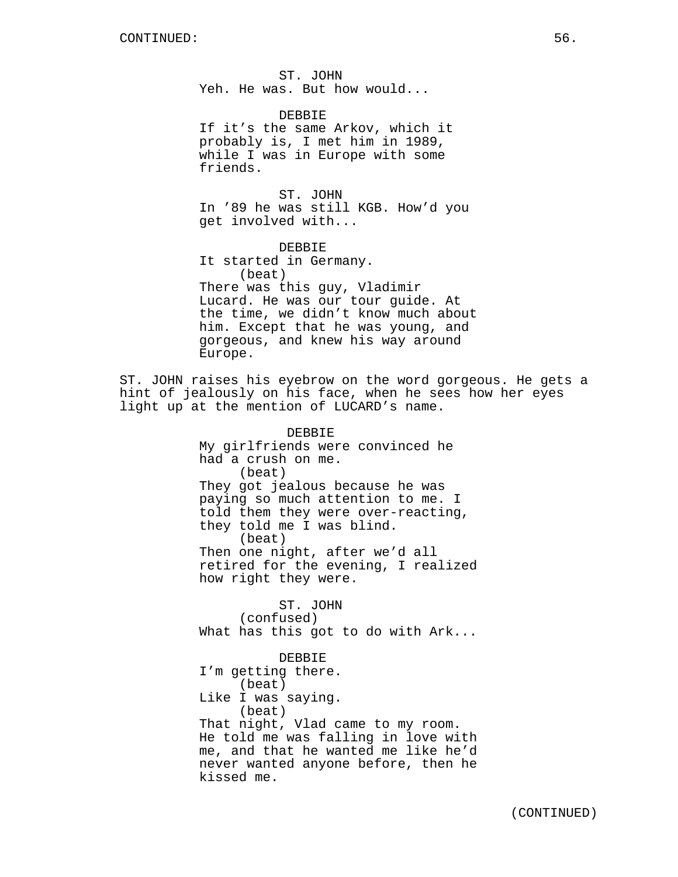ST. JOHN Yeh. He was. But how would...

DEBBIE If it's the same Arkov, which it probably is, I met him in 1989, while I was in Europe with some friends.

ST. JOHN In '89 he was still KGB. How'd you get involved with...

DEBBIE It started in Germany. (beat) There was this guy, Vladimir Lucard. He was our tour guide. At the time, we didn't know much about him. Except that he was young, and gorgeous, and knew his way around Europe.

ST. JOHN raises his eyebrow on the word gorgeous. He gets a hint of jealously on his face, when he sees how her eyes light up at the mention of LUCARD's name.

> DEBBIE My girlfriends were convinced he had a crush on me. (beat) They got jealous because he was paying so much attention to me. I told them they were over-reacting, they told me I was blind. (beat) Then one night, after we'd all retired for the evening, I realized how right they were.

> ST. JOHN (confused) What has this got to do with Ark...

> DEBBIE I'm getting there. (beat) Like I was saying. (beat) That night, Vlad came to my room. He told me was falling in love with me, and that he wanted me like he'd never wanted anyone before, then he kissed me.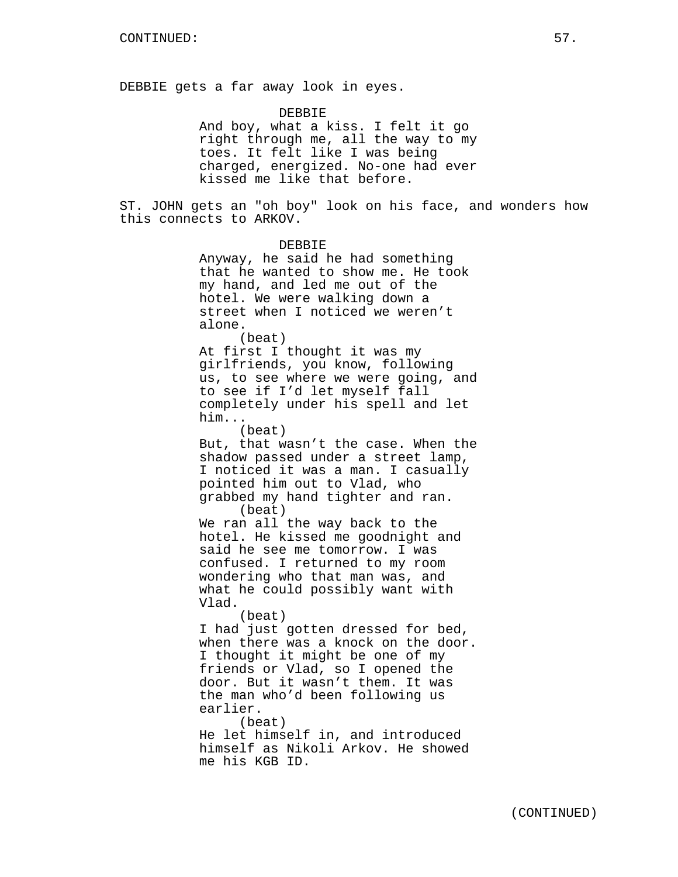DEBBIE gets a far away look in eyes.

DEBBIE And boy, what a kiss. I felt it go right through me, all the way to my toes. It felt like I was being charged, energized. No-one had ever kissed me like that before.

ST. JOHN gets an "oh boy" look on his face, and wonders how this connects to ARKOV.

> DEBBIE Anyway, he said he had something that he wanted to show me. He took my hand, and led me out of the hotel. We were walking down a street when I noticed we weren't alone. (beat) At first I thought it was my girlfriends, you know, following us, to see where we were going, and to see if I'd let myself fall completely under his spell and let him... (beat) But, that wasn't the case. When the shadow passed under a street lamp, I noticed it was a man. I casually pointed him out to Vlad, who grabbed my hand tighter and ran. (beat) We ran all the way back to the hotel. He kissed me goodnight and said he see me tomorrow. I was confused. I returned to my room wondering who that man was, and what he could possibly want with Vlad. (beat) I had just gotten dressed for bed, when there was a knock on the door. I thought it might be one of my friends or Vlad, so I opened the door. But it wasn't them. It was the man who'd been following us earlier. (beat) He let himself in, and introduced himself as Nikoli Arkov. He showed me his KGB ID.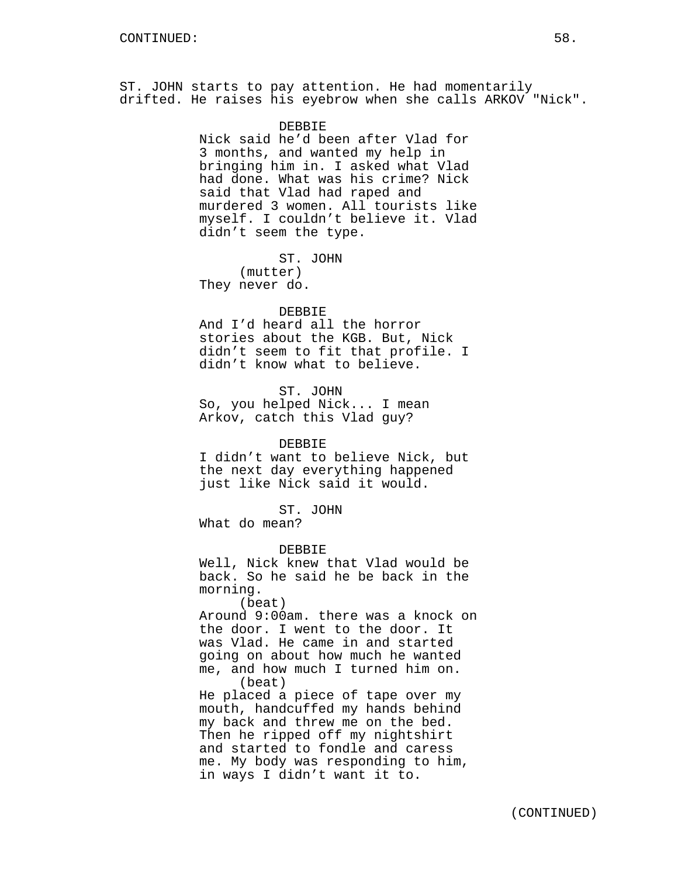ST. JOHN starts to pay attention. He had momentarily drifted. He raises his eyebrow when she calls ARKOV "Nick".

## **DEBBIE**

Nick said he'd been after Vlad for 3 months, and wanted my help in bringing him in. I asked what Vlad had done. What was his crime? Nick said that Vlad had raped and murdered 3 women. All tourists like myself. I couldn't believe it. Vlad didn't seem the type.

ST. JOHN (mutter) They never do.

### DEBBIE

And I'd heard all the horror stories about the KGB. But, Nick didn't seem to fit that profile. I didn't know what to believe.

ST. JOHN So, you helped Nick... I mean Arkov, catch this Vlad guy?

# DEBBIE

I didn't want to believe Nick, but the next day everything happened just like Nick said it would.

ST. JOHN

What do mean?

DEBBIE

Well, Nick knew that Vlad would be back. So he said he be back in the morning.

(beat)

Around 9:00am. there was a knock on the door. I went to the door. It was Vlad. He came in and started going on about how much he wanted me, and how much I turned him on. (beat)

He placed a piece of tape over my mouth, handcuffed my hands behind my back and threw me on the bed. Then he ripped off my nightshirt and started to fondle and caress me. My body was responding to him, in ways I didn't want it to.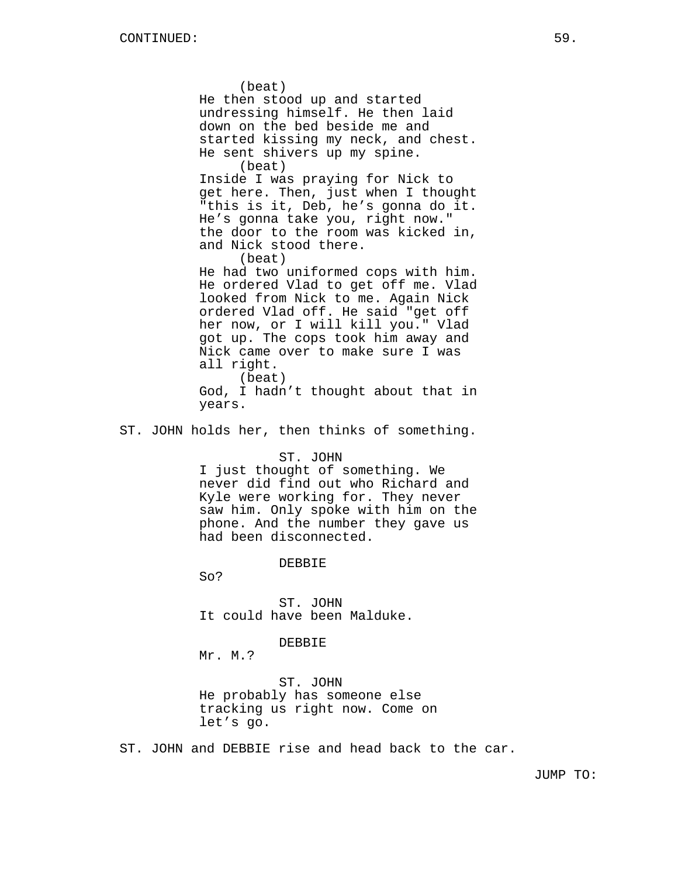(beat) He then stood up and started undressing himself. He then laid down on the bed beside me and started kissing my neck, and chest. He sent shivers up my spine. (beat) Inside I was praying for Nick to get here. Then, just when I thought "this is it, Deb, he's gonna do it. He's gonna take you, right now." the door to the room was kicked in, and Nick stood there. (beat) He had two uniformed cops with him. He ordered Vlad to get off me. Vlad looked from Nick to me. Again Nick ordered Vlad off. He said "get off her now, or I will kill you." Vlad got up. The cops took him away and Nick came over to make sure I was all right. (beat)

God, I hadn't thought about that in years.

ST. JOHN holds her, then thinks of something.

## ST. JOHN

I just thought of something. We never did find out who Richard and Kyle were working for. They never saw him. Only spoke with him on the phone. And the number they gave us had been disconnected.

#### DEBBIE

So?

ST. JOHN It could have been Malduke.

### DEBBIE

Mr. M.?

ST. JOHN He probably has someone else tracking us right now. Come on let's go.

ST. JOHN and DEBBIE rise and head back to the car.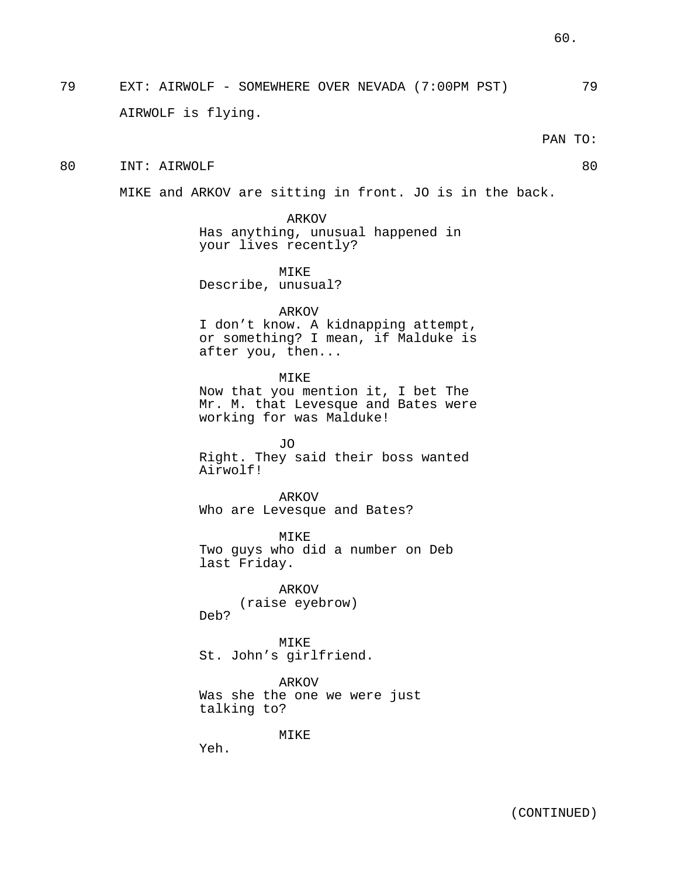79 EXT: AIRWOLF - SOMEWHERE OVER NEVADA (7:00PM PST) 79 AIRWOLF is flying.

PAN TO:

80 INT: AIRWOLF 80

MIKE and ARKOV are sitting in front. JO is in the back.

ARKOV Has anything, unusual happened in your lives recently?

MIKE Describe, unusual?

ARKOV

I don't know. A kidnapping attempt, or something? I mean, if Malduke is after you, then...

MIKE Now that you mention it, I bet The Mr. M. that Levesque and Bates were working for was Malduke!

JO Right. They said their boss wanted Airwolf!

ARKOV Who are Levesque and Bates?

MIKE Two guys who did a number on Deb last Friday.

ARKOV (raise eyebrow) Deb?

MIKE St. John's girlfriend.

ARKOV Was she the one we were just talking to?

MIKE

Yeh.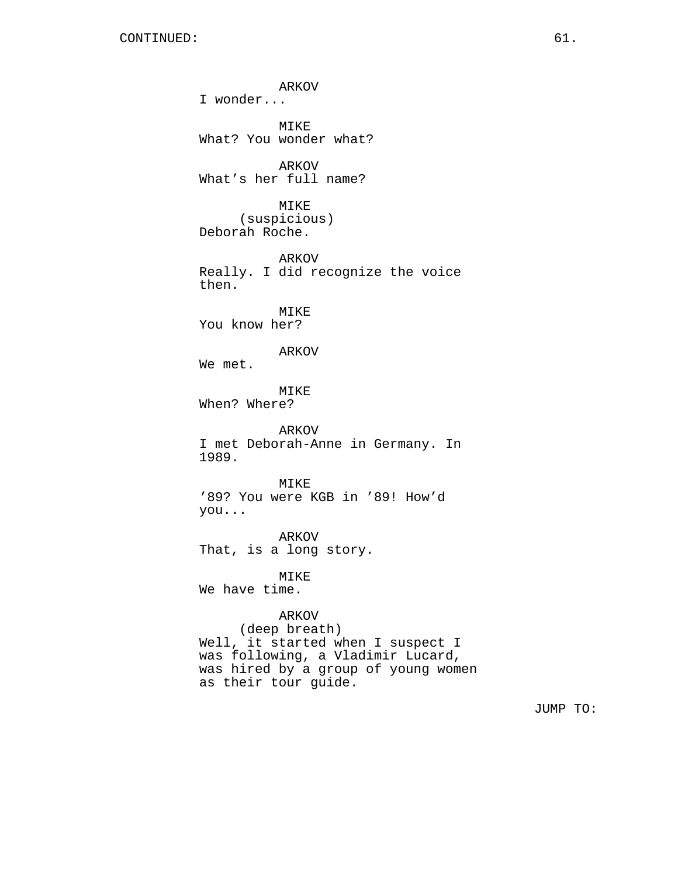ARKOV I wonder... MIKE What? You wonder what? ARKOV What's her full name? MIKE (suspicious) Deborah Roche. ARKOV Really. I did recognize the voice then. MIKE You know her? ARKOV We met. MIKE When? Where? ARKOV I met Deborah-Anne in Germany. In 1989. MTK<sub>E</sub> '89? You were KGB in '89! How'd you... ARKOV That, is a long story. MIKE We have time. ARKOV (deep breath) Well, it started when I suspect I was following, a Vladimir Lucard, was hired by a group of young women

as their tour guide.

JUMP TO: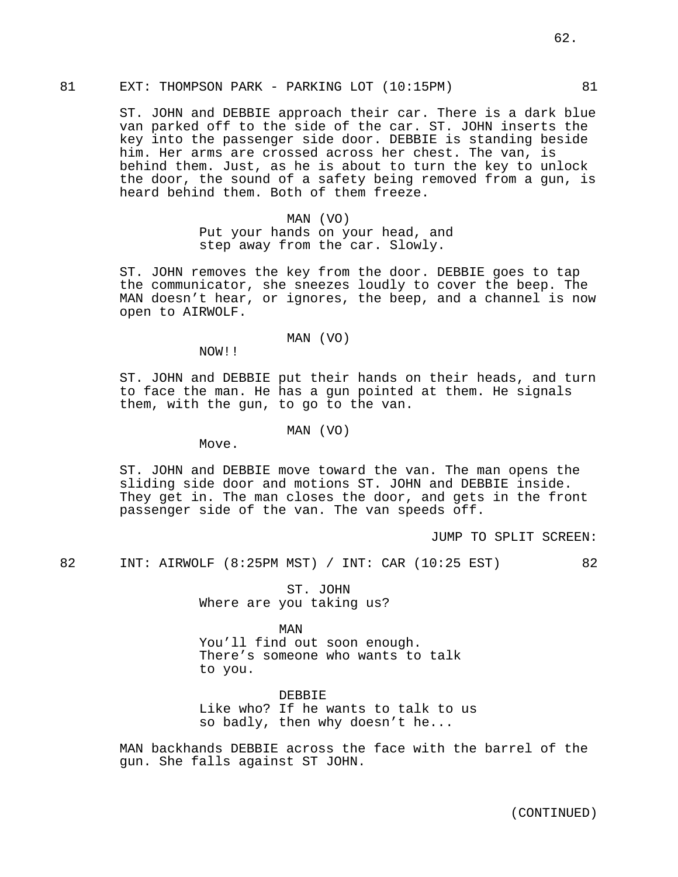ST. JOHN and DEBBIE approach their car. There is a dark blue van parked off to the side of the car. ST. JOHN inserts the key into the passenger side door. DEBBIE is standing beside him. Her arms are crossed across her chest. The van, is behind them. Just, as he is about to turn the key to unlock the door, the sound of a safety being removed from a gun, is heard behind them. Both of them freeze.

# MAN (VO)

Put your hands on your head, and step away from the car. Slowly.

ST. JOHN removes the key from the door. DEBBIE goes to tap the communicator, she sneezes loudly to cover the beep. The MAN doesn't hear, or ignores, the beep, and a channel is now open to AIRWOLF.

### MAN (VO)

NOW!!

ST. JOHN and DEBBIE put their hands on their heads, and turn to face the man. He has a gun pointed at them. He signals them, with the gun, to go to the van.

## MAN (VO)

Move.

ST. JOHN and DEBBIE move toward the van. The man opens the sliding side door and motions ST. JOHN and DEBBIE inside. They get in. The man closes the door, and gets in the front passenger side of the van. The van speeds off.

JUMP TO SPLIT SCREEN:

82 INT: AIRWOLF (8:25PM MST) / INT: CAR (10:25 EST) 82

ST. JOHN Where are you taking us?

MAN You'll find out soon enough. There's someone who wants to talk to you.

DEBBIE Like who? If he wants to talk to us so badly, then why doesn't he...

MAN backhands DEBBIE across the face with the barrel of the gun. She falls against ST JOHN.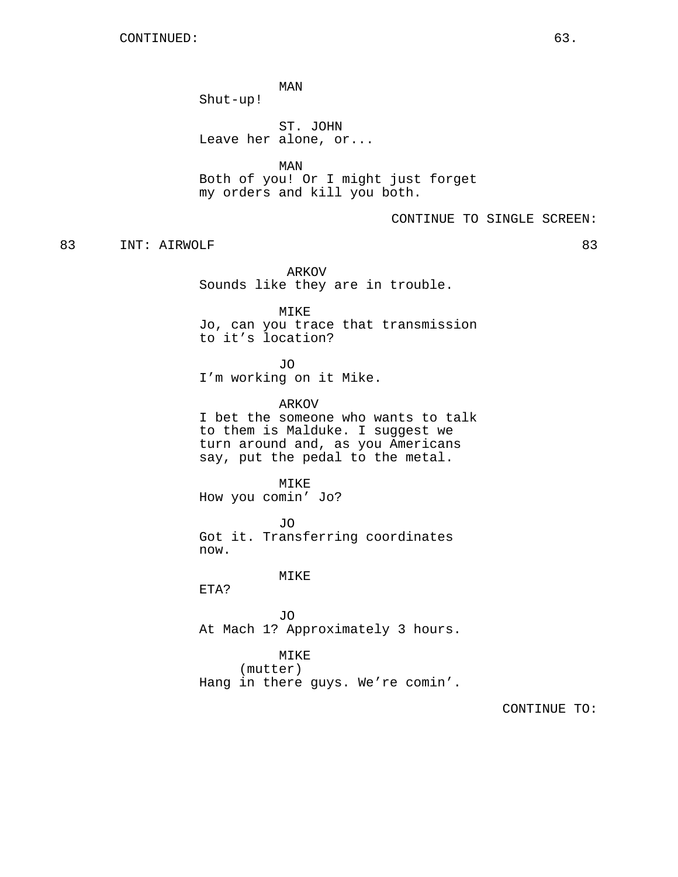MAN Shut-up!

ST. JOHN Leave her alone, or...

MAN Both of you! Or I might just forget my orders and kill you both.

CONTINUE TO SINGLE SCREEN:

83 INT: AIRWOLF 83

ARKOV Sounds like they are in trouble.

MIKE Jo, can you trace that transmission to it's location?

JO I'm working on it Mike.

ARKOV I bet the someone who wants to talk to them is Malduke. I suggest we turn around and, as you Americans say, put the pedal to the metal.

MIKE How you comin' Jo?

JO Got it. Transferring coordinates now.

MIKE

ETA?

JO At Mach 1? Approximately 3 hours.

MIKE (mutter) Hang in there guys. We're comin'.

CONTINUE TO: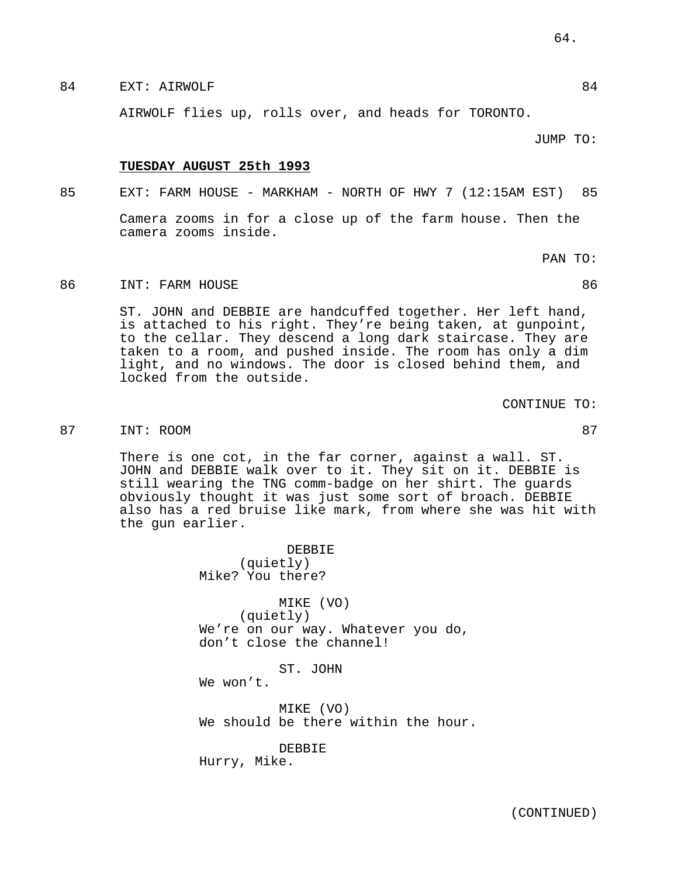84 EXT: AIRWOLF 84

AIRWOLF flies up, rolls over, and heads for TORONTO.

JUMP TO:

### **TUESDAY AUGUST 25th 1993**

85 EXT: FARM HOUSE - MARKHAM - NORTH OF HWY 7 (12:15AM EST) 85

Camera zooms in for a close up of the farm house. Then the camera zooms inside.

PAN TO:

# 86 INT: FARM HOUSE 86

ST. JOHN and DEBBIE are handcuffed together. Her left hand, is attached to his right. They're being taken, at gunpoint, to the cellar. They descend a long dark staircase. They are taken to a room, and pushed inside. The room has only a dim light, and no windows. The door is closed behind them, and locked from the outside.

CONTINUE TO:

# 87 INT: ROOM 87 87

There is one cot, in the far corner, against a wall. ST. JOHN and DEBBIE walk over to it. They sit on it. DEBBIE is still wearing the TNG comm-badge on her shirt. The guards obviously thought it was just some sort of broach. DEBBIE also has a red bruise like mark, from where she was hit with the gun earlier.

> DEBBIE (quietly) Mike? You there?

MIKE (VO) (quietly) We're on our way. Whatever you do, don't close the channel!

ST. JOHN

We won't.

MIKE (VO) We should be there within the hour.

DEBBIE Hurry, Mike.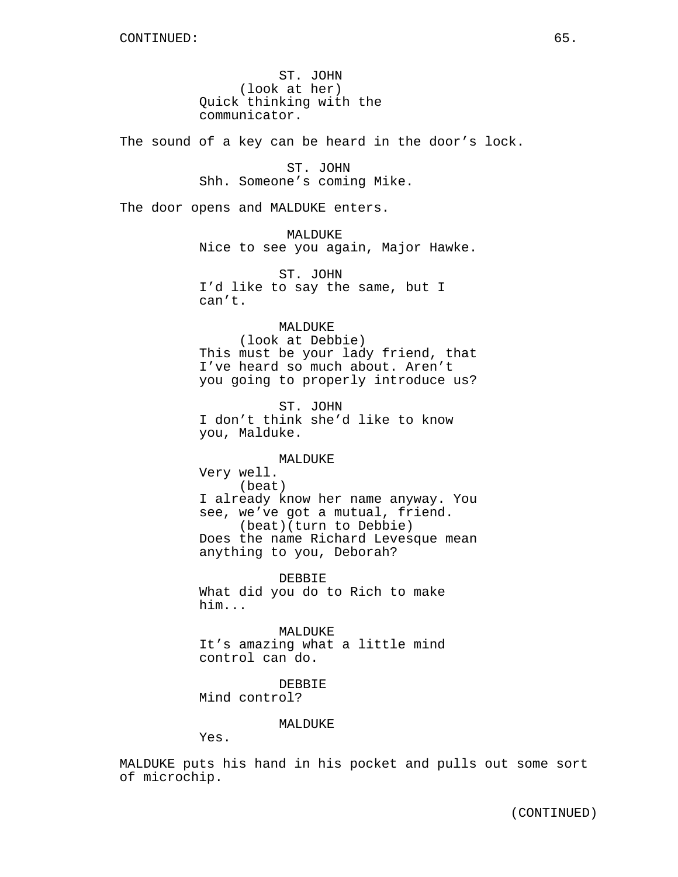ST. JOHN (look at her) Quick thinking with the communicator.

The sound of a key can be heard in the door's lock.

ST. JOHN Shh. Someone's coming Mike.

The door opens and MALDUKE enters.

MALDUKE Nice to see you again, Major Hawke.

ST. JOHN I'd like to say the same, but I can't.

# MALDUKE

(look at Debbie) This must be your lady friend, that I've heard so much about. Aren't you going to properly introduce us?

ST. JOHN I don't think she'd like to know you, Malduke.

## MALDUKE

Very well. (beat) I already know her name anyway. You see, we've got a mutual, friend. (beat)(turn to Debbie) Does the name Richard Levesque mean anything to you, Deborah?

DEBBIE What did you do to Rich to make him...

MALDUKE It's amazing what a little mind control can do.

DEBBIE Mind control?

## MALDUKE

Yes.

MALDUKE puts his hand in his pocket and pulls out some sort of microchip.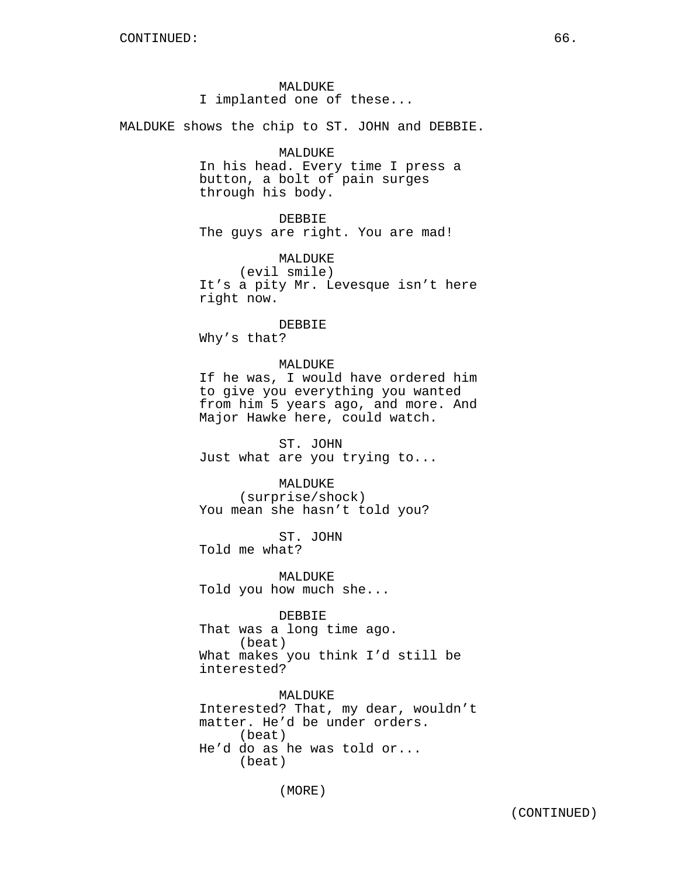MALDUKE I implanted one of these...

MALDUKE shows the chip to ST. JOHN and DEBBIE.

# MALDUKE

In his head. Every time I press a button, a bolt of pain surges through his body.

DEBBIE The guys are right. You are mad!

MALDUKE

(evil smile) It's a pity Mr. Levesque isn't here right now.

#### DEBBIE

Why's that?

# MALDUKE

If he was, I would have ordered him to give you everything you wanted from him 5 years ago, and more. And Major Hawke here, could watch.

ST. JOHN Just what are you trying to...

MALDUKE

(surprise/shock) You mean she hasn't told you?

ST. JOHN Told me what?

MALDUKE Told you how much she...

DEBBIE

That was a long time ago. (beat) What makes you think I'd still be interested?

MALDUKE Interested? That, my dear, wouldn't matter. He'd be under orders. (beat) He'd do as he was told or... (beat)

(MORE)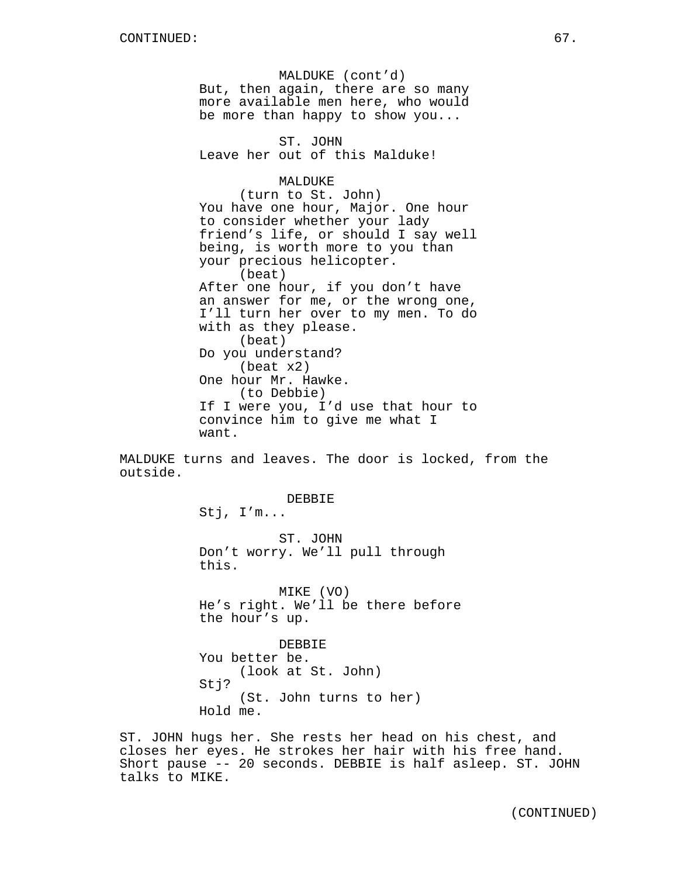MALDUKE (cont'd) But, then again, there are so many more available men here, who would be more than happy to show you... ST. JOHN Leave her out of this Malduke! MALDUKE (turn to St. John) You have one hour, Major. One hour to consider whether your lady friend's life, or should I say well being, is worth more to you than your precious helicopter. (beat) After one hour, if you don't have an answer for me, or the wrong one, I'll turn her over to my men. To do with as they please. (beat) Do you understand? (beat x2) One hour Mr. Hawke. (to Debbie) If I were you, I'd use that hour to convince him to give me what I want.

MALDUKE turns and leaves. The door is locked, from the outside.

> DEBBIE Stj, I'm... ST. JOHN Don't worry. We'll pull through this. MIKE (VO) He's right. We'll be there before the hour's up. DEBBIE You better be.

(look at St. John) Stj? (St. John turns to her) Hold me.

ST. JOHN hugs her. She rests her head on his chest, and closes her eyes. He strokes her hair with his free hand. Short pause -- 20 seconds. DEBBIE is half asleep. ST. JOHN talks to MIKE.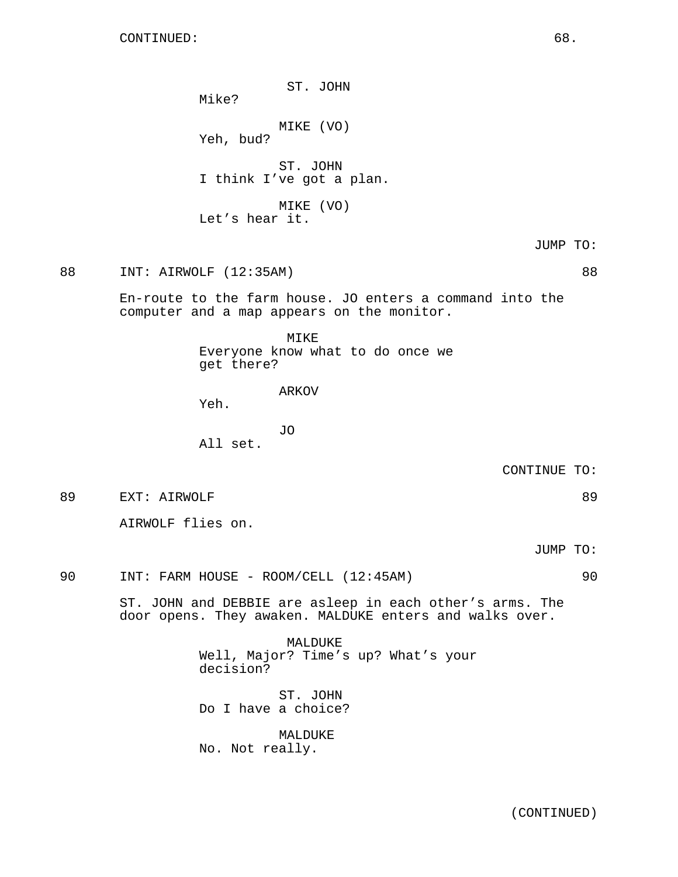CONTINUED: 68.

ST. JOHN

Mike?

MIKE (VO)

Yeh, bud?

ST. JOHN I think I've got a plan.

MIKE (VO) Let's hear it.

JUMP TO:

88 INT: AIRWOLF (12:35AM) 88

En-route to the farm house. JO enters a command into the computer and a map appears on the monitor.

> MIKE Everyone know what to do once we get there?

> > ARKOV

Yeh.

JO All set.

CONTINUE TO:

89 EXT: AIRWOLF 89 and the set of the set of the set of the set of the set of the set of the set of the set of the set of the set of the set of the set of the set of the set of the set of the set of the set of the set of t

AIRWOLF flies on.

JUMP TO:

90 INT: FARM HOUSE - ROOM/CELL (12:45AM) 90

ST. JOHN and DEBBIE are asleep in each other's arms. The door opens. They awaken. MALDUKE enters and walks over.

> MALDUKE Well, Major? Time's up? What's your decision?

ST. JOHN Do I have a choice?

MALDUKE No. Not really.

(CONTINUED)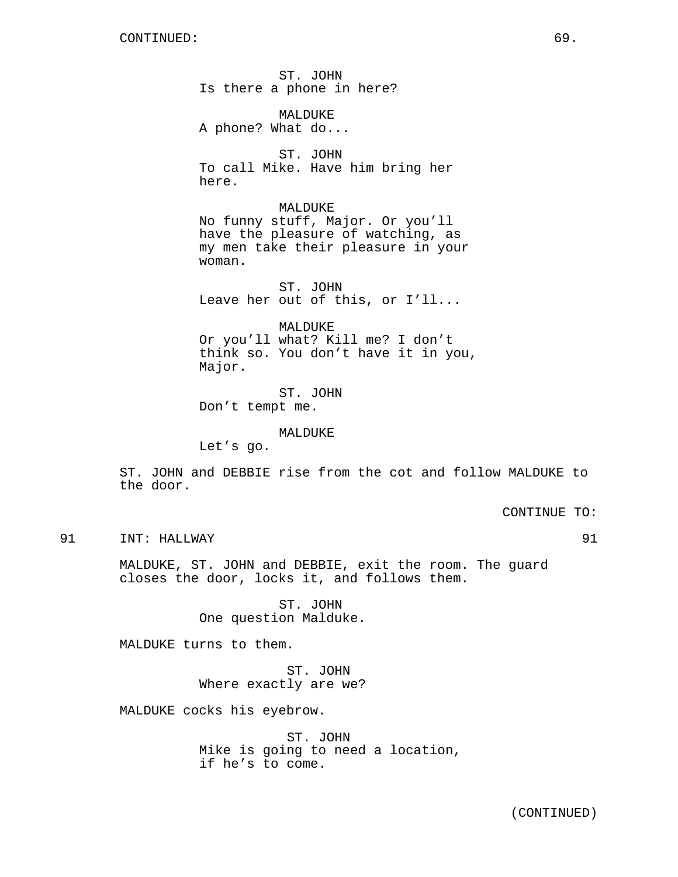ST. JOHN Is there a phone in here?

MALDUKE A phone? What do...

ST. JOHN To call Mike. Have him bring her here.

MALDUKE No funny stuff, Major. Or you'll have the pleasure of watching, as my men take their pleasure in your woman.

ST. JOHN Leave her out of this, or I'll...

MALDUKE Or you'll what? Kill me? I don't think so. You don't have it in you, Major.

ST. JOHN Don't tempt me.

MALDUKE

Let's go.

ST. JOHN and DEBBIE rise from the cot and follow MALDUKE to the door.

CONTINUE TO:

91 INT: HALLWAY 91

MALDUKE, ST. JOHN and DEBBIE, exit the room. The guard closes the door, locks it, and follows them.

> ST. JOHN One question Malduke.

MALDUKE turns to them.

ST. JOHN Where exactly are we?

MALDUKE cocks his eyebrow.

ST. JOHN Mike is going to need a location, if he's to come.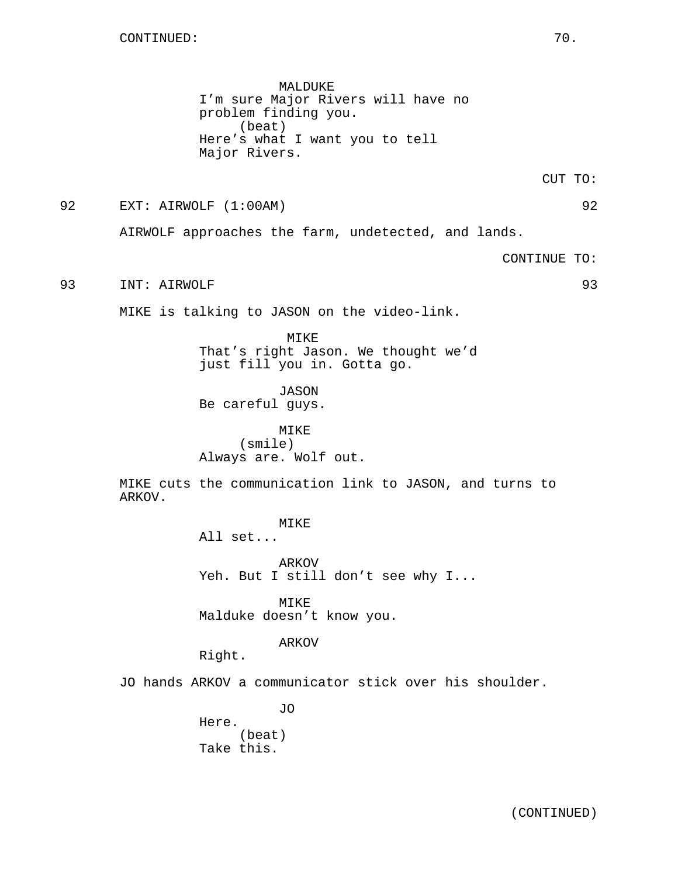MALDUKE I'm sure Major Rivers will have no problem finding you. (beat) Here's what I want you to tell Major Rivers.

CUT TO:

92 EXT: AIRWOLF (1:00AM) 92

AIRWOLF approaches the farm, undetected, and lands.

CONTINUE TO:

93 INT: AIRWOLF 93

MIKE is talking to JASON on the video-link.

MIKE That's right Jason. We thought we'd just fill you in. Gotta go.

JASON Be careful guys.

MIKE (smile) Always are. Wolf out.

MIKE cuts the communication link to JASON, and turns to ARKOV.

## MIKE

All set...

ARKOV Yeh. But I still don't see why I...

MIKE Malduke doesn't know you.

## ARKOV

Right.

JO hands ARKOV a communicator stick over his shoulder.

JO Here. (beat) Take this.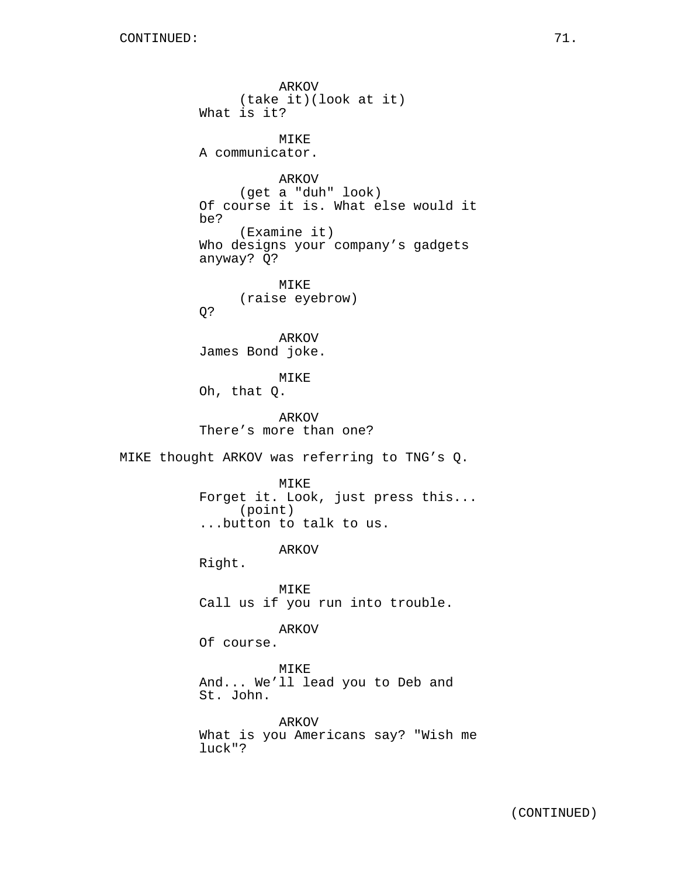ARKOV (take it)(look at it) What is it? MIKE A communicator. ARKOV (get a "duh" look) Of course it is. What else would it be? (Examine it) Who designs your company's gadgets anyway? Q? MIKE (raise eyebrow) Q? ARKOV James Bond joke. MIKE Oh, that Q. ARKOV There's more than one? MIKE thought ARKOV was referring to TNG's Q. MIKE Forget it. Look, just press this... (point) ...button to talk to us. ARKOV Right. MIKE Call us if you run into trouble. ARKOV Of course. MIKE And... We'll lead you to Deb and St. John. ARKOV What is you Americans say? "Wish me luck"?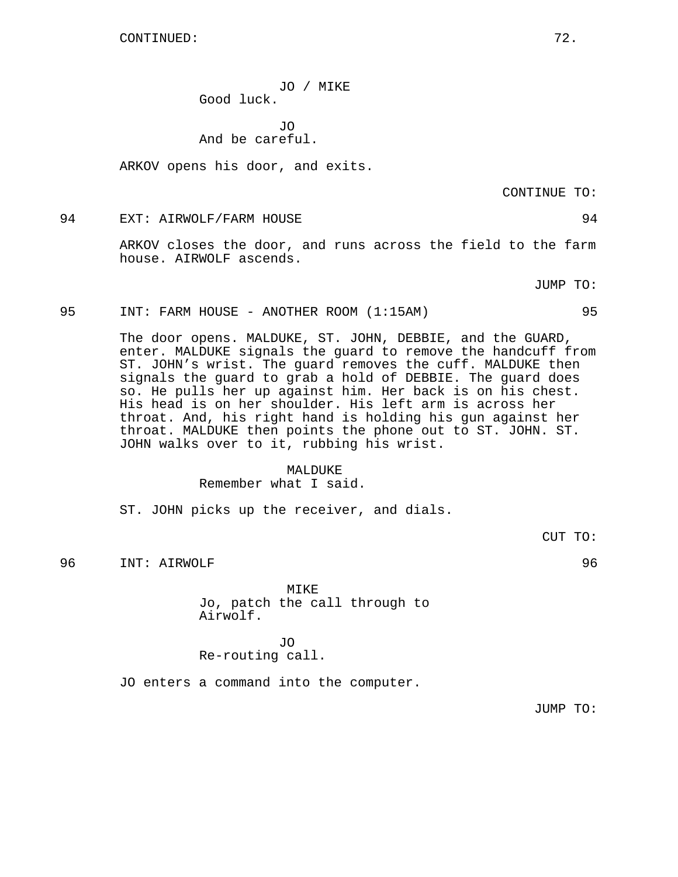CONTINUED: 72.

JO / MIKE Good luck.

JO And be careful.

ARKOV opens his door, and exits.

CONTINUE TO:

### 94 EXT: AIRWOLF/FARM HOUSE 94

ARKOV closes the door, and runs across the field to the farm house. AIRWOLF ascends.

JUMP TO:

95 INT: FARM HOUSE - ANOTHER ROOM (1:15AM) 95

The door opens. MALDUKE, ST. JOHN, DEBBIE, and the GUARD, enter. MALDUKE signals the guard to remove the handcuff from ST. JOHN's wrist. The guard removes the cuff. MALDUKE then signals the guard to grab a hold of DEBBIE. The guard does so. He pulls her up against him. Her back is on his chest. His head is on her shoulder. His left arm is across her throat. And, his right hand is holding his gun against her throat. MALDUKE then points the phone out to ST. JOHN. ST. JOHN walks over to it, rubbing his wrist.

#### MALDUKE

Remember what I said.

ST. JOHN picks up the receiver, and dials.

CUT TO:

96 INT: AIRWOLF 96

MIKE Jo, patch the call through to Airwolf.

## JO Re-routing call.

JO enters a command into the computer.

JUMP TO: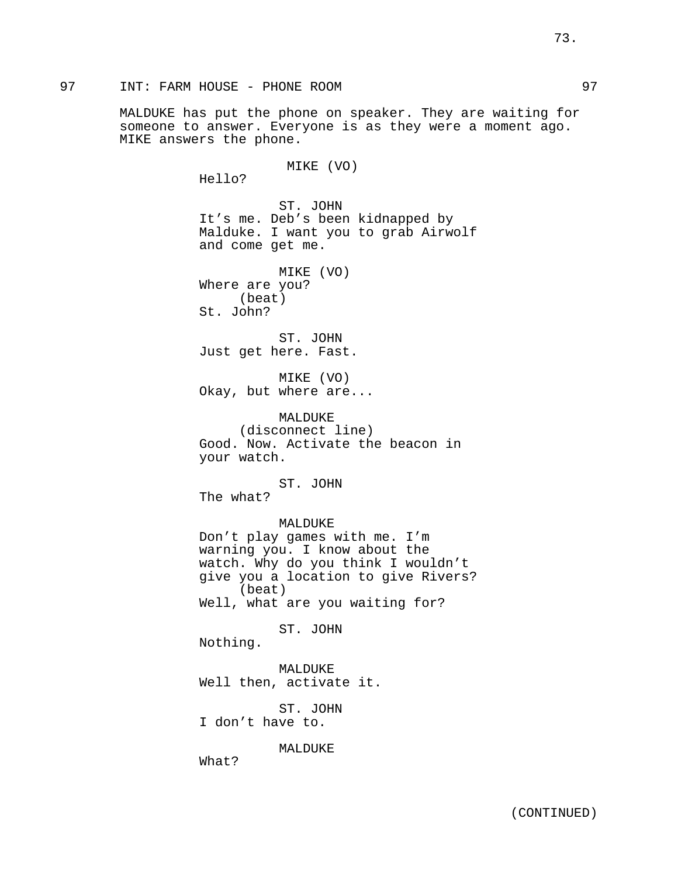MALDUKE has put the phone on speaker. They are waiting for someone to answer. Everyone is as they were a moment ago. MIKE answers the phone.

MIKE (VO)

Hello?

ST. JOHN It's me. Deb's been kidnapped by Malduke. I want you to grab Airwolf and come get me.

MIKE (VO) Where are you? (beat) St. John?

ST. JOHN Just get here. Fast.

MIKE (VO) Okay, but where are...

MALDUKE (disconnect line) Good. Now. Activate the beacon in your watch.

ST. JOHN

The what?

MALDUKE Don't play games with me. I'm warning you. I know about the watch. Why do you think I wouldn't give you a location to give Rivers? (beat) Well, what are you waiting for?

ST. JOHN

Nothing.

MALDUKE Well then, activate it.

ST. JOHN I don't have to.

MALDUKE

What?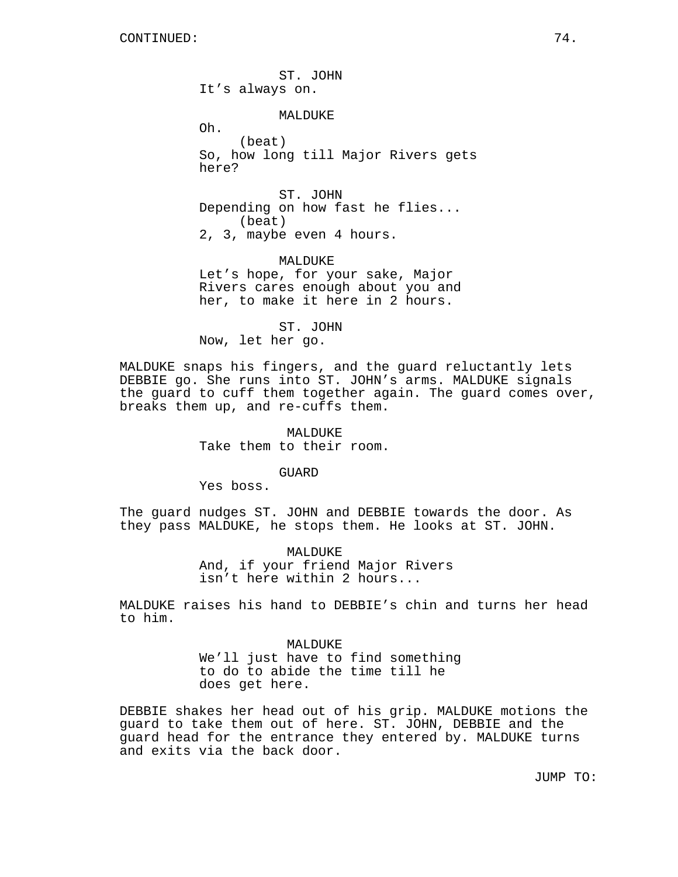ST. JOHN It's always on. MALDUKE Oh. (beat) So, how long till Major Rivers gets here? ST. JOHN Depending on how fast he flies... (beat) 2, 3, maybe even 4 hours.

MALDUKE Let's hope, for your sake, Major Rivers cares enough about you and her, to make it here in 2 hours.

ST. JOHN Now, let her go.

MALDUKE snaps his fingers, and the guard reluctantly lets DEBBIE go. She runs into ST. JOHN's arms. MALDUKE signals the guard to cuff them together again. The guard comes over, breaks them up, and re-cuffs them.

> MALDUKE Take them to their room.

> > GUARD

Yes boss.

The guard nudges ST. JOHN and DEBBIE towards the door. As they pass MALDUKE, he stops them. He looks at ST. JOHN.

> MALDUKE And, if your friend Major Rivers isn't here within 2 hours...

MALDUKE raises his hand to DEBBIE's chin and turns her head to him.

> MALDUKE We'll just have to find something to do to abide the time till he does get here.

DEBBIE shakes her head out of his grip. MALDUKE motions the guard to take them out of here. ST. JOHN, DEBBIE and the guard head for the entrance they entered by. MALDUKE turns and exits via the back door.

JUMP TO: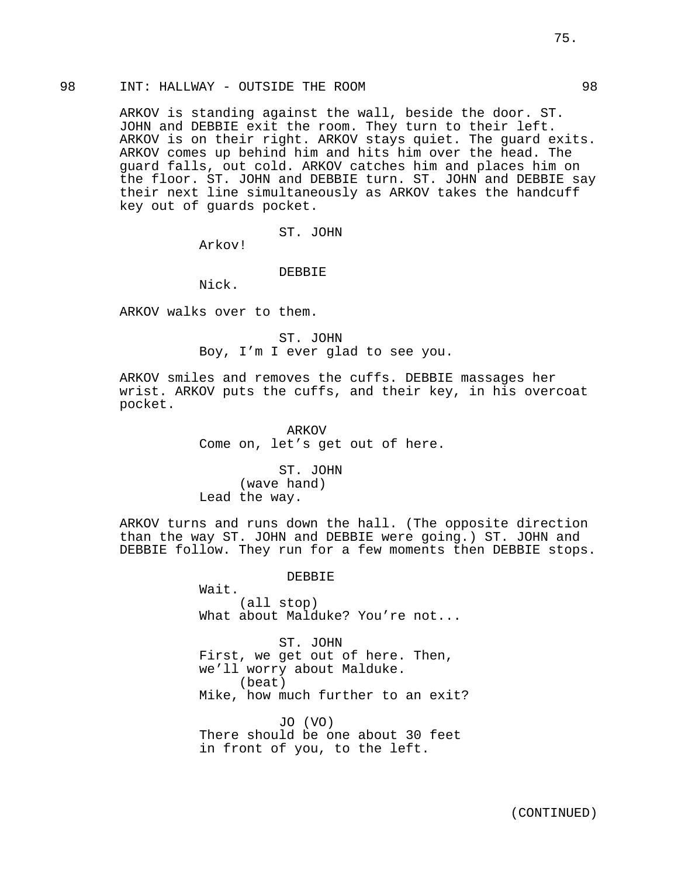# 98 INT: HALLWAY - OUTSIDE THE ROOM 98

ARKOV is standing against the wall, beside the door. ST. JOHN and DEBBIE exit the room. They turn to their left. ARKOV is on their right. ARKOV stays quiet. The guard exits. ARKOV comes up behind him and hits him over the head. The guard falls, out cold. ARKOV catches him and places him on the floor. ST. JOHN and DEBBIE turn. ST. JOHN and DEBBIE say their next line simultaneously as ARKOV takes the handcuff key out of guards pocket.

ST. JOHN

Arkov!

DEBBIE

Nick.

ARKOV walks over to them.

ST. JOHN Boy, I'm I ever glad to see you.

ARKOV smiles and removes the cuffs. DEBBIE massages her wrist. ARKOV puts the cuffs, and their key, in his overcoat pocket.

> ARKOV Come on, let's get out of here.

ST. JOHN (wave hand) Lead the way.

ARKOV turns and runs down the hall. (The opposite direction than the way ST. JOHN and DEBBIE were going.) ST. JOHN and DEBBIE follow. They run for a few moments then DEBBIE stops.

> DEBBIE Wait. (all stop) What about Malduke? You're not...

ST. JOHN First, we get out of here. Then, we'll worry about Malduke. (beat) Mike, how much further to an exit?

JO (VO) There should be one about 30 feet in front of you, to the left.

75.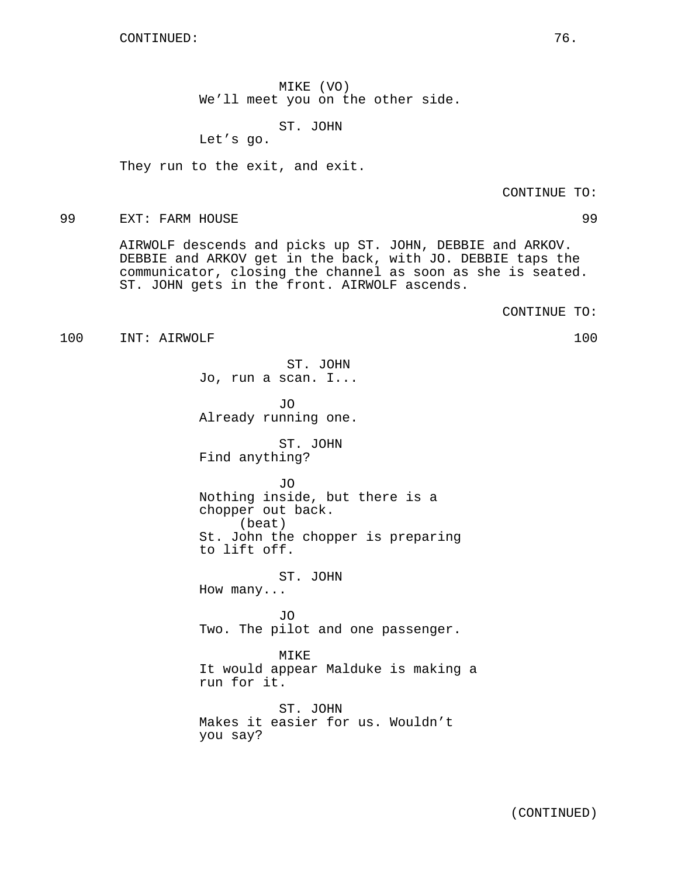CONTINUED: 76.

MIKE (VO) We'll meet you on the other side.

ST. JOHN

Let's go.

They run to the exit, and exit.

CONTINUE TO:

#### 99 EXT: FARM HOUSE 99

AIRWOLF descends and picks up ST. JOHN, DEBBIE and ARKOV. DEBBIE and ARKOV get in the back, with JO. DEBBIE taps the communicator, closing the channel as soon as she is seated. ST. JOHN gets in the front. AIRWOLF ascends.

CONTINUE TO:

100 INT: AIRWOLF 100

ST. JOHN Jo, run a scan. I...

JO Already running one.

ST. JOHN Find anything?

JO

Nothing inside, but there is a chopper out back. (beat) St. John the chopper is preparing to lift off.

ST. JOHN How many...

JO Two. The pilot and one passenger.

MIKE It would appear Malduke is making a run for it.

ST. JOHN Makes it easier for us. Wouldn't you say?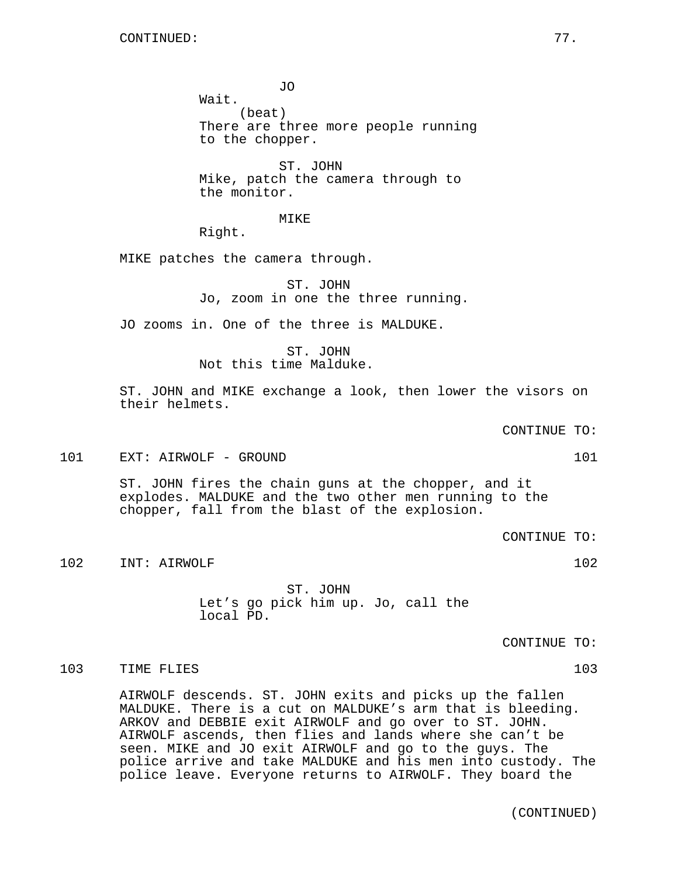JO Wait. (beat) There are three more people running to the chopper.

ST. JOHN Mike, patch the camera through to the monitor.

MIKE

Right.

MIKE patches the camera through.

ST. JOHN Jo, zoom in one the three running.

JO zooms in. One of the three is MALDUKE.

ST. JOHN Not this time Malduke.

ST. JOHN and MIKE exchange a look, then lower the visors on their helmets.

CONTINUE TO:

101 EXT: AIRWOLF - GROUND 101 101

ST. JOHN fires the chain guns at the chopper, and it explodes. MALDUKE and the two other men running to the chopper, fall from the blast of the explosion.

CONTINUE TO:

102 INT: AIRWOLF 102

ST. JOHN Let's go pick him up. Jo, call the local PD.

CONTINUE TO:

103 TIME FLIES 103

AIRWOLF descends. ST. JOHN exits and picks up the fallen MALDUKE. There is a cut on MALDUKE's arm that is bleeding. ARKOV and DEBBIE exit AIRWOLF and go over to ST. JOHN. AIRWOLF ascends, then flies and lands where she can't be seen. MIKE and JO exit AIRWOLF and go to the guys. The police arrive and take MALDUKE and his men into custody. The police leave. Everyone returns to AIRWOLF. They board the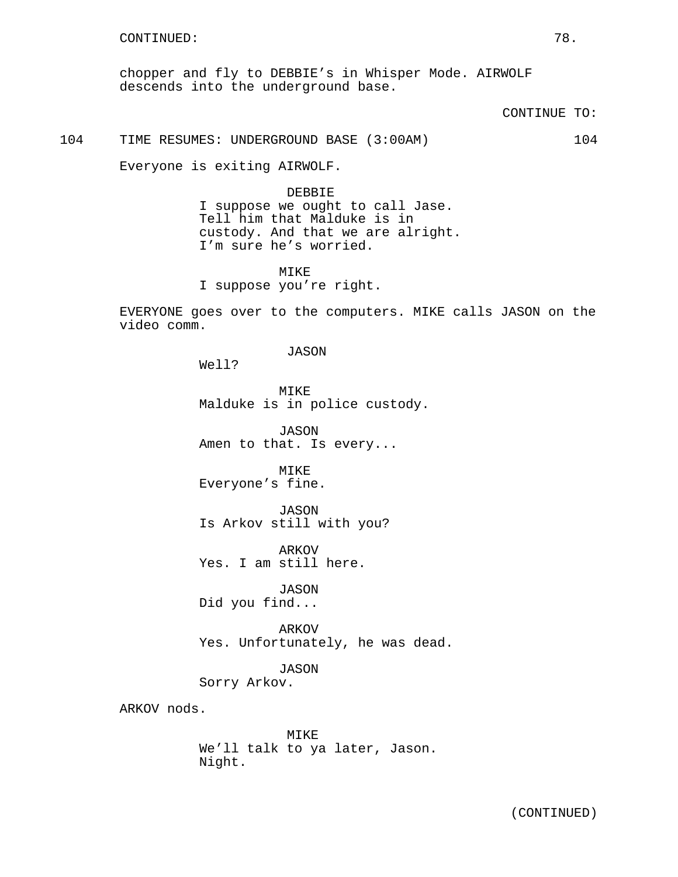chopper and fly to DEBBIE's in Whisper Mode. AIRWOLF descends into the underground base.

CONTINUE TO:

104 TIME RESUMES: UNDERGROUND BASE (3:00AM) 104

Everyone is exiting AIRWOLF.

DEBBIE I suppose we ought to call Jase. Tell him that Malduke is in custody. And that we are alright. I'm sure he's worried.

MIKE I suppose you're right.

EVERYONE goes over to the computers. MIKE calls JASON on the video comm.

JASON

Well?

MIKE Malduke is in police custody.

JASON Amen to that. Is every...

MIKE Everyone's fine.

JASON Is Arkov still with you?

ARKOV Yes. I am still here.

JASON Did you find...

ARKOV Yes. Unfortunately, he was dead.

JASON

Sorry Arkov.

ARKOV nods.

MIKE We'll talk to ya later, Jason. Night.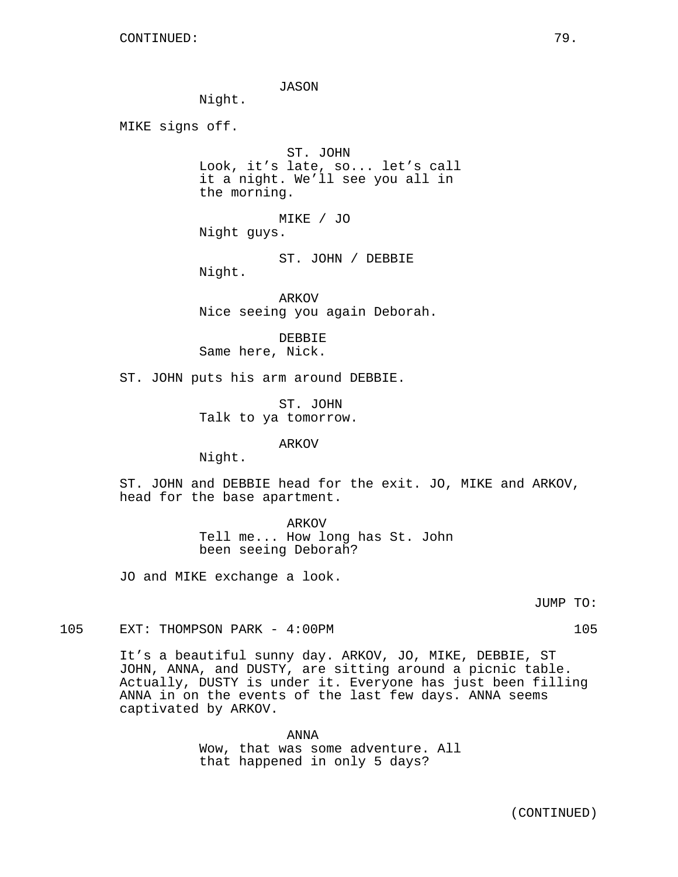JASON

Night.

MIKE signs off.

ST. JOHN Look, it's late, so... let's call it a night. We'll see you all in the morning.

MIKE / JO Night guys.

ST. JOHN / DEBBIE Night.

ARKOV Nice seeing you again Deborah.

DEBBIE Same here, Nick.

ST. JOHN puts his arm around DEBBIE.

ST. JOHN Talk to ya tomorrow.

#### ARKOV

Night.

ST. JOHN and DEBBIE head for the exit. JO, MIKE and ARKOV, head for the base apartment.

ARKOV

Tell me... How long has St. John been seeing Deborah?

JO and MIKE exchange a look.

JUMP TO:

105 EXT: THOMPSON PARK - 4:00PM 105

It's a beautiful sunny day. ARKOV, JO, MIKE, DEBBIE, ST JOHN, ANNA, and DUSTY, are sitting around a picnic table. Actually, DUSTY is under it. Everyone has just been filling ANNA in on the events of the last few days. ANNA seems captivated by ARKOV.

> ANNA Wow, that was some adventure. All that happened in only 5 days?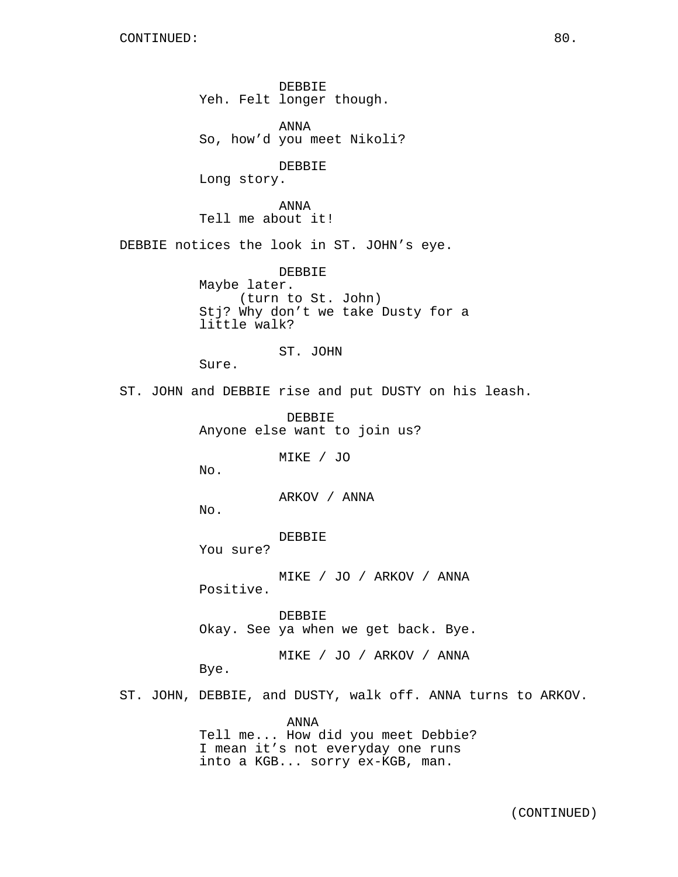DEBBIE Yeh. Felt longer though.

ANNA So, how'd you meet Nikoli?

DEBBIE

Long story.

ANNA Tell me about it!

DEBBIE notices the look in ST. JOHN's eye.

DEBBIE Maybe later. (turn to St. John) Stj? Why don't we take Dusty for a little walk?

ST. JOHN

Sure.

ST. JOHN and DEBBIE rise and put DUSTY on his leash.

DEBBIE Anyone else want to join us?

MIKE / JO

No.

ARKOV / ANNA

No.

DEBBIE

You sure?

MIKE / JO / ARKOV / ANNA Positive.

DEBBIE Okay. See ya when we get back. Bye.

MIKE / JO / ARKOV / ANNA

Bye.

ST. JOHN, DEBBIE, and DUSTY, walk off. ANNA turns to ARKOV.

ANNA Tell me... How did you meet Debbie? I mean it's not everyday one runs into a KGB... sorry ex-KGB, man.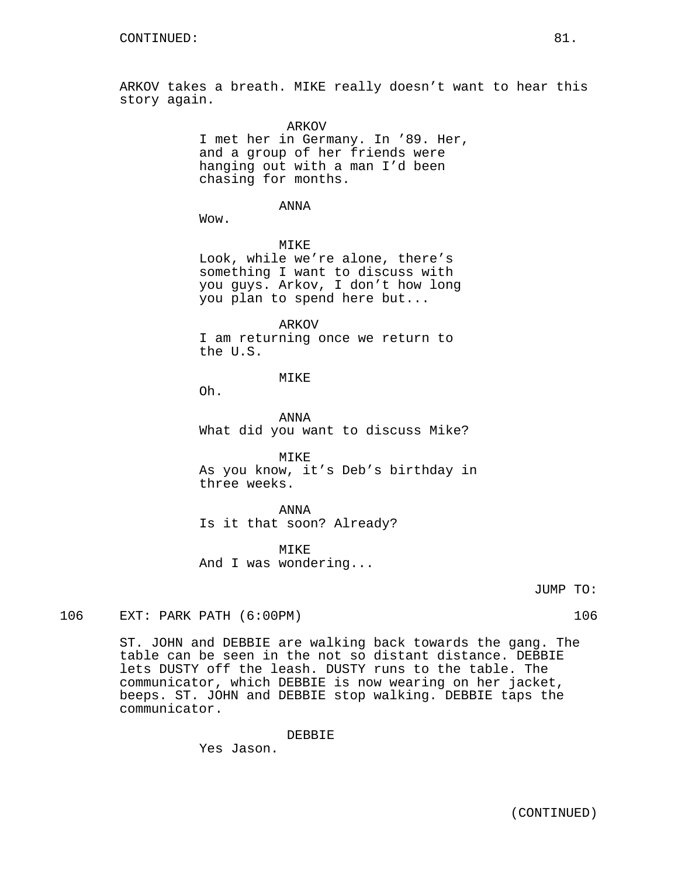ARKOV takes a breath. MIKE really doesn't want to hear this story again.

ARKOV

I met her in Germany. In '89. Her, and a group of her friends were hanging out with a man I'd been chasing for months.

ANNA

Wow.

MIKE Look, while we're alone, there's something I want to discuss with you guys. Arkov, I don't how long you plan to spend here but...

ARKOV

I am returning once we return to the U.S.

**MTKE** 

Oh.

ANNA What did you want to discuss Mike?

MIKE As you know, it's Deb's birthday in three weeks.

ANNA Is it that soon? Already?

MIKE And I was wondering...

JUMP TO:

106 EXT: PARK PATH (6:00PM) 106

ST. JOHN and DEBBIE are walking back towards the gang. The table can be seen in the not so distant distance. DEBBIE lets DUSTY off the leash. DUSTY runs to the table. The communicator, which DEBBIE is now wearing on her jacket, beeps. ST. JOHN and DEBBIE stop walking. DEBBIE taps the communicator.

DEBBIE

Yes Jason.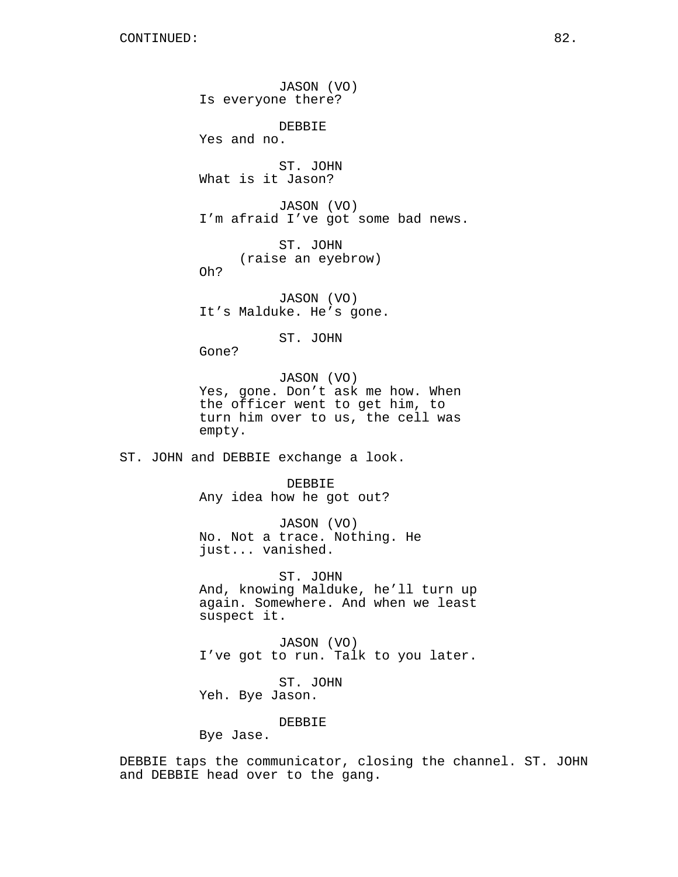JASON (VO) Is everyone there? DEBBIE Yes and no. ST. JOHN What is it Jason? JASON (VO) I'm afraid I've got some bad news. ST. JOHN (raise an eyebrow) Oh? JASON (VO) It's Malduke. He's gone. ST. JOHN Gone? JASON (VO) Yes, gone. Don't ask me how. When the officer went to get him, to turn him over to us, the cell was empty. ST. JOHN and DEBBIE exchange a look. DEBBIE Any idea how he got out? JASON (VO) No. Not a trace. Nothing. He just... vanished. ST. JOHN And, knowing Malduke, he'll turn up again. Somewhere. And when we least suspect it. JASON (VO) I've got to run. Talk to you later. ST. JOHN Yeh. Bye Jason. DEBBIE Bye Jase.

DEBBIE taps the communicator, closing the channel. ST. JOHN and DEBBIE head over to the gang.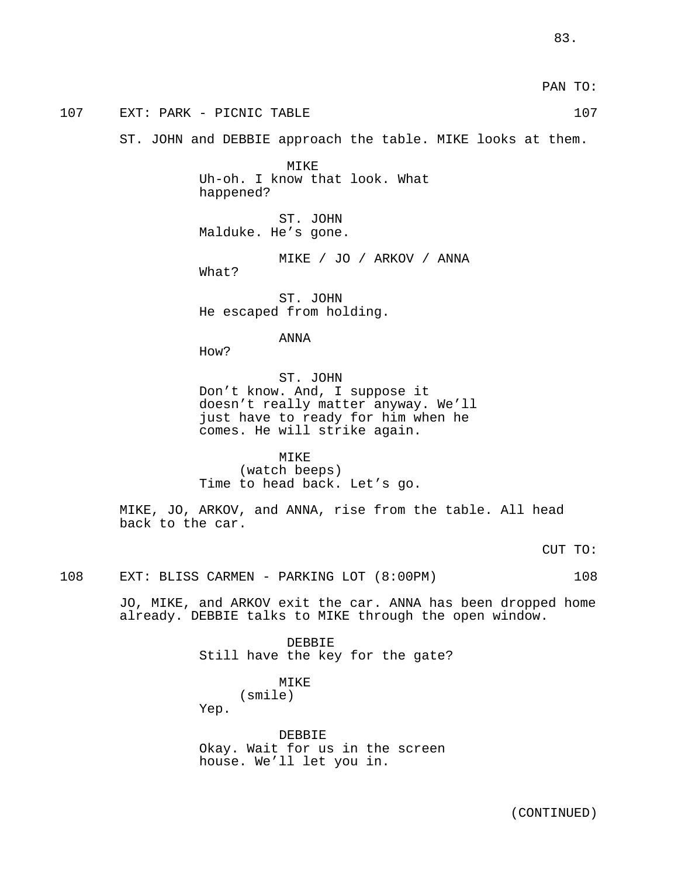PAN TO: 107 EXT: PARK - PICNIC TABLE 107 107 ST. JOHN and DEBBIE approach the table. MIKE looks at them. MIKE Uh-oh. I know that look. What happened? ST. JOHN Malduke. He's gone. MIKE / JO / ARKOV / ANNA What? ST. JOHN He escaped from holding. ANNA How? ST. JOHN Don't know. And, I suppose it doesn't really matter anyway. We'll just have to ready for him when he comes. He will strike again. MIKE (watch beeps) Time to head back. Let's go. MIKE, JO, ARKOV, and ANNA, rise from the table. All head back to the car. CUT TO: 108 EXT: BLISS CARMEN - PARKING LOT (8:00PM) 108 JO, MIKE, and ARKOV exit the car. ANNA has been dropped home already. DEBBIE talks to MIKE through the open window. DEBBIE Still have the key for the gate? MIKE

(smile)

Yep.

DEBBIE Okay. Wait for us in the screen house. We'll let you in.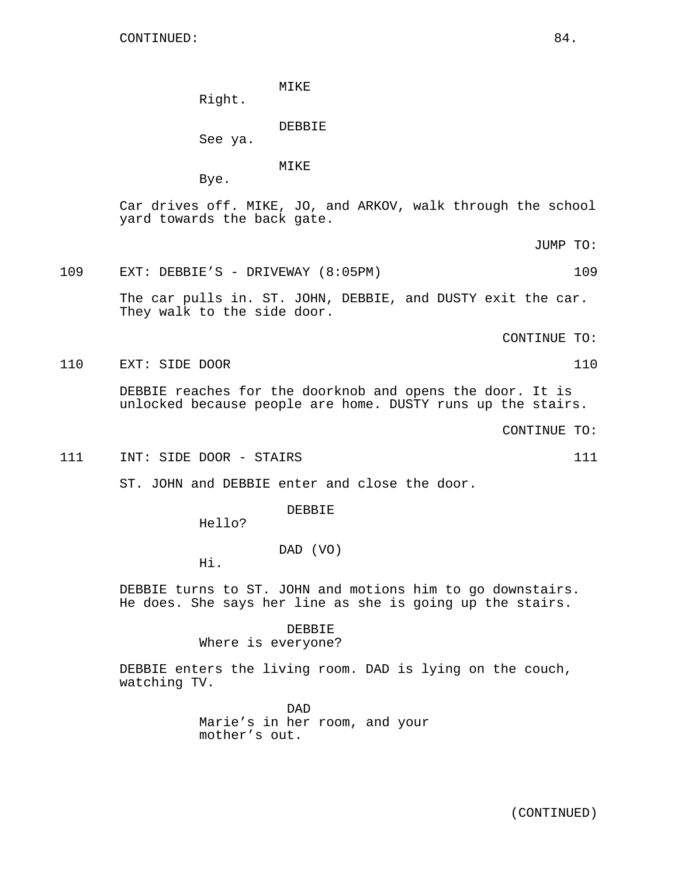MIKE

Right.

DEBBIE

See ya.

MIKE

Bye.

Car drives off. MIKE, JO, and ARKOV, walk through the school yard towards the back gate.

JUMP TO:

#### 109 EXT: DEBBIE'S - DRIVEWAY (8:05PM) 109

The car pulls in. ST. JOHN, DEBBIE, and DUSTY exit the car. They walk to the side door.

CONTINUE TO:

110 EXT: SIDE DOOR 110

DEBBIE reaches for the doorknob and opens the door. It is unlocked because people are home. DUSTY runs up the stairs.

CONTINUE TO:

111 INT: SIDE DOOR - STAIRS 111

ST. JOHN and DEBBIE enter and close the door.

DEBBIE

Hello?

DAD (VO)

Hi.

DEBBIE turns to ST. JOHN and motions him to go downstairs. He does. She says her line as she is going up the stairs.

DEBBIE

Where is everyone?

DEBBIE enters the living room. DAD is lying on the couch, watching TV.

> DAD Marie's in her room, and your mother's out.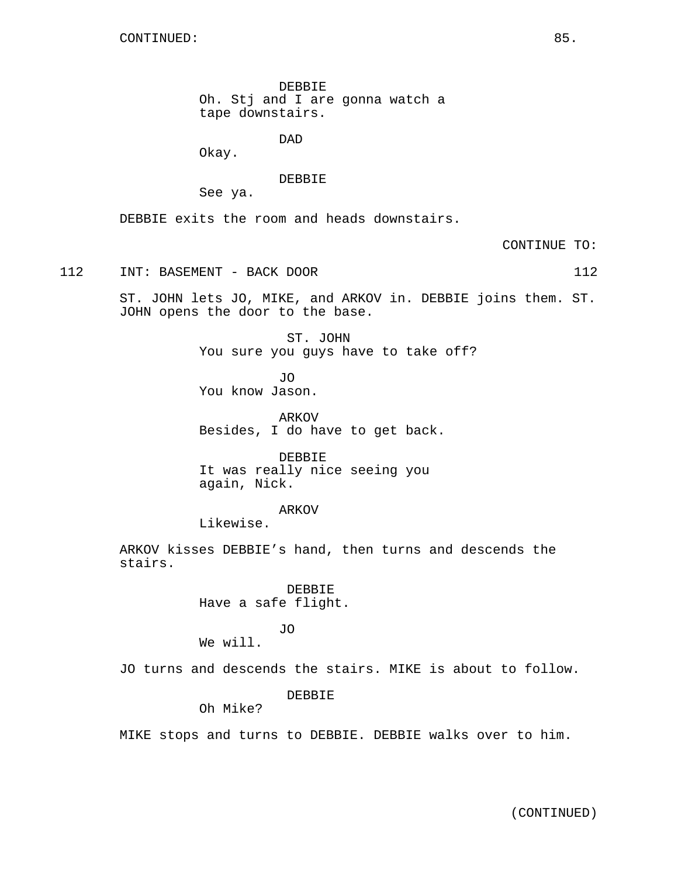DEBBIE Oh. Stj and I are gonna watch a tape downstairs.

DAD

Okay.

DEBBIE

See ya.

DEBBIE exits the room and heads downstairs.

CONTINUE TO:

112 INT: BASEMENT - BACK DOOR 112

ST. JOHN lets JO, MIKE, and ARKOV in. DEBBIE joins them. ST. JOHN opens the door to the base.

> ST. JOHN You sure you guys have to take off?

JO You know Jason.

ARKOV Besides, I do have to get back.

DEBBIE It was really nice seeing you again, Nick.

ARKOV

Likewise.

ARKOV kisses DEBBIE's hand, then turns and descends the stairs.

> DEBBIE Have a safe flight.

> > JO

JO turns and descends the stairs. MIKE is about to follow.

DEBBIE

Oh Mike?

We will.

MIKE stops and turns to DEBBIE. DEBBIE walks over to him.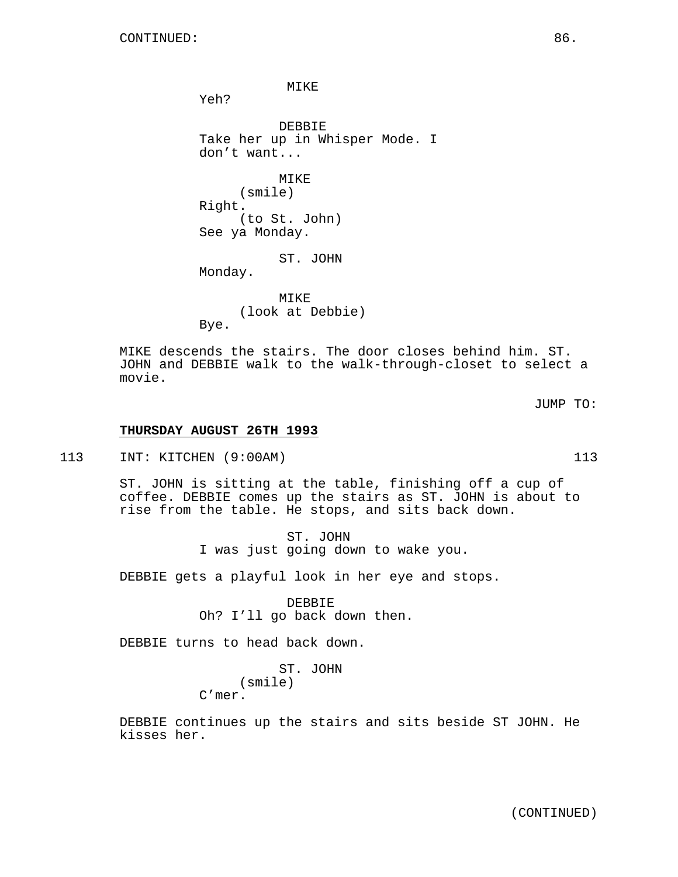MIKE

Yeh?

DEBBIE Take her up in Whisper Mode. I don't want...

**MTKE** (smile) Right. (to St. John) See ya Monday.

ST. JOHN Monday.

MIKE (look at Debbie) Bye.

MIKE descends the stairs. The door closes behind him. ST. JOHN and DEBBIE walk to the walk-through-closet to select a movie.

JUMP TO:

#### **THURSDAY AUGUST 26TH 1993**

113 INT: KITCHEN (9:00AM) 113

ST. JOHN is sitting at the table, finishing off a cup of coffee. DEBBIE comes up the stairs as ST. JOHN is about to rise from the table. He stops, and sits back down.

> ST. JOHN I was just going down to wake you.

DEBBIE gets a playful look in her eye and stops.

DEBBIE Oh? I'll go back down then.

DEBBIE turns to head back down.

ST. JOHN (smile)

C'mer.

DEBBIE continues up the stairs and sits beside ST JOHN. He kisses her.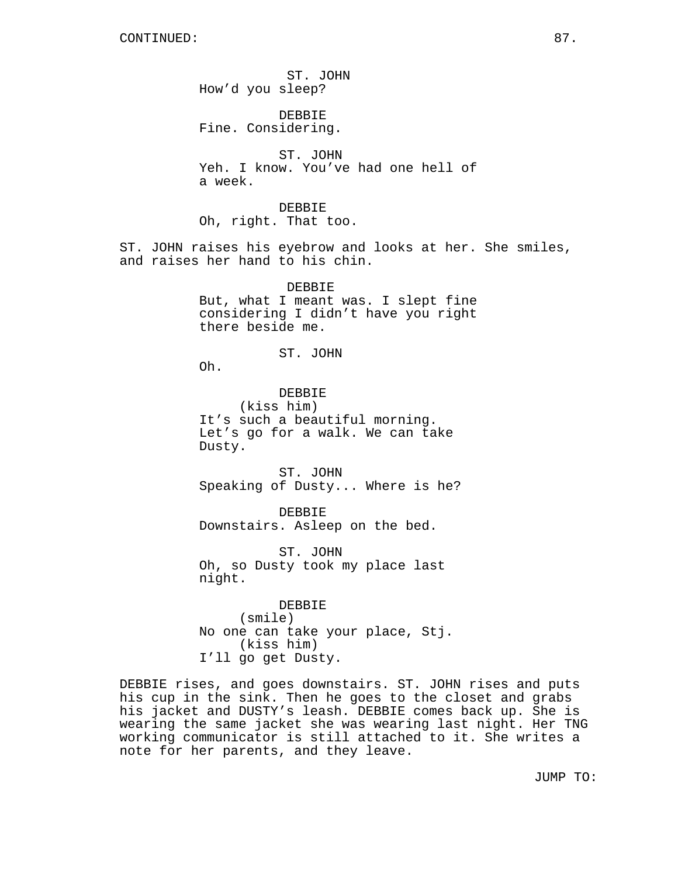ST. JOHN How'd you sleep? DEBBIE Fine. Considering. ST. JOHN Yeh. I know. You've had one hell of a week. DEBBIE Oh, right. That too. ST. JOHN raises his eyebrow and looks at her. She smiles, and raises her hand to his chin. DEBBIE But, what I meant was. I slept fine considering I didn't have you right there beside me. ST. JOHN Oh. DEBBIE (kiss him) It's such a beautiful morning. Let's go for a walk. We can take Dusty. ST. JOHN Speaking of Dusty... Where is he? DEBBIE Downstairs. Asleep on the bed. ST. JOHN Oh, so Dusty took my place last night. DEBBIE (smile) No one can take your place, Stj. (kiss him) I'll go get Dusty. DEBBIE rises, and goes downstairs. ST. JOHN rises and puts

his cup in the sink. Then he goes to the closet and grabs his jacket and DUSTY's leash. DEBBIE comes back up. She is wearing the same jacket she was wearing last night. Her TNG working communicator is still attached to it. She writes a note for her parents, and they leave.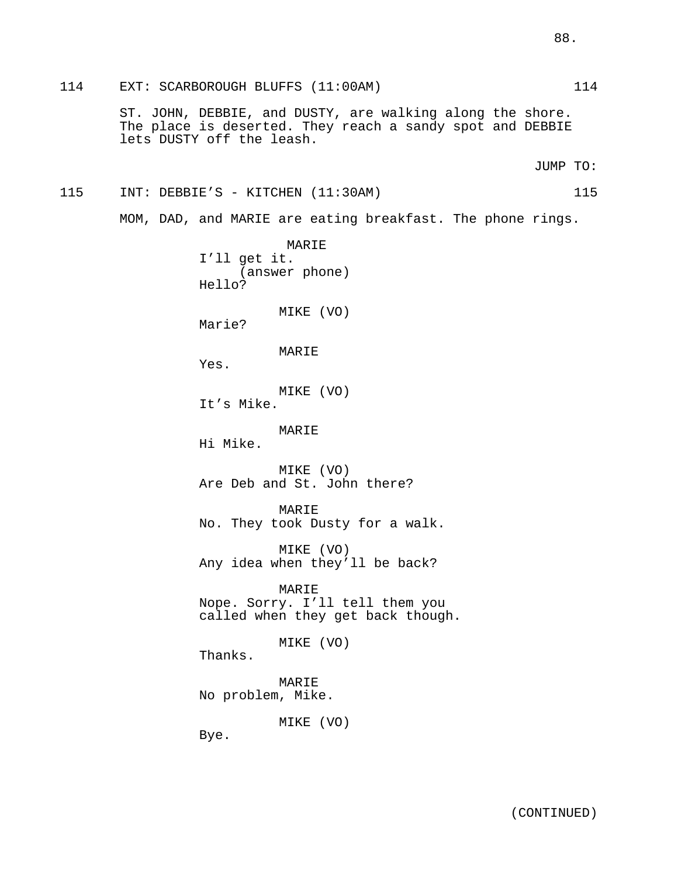114 EXT: SCARBOROUGH BLUFFS (11:00AM) 114

ST. JOHN, DEBBIE, and DUSTY, are walking along the shore. The place is deserted. They reach a sandy spot and DEBBIE lets DUSTY off the leash.

JUMP TO:

# 115 INT: DEBBIE'S - KITCHEN (11:30AM) 115

MOM, DAD, and MARIE are eating breakfast. The phone rings.

MARIE I'll get it. (answer phone) Hello? MIKE (VO) Marie? MARIE Yes. MIKE (VO) It's Mike. MARIE Hi Mike. MIKE (VO) Are Deb and St. John there? MARIE No. They took Dusty for a walk. MIKE (VO) Any idea when they'll be back? MARIE Nope. Sorry. I'll tell them you called when they get back though. MIKE (VO) Thanks. MARIE No problem, Mike. MIKE (VO)

Bye.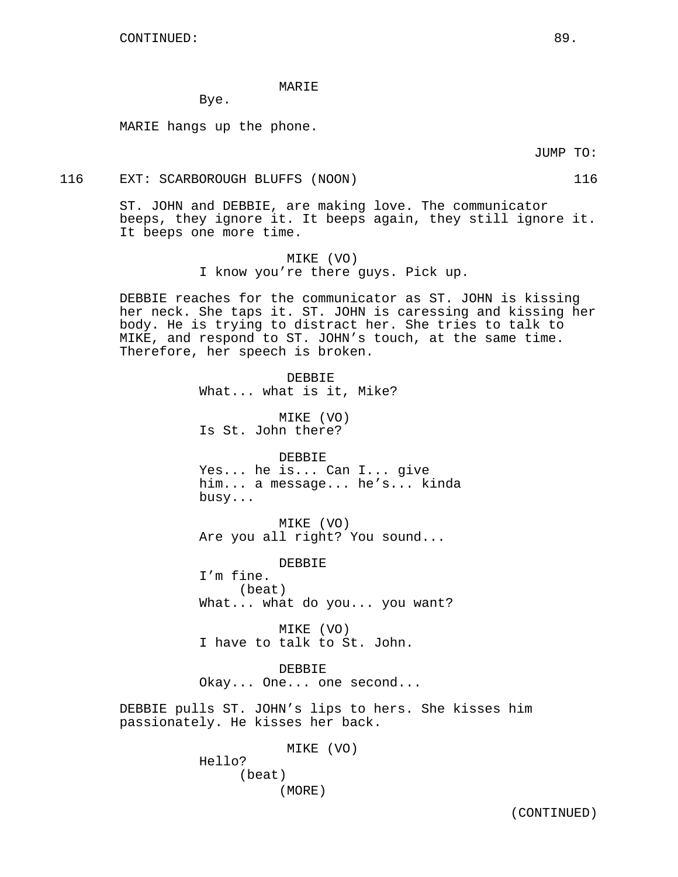#### MARIE

Bye.

MARIE hangs up the phone.

JUMP TO:

#### 116 EXT: SCARBOROUGH BLUFFS (NOON) 116

ST. JOHN and DEBBIE, are making love. The communicator beeps, they ignore it. It beeps again, they still ignore it. It beeps one more time.

> MIKE (VO) I know you're there guys. Pick up.

DEBBIE reaches for the communicator as ST. JOHN is kissing her neck. She taps it. ST. JOHN is caressing and kissing her body. He is trying to distract her. She tries to talk to MIKE, and respond to ST. JOHN's touch, at the same time. Therefore, her speech is broken.

> DEBBIE What... what is it, Mike? MIKE (VO) Is St. John there? DEBBIE Yes... he is... Can I... give him... a message... he's... kinda busy... MIKE (VO) Are you all right? You sound... DEBBIE I'm fine.

(beat) What... what do you... you want?

MIKE (VO) I have to talk to St. John.

DEBBIE Okay... One... one second...

DEBBIE pulls ST. JOHN's lips to hers. She kisses him passionately. He kisses her back.

> MIKE (VO) Hello? (beat) (MORE)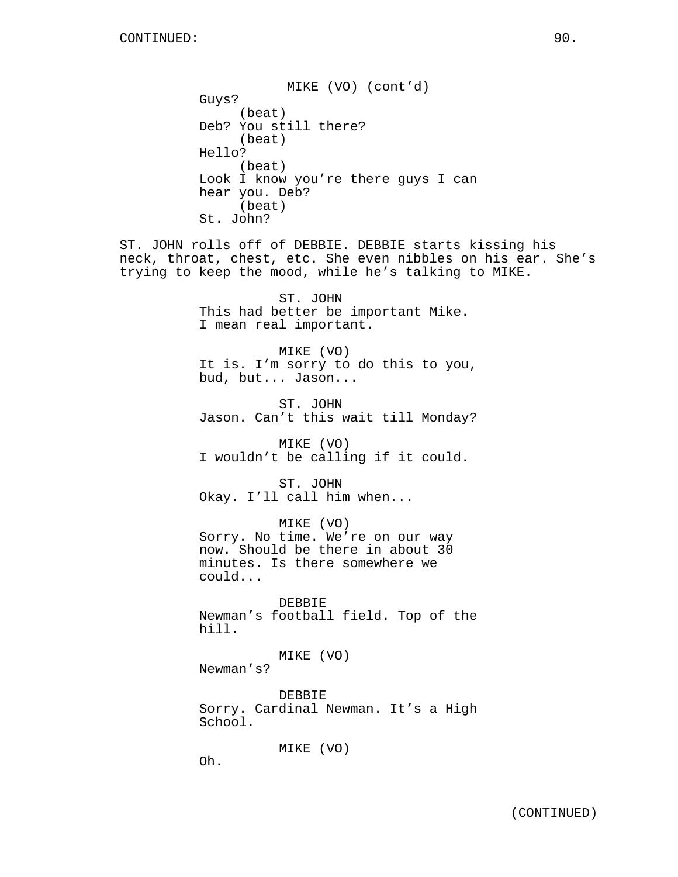MIKE (VO) (cont'd) Guys? (beat) Deb? You still there? (beat) Hello? (beat) Look I know you're there guys I can hear you. Deb? (beat) St. John?

ST. JOHN rolls off of DEBBIE. DEBBIE starts kissing his neck, throat, chest, etc. She even nibbles on his ear. She's trying to keep the mood, while he's talking to MIKE.

> ST. JOHN This had better be important Mike. I mean real important.

MIKE (VO) It is. I'm sorry to do this to you, bud, but... Jason...

ST. JOHN Jason. Can't this wait till Monday?

MIKE (VO) I wouldn't be calling if it could.

ST. JOHN Okay. I'll call him when...

MIKE (VO) Sorry. No time. We're on our way now. Should be there in about 30 minutes. Is there somewhere we could...

DEBBIE Newman's football field. Top of the hill.

MIKE (VO) Newman's?

DEBBIE Sorry. Cardinal Newman. It's a High School.

MIKE (VO)

Oh.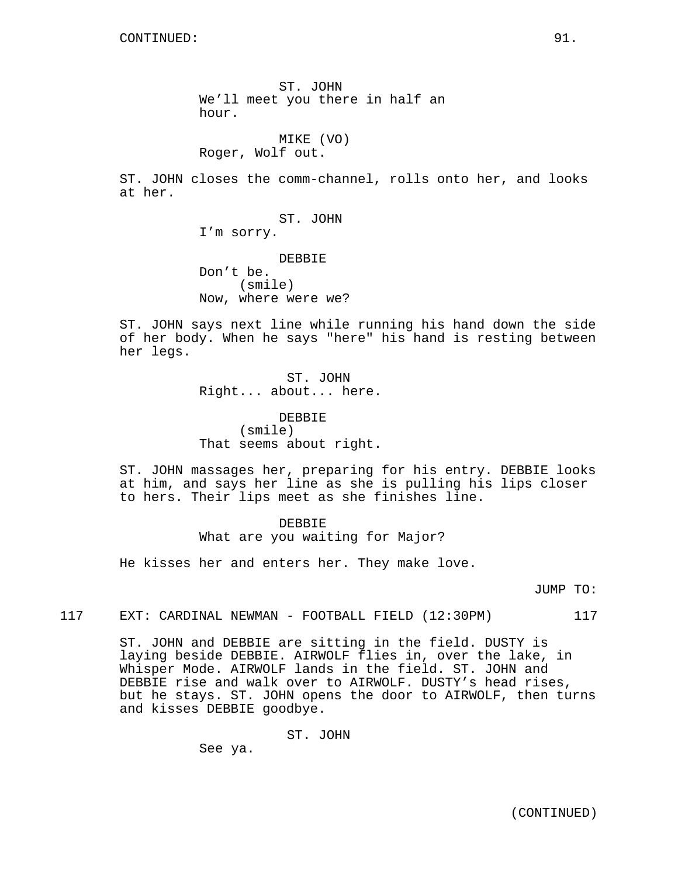ST. JOHN We'll meet you there in half an hour.

MIKE (VO) Roger, Wolf out.

ST. JOHN closes the comm-channel, rolls onto her, and looks at her.

> ST. JOHN I'm sorry.

DEBBIE Don't be. (smile) Now, where were we?

ST. JOHN says next line while running his hand down the side of her body. When he says "here" his hand is resting between her legs.

> ST. JOHN Right... about... here.

DEBBIE (smile) That seems about right.

ST. JOHN massages her, preparing for his entry. DEBBIE looks at him, and says her line as she is pulling his lips closer to hers. Their lips meet as she finishes line.

### DEBBIE

What are you waiting for Major?

He kisses her and enters her. They make love.

JUMP TO:

117 EXT: CARDINAL NEWMAN - FOOTBALL FIELD (12:30PM) 117

ST. JOHN and DEBBIE are sitting in the field. DUSTY is laying beside DEBBIE. AIRWOLF flies in, over the lake, in Whisper Mode. AIRWOLF lands in the field. ST. JOHN and DEBBIE rise and walk over to AIRWOLF. DUSTY's head rises, but he stays. ST. JOHN opens the door to AIRWOLF, then turns and kisses DEBBIE goodbye.

ST. JOHN

See ya.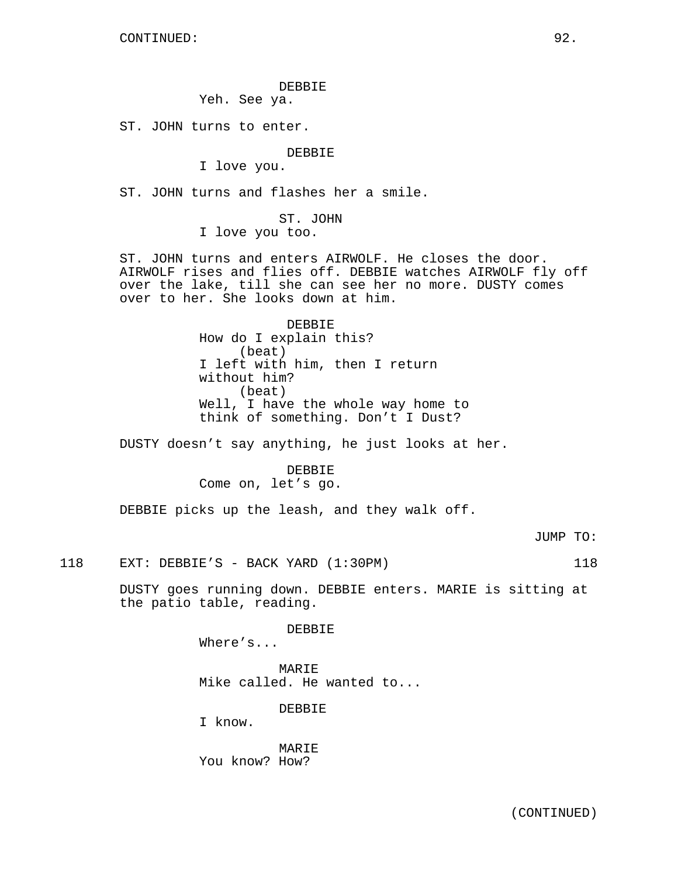DEBBIE

Yeh. See ya.

ST. JOHN turns to enter.

DEBBIE

I love you.

ST. JOHN turns and flashes her a smile.

ST. JOHN I love you too.

ST. JOHN turns and enters AIRWOLF. He closes the door. AIRWOLF rises and flies off. DEBBIE watches AIRWOLF fly off over the lake, till she can see her no more. DUSTY comes over to her. She looks down at him.

> DEBBIE How do I explain this? (beat) I left with him, then I return without him? (beat) Well, I have the whole way home to think of something. Don't I Dust?

DUSTY doesn't say anything, he just looks at her.

DEBBIE Come on, let's go.

DEBBIE picks up the leash, and they walk off.

JUMP TO:

118 EXT: DEBBIE'S - BACK YARD (1:30PM) 118

DUSTY goes running down. DEBBIE enters. MARIE is sitting at the patio table, reading.

DEBBIE

Where's...

MARIE Mike called. He wanted to...

DEBBIE

I know.

MARIE You know? How?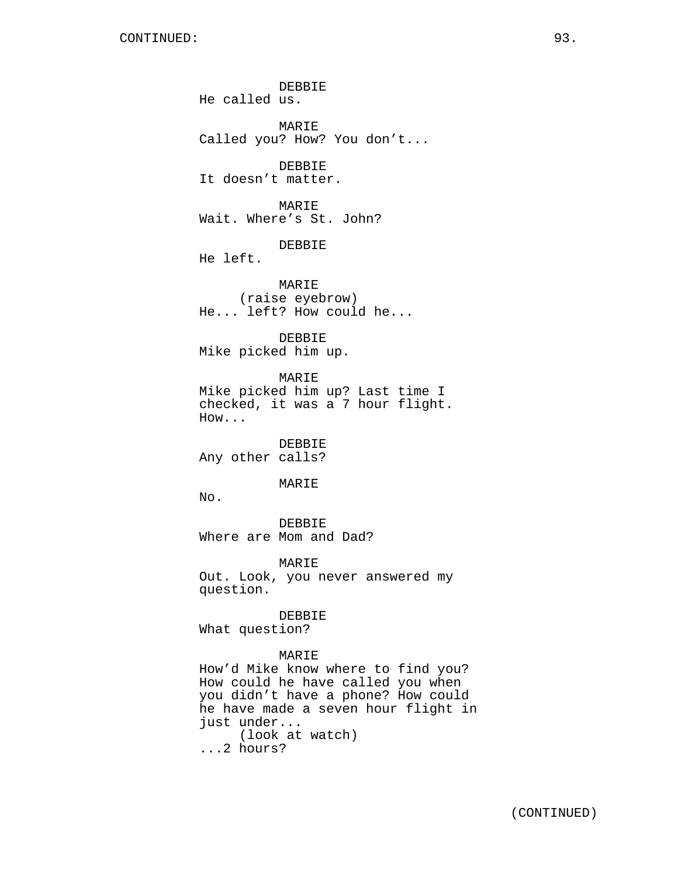DEBBIE He called us. MARIE Called you? How? You don't... DEBBIE It doesn't matter. MARIE Wait. Where's St. John? DEBBIE He left. MARIE (raise eyebrow) He... left? How could he... DEBBIE Mike picked him up. MARIE Mike picked him up? Last time I checked, it was a 7 hour flight. How... DEBBIE Any other calls? MARIE No. DEBBIE Where are Mom and Dad? MARIE Out. Look, you never answered my question. DEBBIE What question? MARIE How'd Mike know where to find you? How could he have called you when you didn't have a phone? How could he have made a seven hour flight in just under... (look at watch) ...2 hours?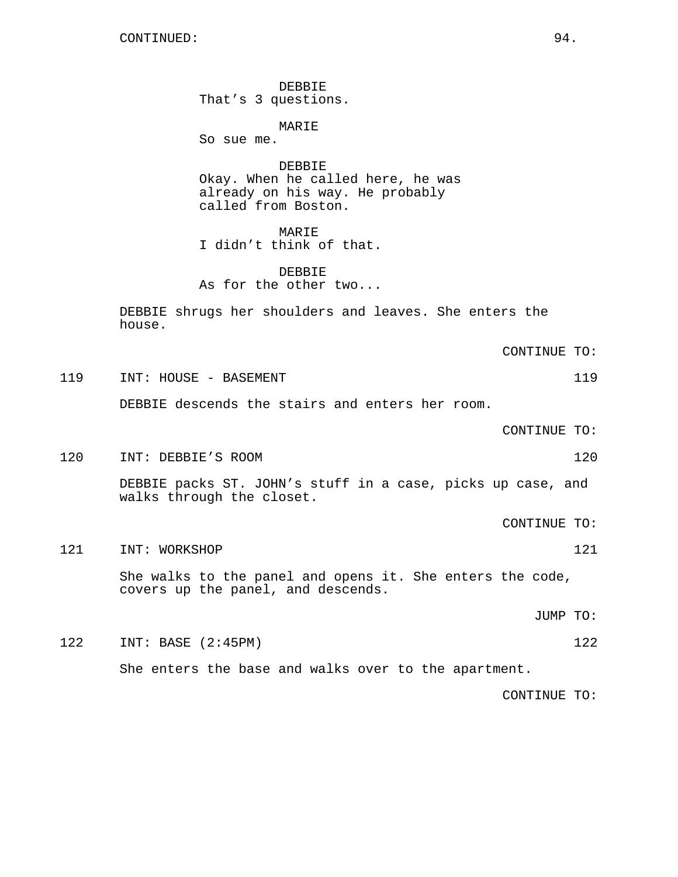CONTINUED: 94.

DEBBIE That's 3 questions.

MARIE So sue me.

DEBBIE Okay. When he called here, he was already on his way. He probably called from Boston.

MARIE I didn't think of that.

DEBBIE As for the other two...

DEBBIE shrugs her shoulders and leaves. She enters the house.

CONTINUE TO:

119 INT: HOUSE - BASEMENT 119

DEBBIE descends the stairs and enters her room.

CONTINUE TO:

120 INT: DEBBIE'S ROOM 120

DEBBIE packs ST. JOHN's stuff in a case, picks up case, and walks through the closet.

- CONTINUE TO:
- 121 INT: WORKSHOP 121 21

She walks to the panel and opens it. She enters the code, covers up the panel, and descends.

JUMP TO:

122 INT: BASE (2:45PM) 122

She enters the base and walks over to the apartment.

CONTINUE TO: